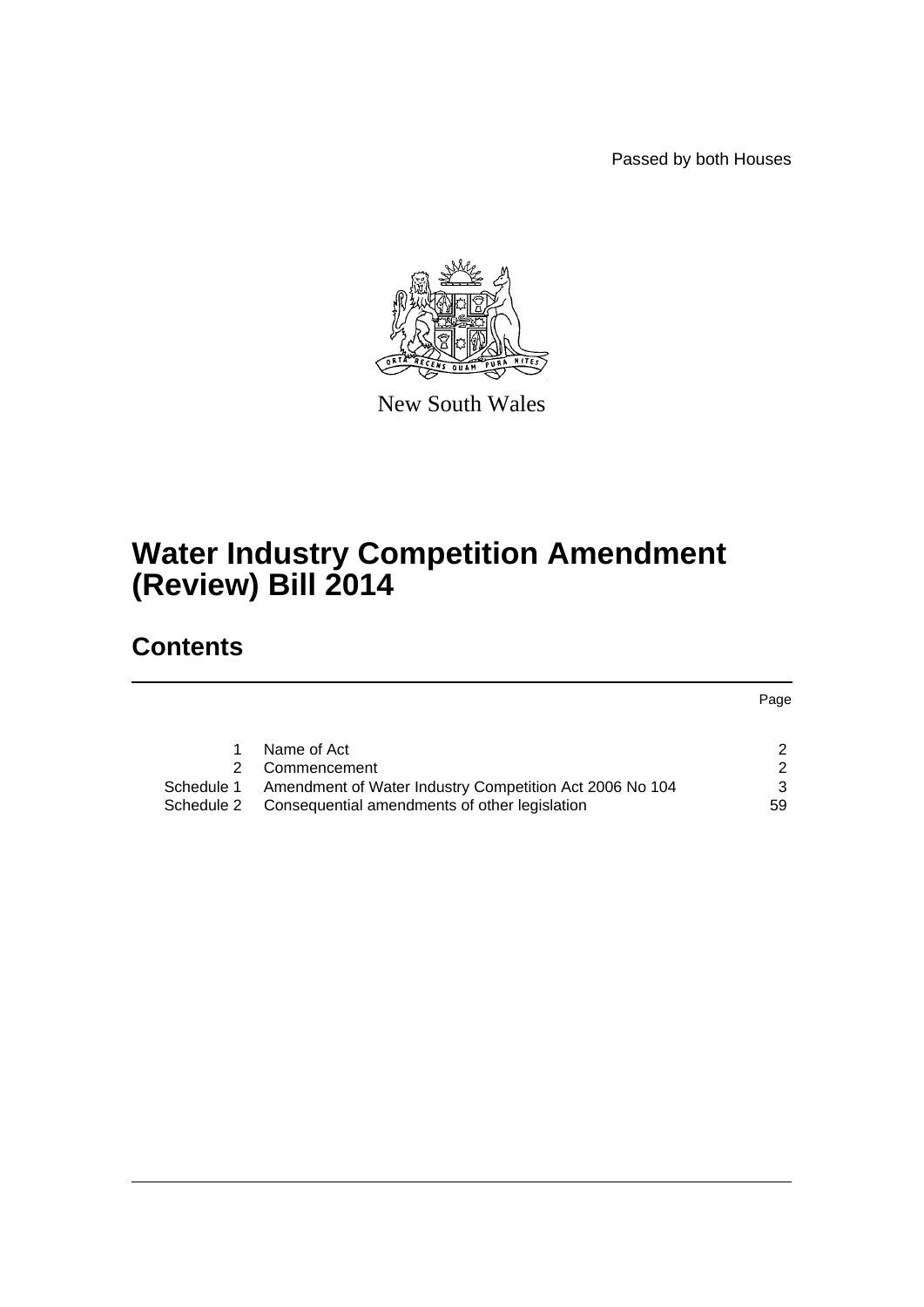Passed by both Houses

Page



New South Wales

# **Water Industry Competition Amendment (Review) Bill 2014**

# **Contents**

[1 Name of Act](#page-2-0) 2 [2 Commencement](#page-2-1) 2 2 [Schedule 1 Amendment of Water Industry Competition Act 2006 No 104](#page-3-0) 3 [Schedule 2 Consequential amendments of other legislation](#page-59-0) 59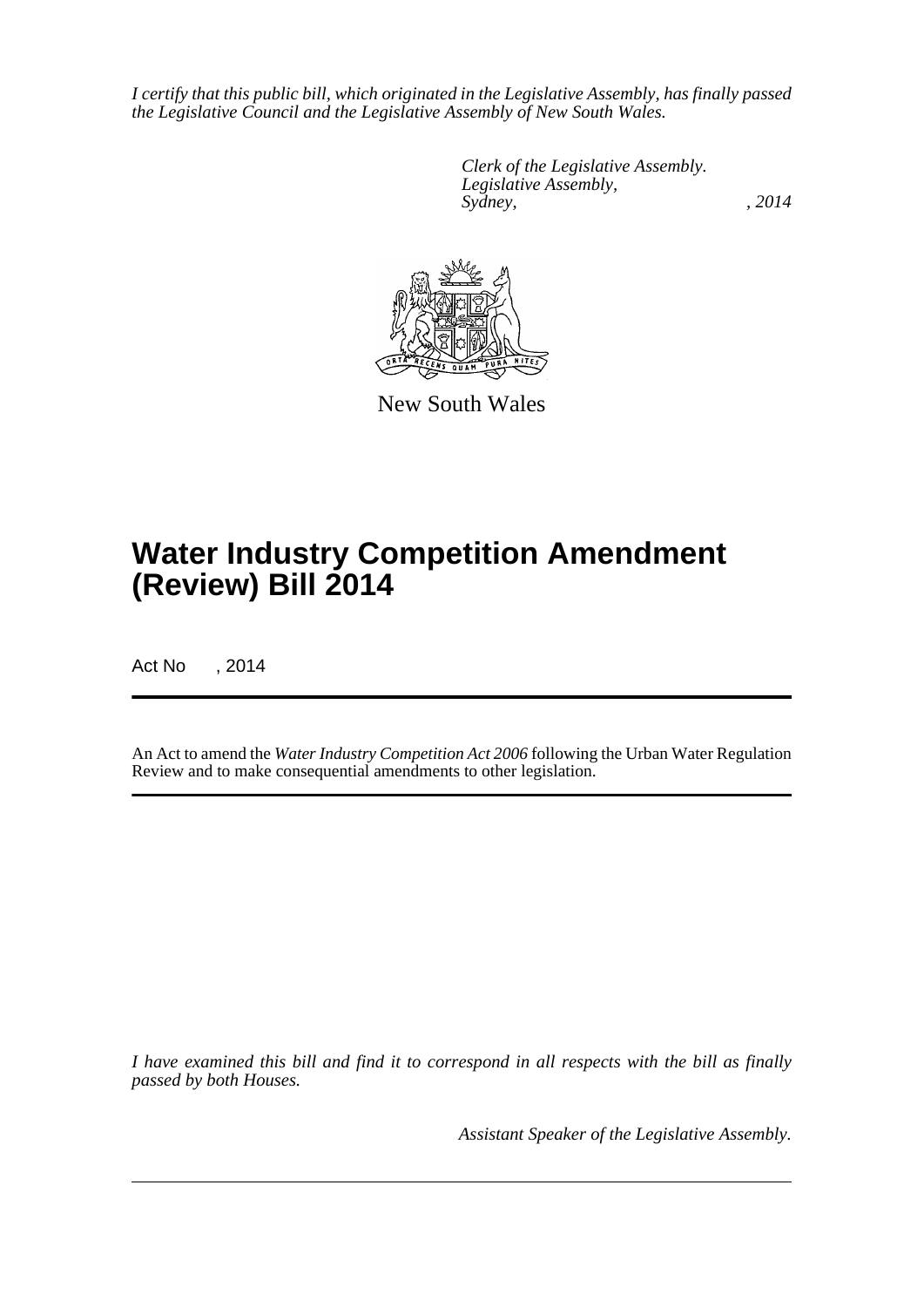*I certify that this public bill, which originated in the Legislative Assembly, has finally passed the Legislative Council and the Legislative Assembly of New South Wales.*

> *Clerk of the Legislative Assembly. Legislative Assembly, Sydney,* , 2014



New South Wales

# **Water Industry Competition Amendment (Review) Bill 2014**

Act No , 2014

An Act to amend the *Water Industry Competition Act 2006* following the Urban Water Regulation Review and to make consequential amendments to other legislation.

*I have examined this bill and find it to correspond in all respects with the bill as finally passed by both Houses.*

*Assistant Speaker of the Legislative Assembly.*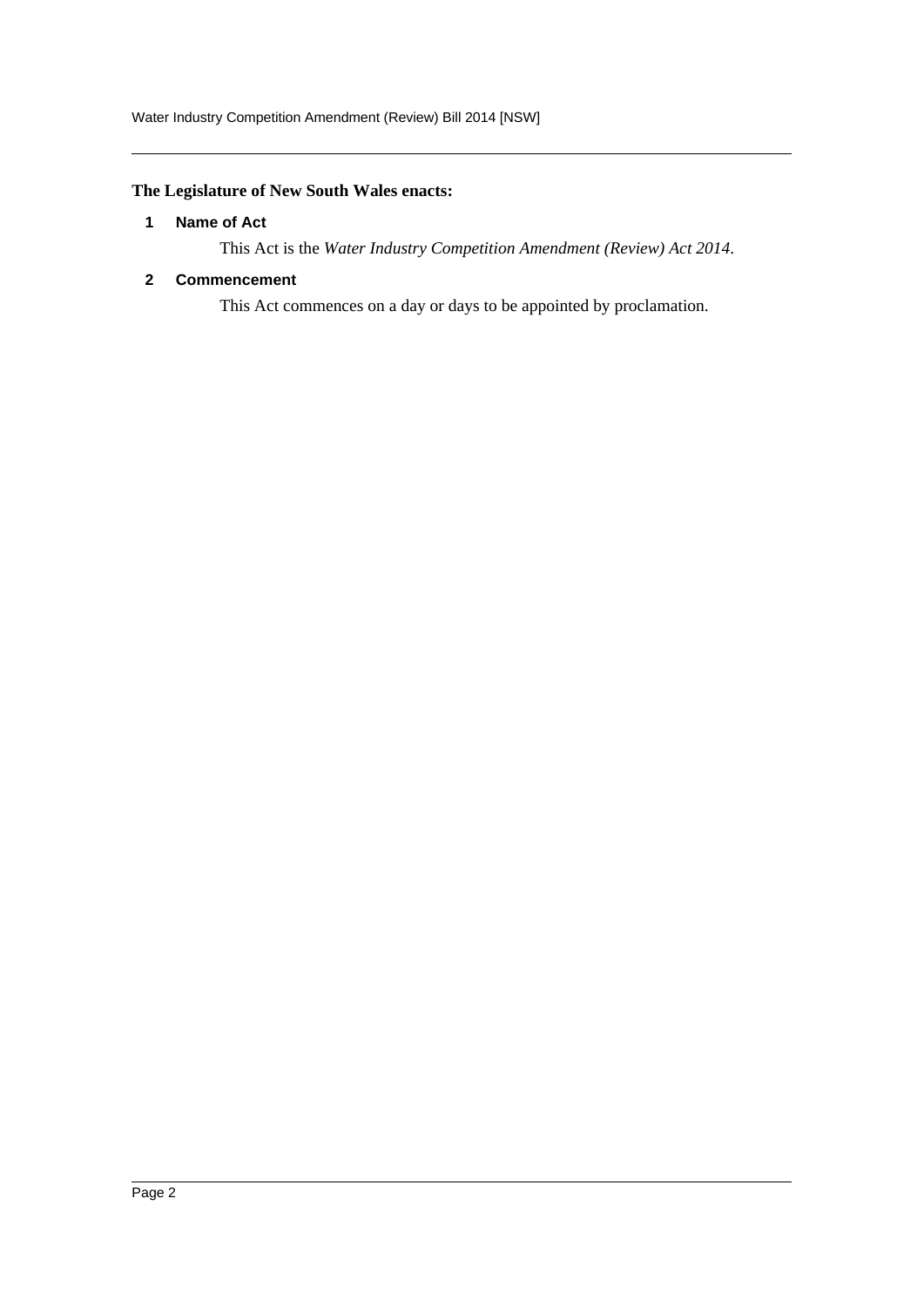# <span id="page-2-0"></span>**The Legislature of New South Wales enacts:**

#### **1 Name of Act**

This Act is the *Water Industry Competition Amendment (Review) Act 2014*.

#### <span id="page-2-1"></span>**2 Commencement**

This Act commences on a day or days to be appointed by proclamation.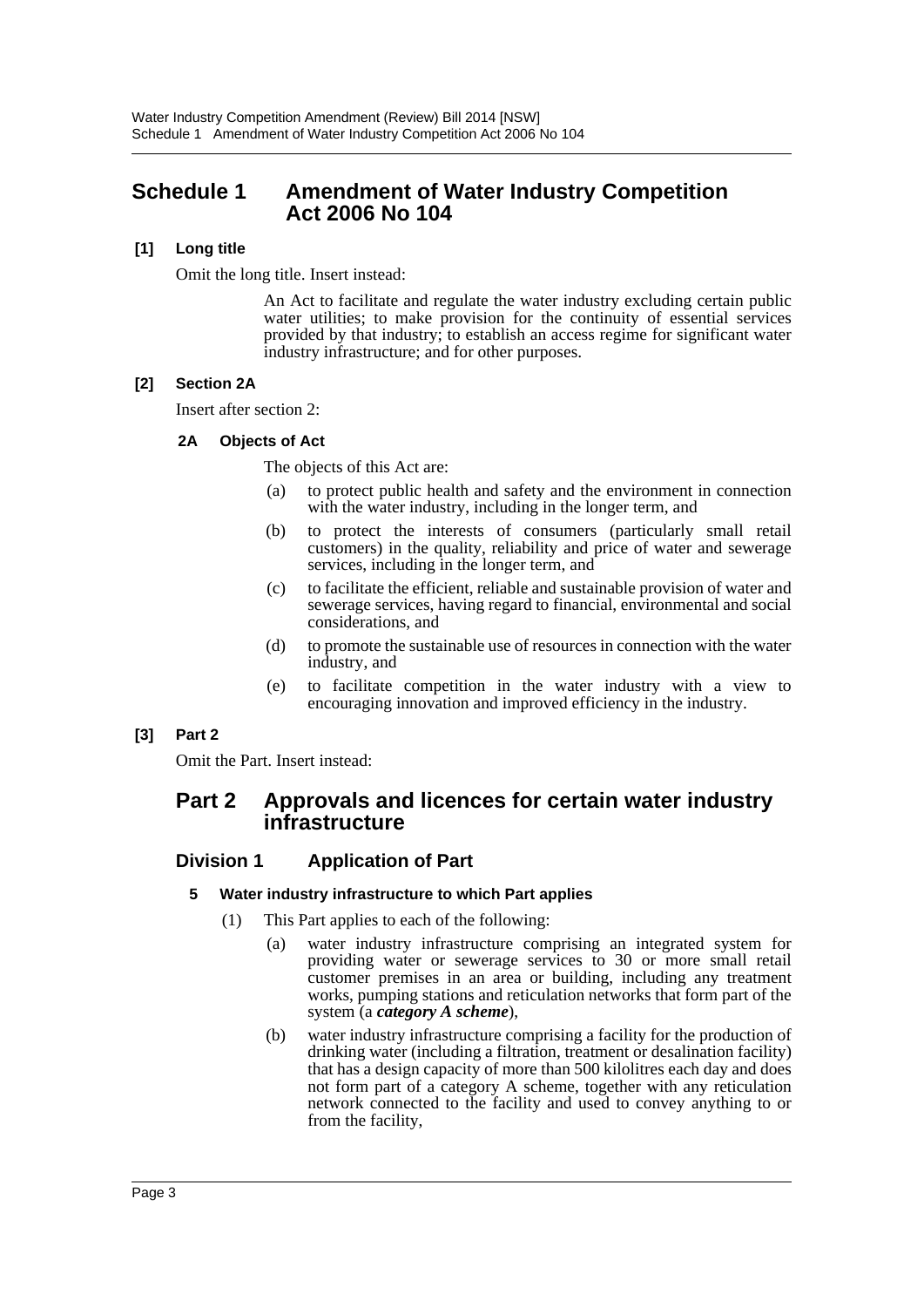# <span id="page-3-0"></span>**Schedule 1 Amendment of Water Industry Competition Act 2006 No 104**

### **[1] Long title**

Omit the long title. Insert instead:

An Act to facilitate and regulate the water industry excluding certain public water utilities; to make provision for the continuity of essential services provided by that industry; to establish an access regime for significant water industry infrastructure; and for other purposes.

# **[2] Section 2A**

Insert after section 2:

# **2A Objects of Act**

The objects of this Act are:

- (a) to protect public health and safety and the environment in connection with the water industry, including in the longer term, and
- (b) to protect the interests of consumers (particularly small retail customers) in the quality, reliability and price of water and sewerage services, including in the longer term, and
- (c) to facilitate the efficient, reliable and sustainable provision of water and sewerage services, having regard to financial, environmental and social considerations, and
- (d) to promote the sustainable use of resources in connection with the water industry, and
- (e) to facilitate competition in the water industry with a view to encouraging innovation and improved efficiency in the industry.

# **[3] Part 2**

Omit the Part. Insert instead:

# **Part 2 Approvals and licences for certain water industry infrastructure**

# **Division 1 Application of Part**

### **5 Water industry infrastructure to which Part applies**

- (1) This Part applies to each of the following:
	- (a) water industry infrastructure comprising an integrated system for providing water or sewerage services to 30 or more small retail customer premises in an area or building, including any treatment works, pumping stations and reticulation networks that form part of the system (a *category A scheme*),
	- (b) water industry infrastructure comprising a facility for the production of drinking water (including a filtration, treatment or desalination facility) that has a design capacity of more than 500 kilolitres each day and does not form part of a category A scheme, together with any reticulation network connected to the facility and used to convey anything to or from the facility,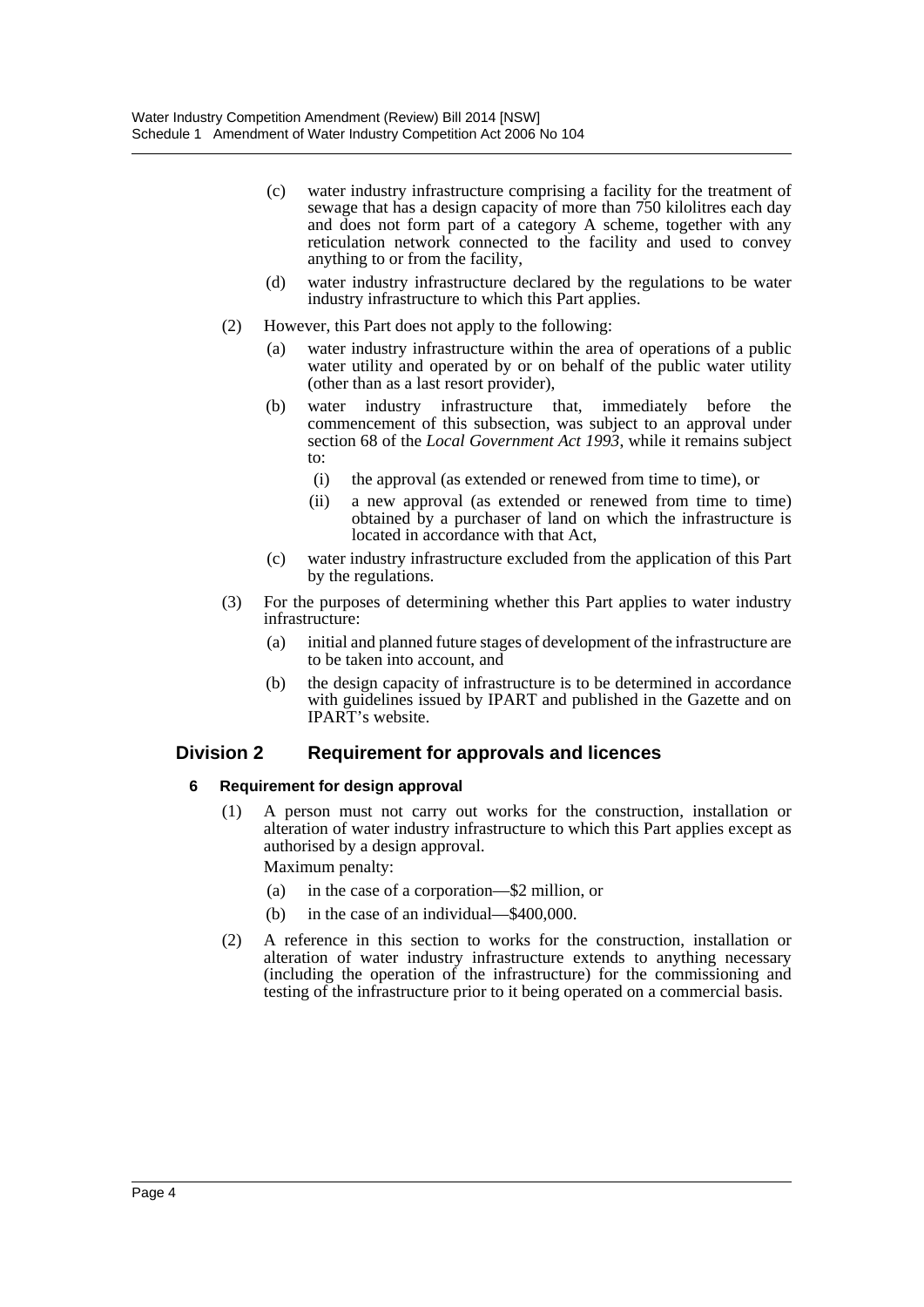- (c) water industry infrastructure comprising a facility for the treatment of sewage that has a design capacity of more than 750 kilolitres each day and does not form part of a category A scheme, together with any reticulation network connected to the facility and used to convey anything to or from the facility,
- (d) water industry infrastructure declared by the regulations to be water industry infrastructure to which this Part applies.
- (2) However, this Part does not apply to the following:
	- (a) water industry infrastructure within the area of operations of a public water utility and operated by or on behalf of the public water utility (other than as a last resort provider),
	- (b) water industry infrastructure that, immediately before the commencement of this subsection, was subject to an approval under section 68 of the *Local Government Act 1993*, while it remains subject to:
		- (i) the approval (as extended or renewed from time to time), or
		- (ii) a new approval (as extended or renewed from time to time) obtained by a purchaser of land on which the infrastructure is located in accordance with that Act,
	- (c) water industry infrastructure excluded from the application of this Part by the regulations.
- (3) For the purposes of determining whether this Part applies to water industry infrastructure:
	- (a) initial and planned future stages of development of the infrastructure are to be taken into account, and
	- (b) the design capacity of infrastructure is to be determined in accordance with guidelines issued by IPART and published in the Gazette and on IPART's website.

# **Division 2 Requirement for approvals and licences**

### **6 Requirement for design approval**

(1) A person must not carry out works for the construction, installation or alteration of water industry infrastructure to which this Part applies except as authorised by a design approval.

Maximum penalty:

- (a) in the case of a corporation—\$2 million, or
- (b) in the case of an individual—\$400,000.
- (2) A reference in this section to works for the construction, installation or alteration of water industry infrastructure extends to anything necessary (including the operation of the infrastructure) for the commissioning and testing of the infrastructure prior to it being operated on a commercial basis.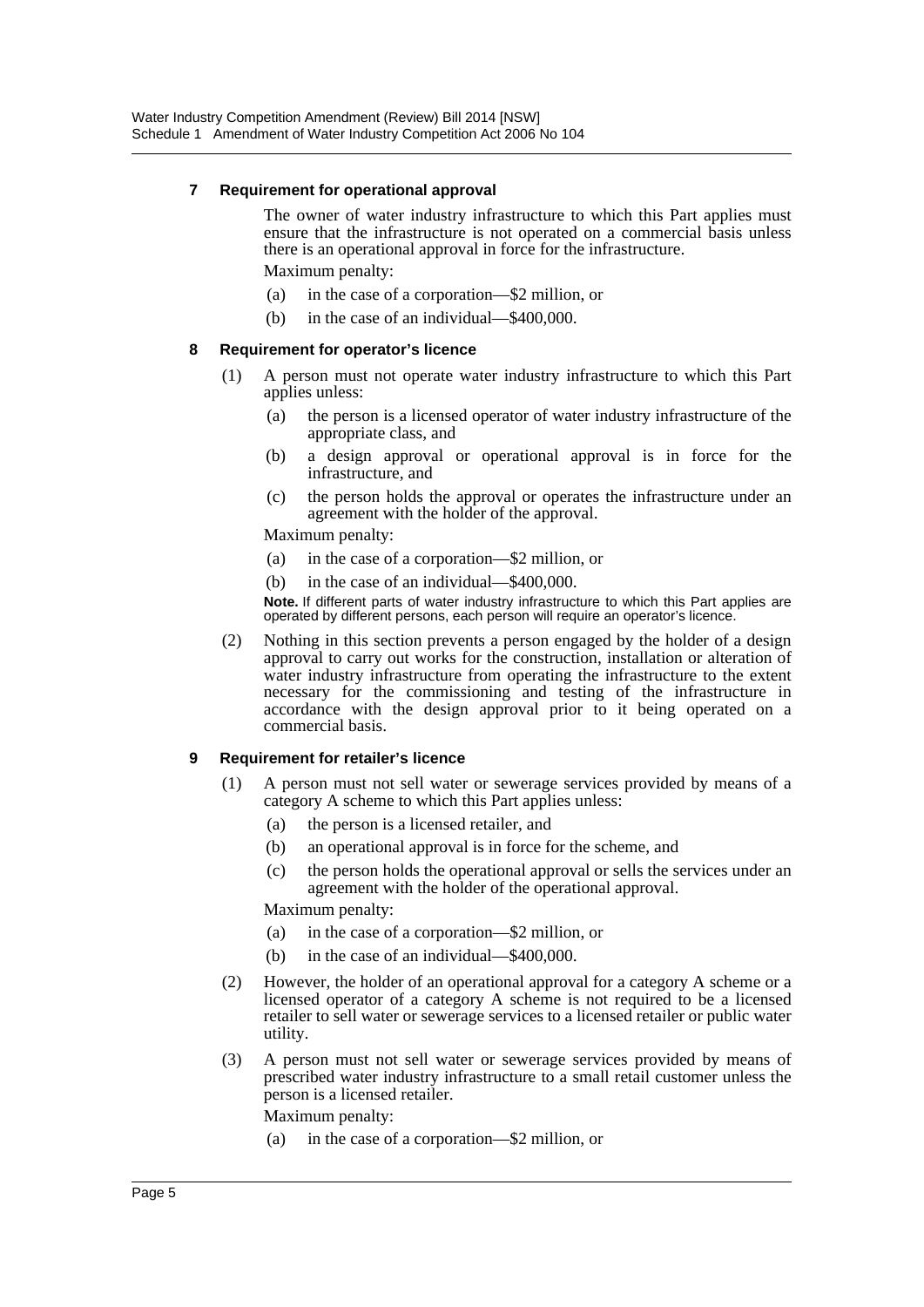#### **7 Requirement for operational approval**

The owner of water industry infrastructure to which this Part applies must ensure that the infrastructure is not operated on a commercial basis unless there is an operational approval in force for the infrastructure.

Maximum penalty:

- (a) in the case of a corporation—\$2 million, or
- (b) in the case of an individual—\$400,000.

#### **8 Requirement for operator's licence**

- (1) A person must not operate water industry infrastructure to which this Part applies unless:
	- (a) the person is a licensed operator of water industry infrastructure of the appropriate class, and
	- (b) a design approval or operational approval is in force for the infrastructure, and
	- (c) the person holds the approval or operates the infrastructure under an agreement with the holder of the approval.

Maximum penalty:

- (a) in the case of a corporation—\$2 million, or
- (b) in the case of an individual—\$400,000.

**Note.** If different parts of water industry infrastructure to which this Part applies are operated by different persons, each person will require an operator's licence.

(2) Nothing in this section prevents a person engaged by the holder of a design approval to carry out works for the construction, installation or alteration of water industry infrastructure from operating the infrastructure to the extent necessary for the commissioning and testing of the infrastructure in accordance with the design approval prior to it being operated on a commercial basis.

#### **9 Requirement for retailer's licence**

- (1) A person must not sell water or sewerage services provided by means of a category A scheme to which this Part applies unless:
	- (a) the person is a licensed retailer, and
	- (b) an operational approval is in force for the scheme, and
	- (c) the person holds the operational approval or sells the services under an agreement with the holder of the operational approval.

Maximum penalty:

- (a) in the case of a corporation—\$2 million, or
- (b) in the case of an individual—\$400,000.
- (2) However, the holder of an operational approval for a category A scheme or a licensed operator of a category A scheme is not required to be a licensed retailer to sell water or sewerage services to a licensed retailer or public water utility.
- (3) A person must not sell water or sewerage services provided by means of prescribed water industry infrastructure to a small retail customer unless the person is a licensed retailer.

Maximum penalty:

(a) in the case of a corporation—\$2 million, or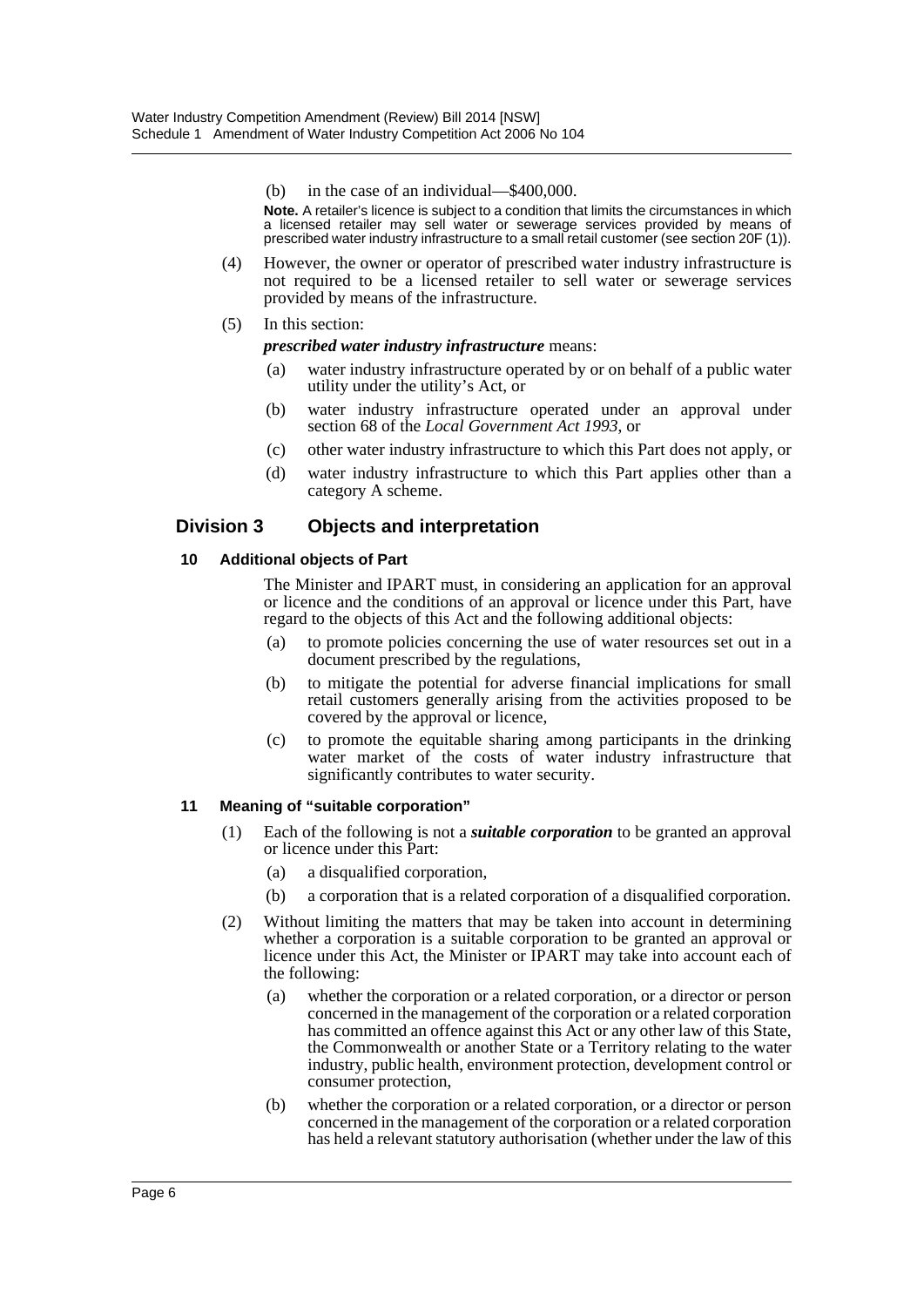(b) in the case of an individual—\$400,000.

**Note.** A retailer's licence is subject to a condition that limits the circumstances in which a licensed retailer may sell water or sewerage services provided by means of prescribed water industry infrastructure to a small retail customer (see section 20F (1)).

- (4) However, the owner or operator of prescribed water industry infrastructure is not required to be a licensed retailer to sell water or sewerage services provided by means of the infrastructure.
- (5) In this section:

*prescribed water industry infrastructure* means:

- (a) water industry infrastructure operated by or on behalf of a public water utility under the utility's Act, or
- (b) water industry infrastructure operated under an approval under section 68 of the *Local Government Act 1993*, or
- (c) other water industry infrastructure to which this Part does not apply, or
- (d) water industry infrastructure to which this Part applies other than a category A scheme.

# **Division 3 Objects and interpretation**

#### **10 Additional objects of Part**

The Minister and IPART must, in considering an application for an approval or licence and the conditions of an approval or licence under this Part, have regard to the objects of this Act and the following additional objects:

- (a) to promote policies concerning the use of water resources set out in a document prescribed by the regulations,
- (b) to mitigate the potential for adverse financial implications for small retail customers generally arising from the activities proposed to be covered by the approval or licence,
- (c) to promote the equitable sharing among participants in the drinking water market of the costs of water industry infrastructure that significantly contributes to water security.

#### **11 Meaning of "suitable corporation"**

- (1) Each of the following is not a *suitable corporation* to be granted an approval or licence under this Part:
	- (a) a disqualified corporation,
	- (b) a corporation that is a related corporation of a disqualified corporation.
- (2) Without limiting the matters that may be taken into account in determining whether a corporation is a suitable corporation to be granted an approval or licence under this Act, the Minister or IPART may take into account each of the following:
	- (a) whether the corporation or a related corporation, or a director or person concerned in the management of the corporation or a related corporation has committed an offence against this Act or any other law of this State, the Commonwealth or another State or a Territory relating to the water industry, public health, environment protection, development control or consumer protection,
	- (b) whether the corporation or a related corporation, or a director or person concerned in the management of the corporation or a related corporation has held a relevant statutory authorisation (whether under the law of this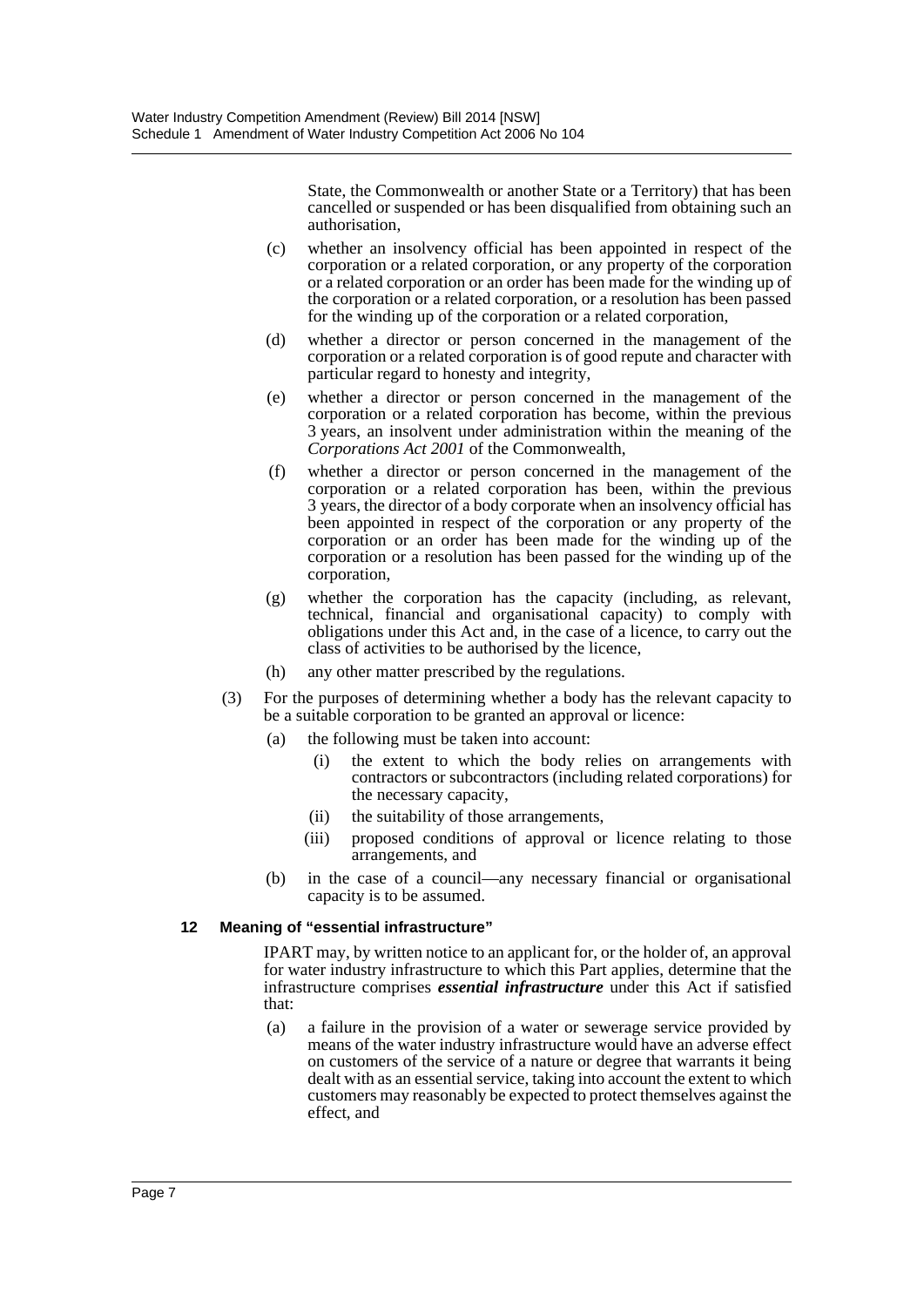State, the Commonwealth or another State or a Territory) that has been cancelled or suspended or has been disqualified from obtaining such an authorisation,

- (c) whether an insolvency official has been appointed in respect of the corporation or a related corporation, or any property of the corporation or a related corporation or an order has been made for the winding up of the corporation or a related corporation, or a resolution has been passed for the winding up of the corporation or a related corporation,
- (d) whether a director or person concerned in the management of the corporation or a related corporation is of good repute and character with particular regard to honesty and integrity,
- (e) whether a director or person concerned in the management of the corporation or a related corporation has become, within the previous 3 years, an insolvent under administration within the meaning of the *Corporations Act 2001* of the Commonwealth,
- (f) whether a director or person concerned in the management of the corporation or a related corporation has been, within the previous 3 years, the director of a body corporate when an insolvency official has been appointed in respect of the corporation or any property of the corporation or an order has been made for the winding up of the corporation or a resolution has been passed for the winding up of the corporation,
- (g) whether the corporation has the capacity (including, as relevant, technical, financial and organisational capacity) to comply with obligations under this Act and, in the case of a licence, to carry out the class of activities to be authorised by the licence,
- (h) any other matter prescribed by the regulations.
- (3) For the purposes of determining whether a body has the relevant capacity to be a suitable corporation to be granted an approval or licence:
	- (a) the following must be taken into account:
		- (i) the extent to which the body relies on arrangements with contractors or subcontractors (including related corporations) for the necessary capacity,
		- (ii) the suitability of those arrangements,
		- (iii) proposed conditions of approval or licence relating to those arrangements, and
	- (b) in the case of a council—any necessary financial or organisational capacity is to be assumed.

#### **12 Meaning of "essential infrastructure"**

IPART may, by written notice to an applicant for, or the holder of, an approval for water industry infrastructure to which this Part applies, determine that the infrastructure comprises *essential infrastructure* under this Act if satisfied that:

(a) a failure in the provision of a water or sewerage service provided by means of the water industry infrastructure would have an adverse effect on customers of the service of a nature or degree that warrants it being dealt with as an essential service, taking into account the extent to which customers may reasonably be expected to protect themselves against the effect, and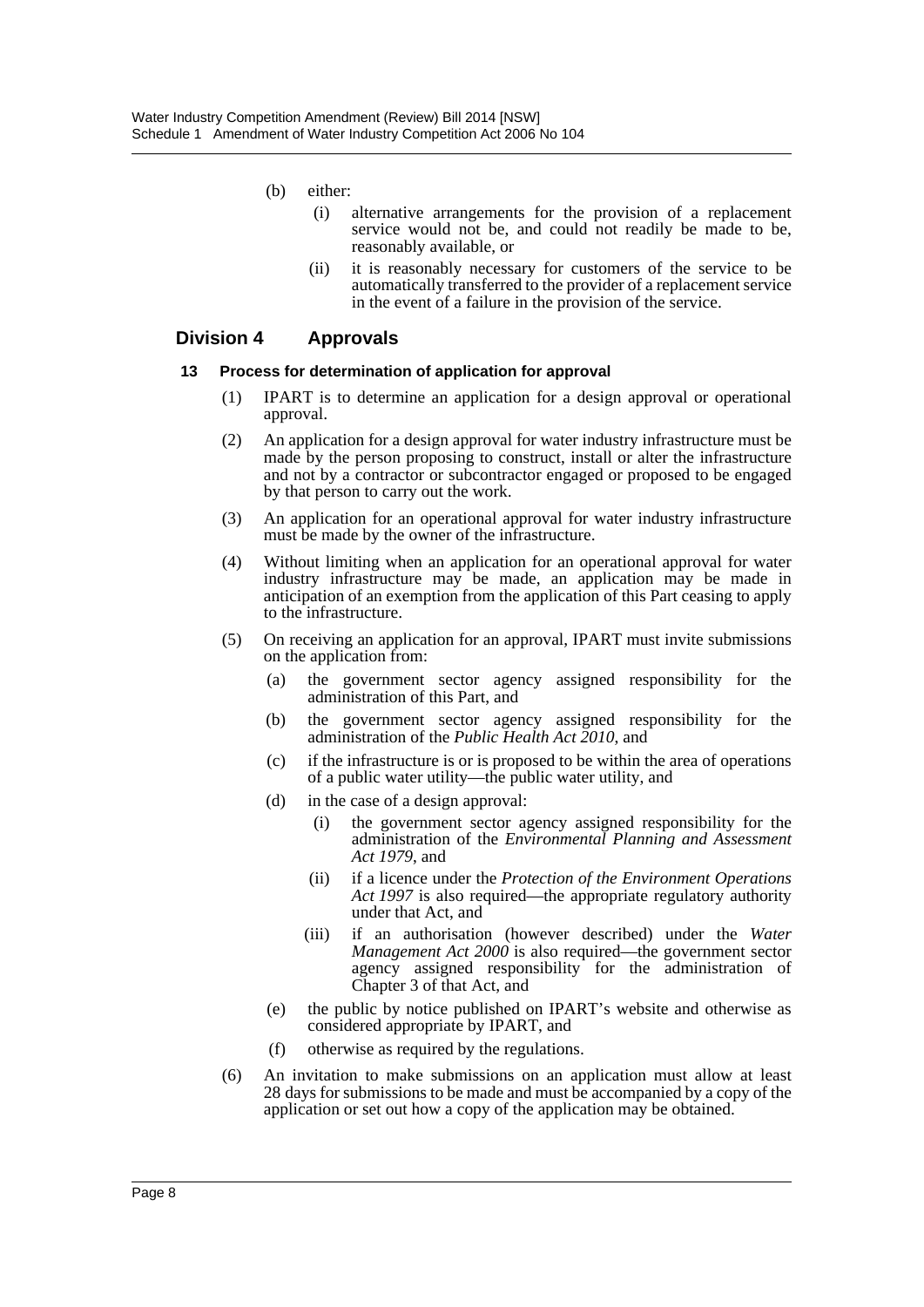- (b) either:
	- (i) alternative arrangements for the provision of a replacement service would not be, and could not readily be made to be, reasonably available, or
	- (ii) it is reasonably necessary for customers of the service to be automatically transferred to the provider of a replacement service in the event of a failure in the provision of the service.

### **Division 4 Approvals**

#### **13 Process for determination of application for approval**

- (1) IPART is to determine an application for a design approval or operational approval.
- (2) An application for a design approval for water industry infrastructure must be made by the person proposing to construct, install or alter the infrastructure and not by a contractor or subcontractor engaged or proposed to be engaged by that person to carry out the work.
- (3) An application for an operational approval for water industry infrastructure must be made by the owner of the infrastructure.
- (4) Without limiting when an application for an operational approval for water industry infrastructure may be made, an application may be made in anticipation of an exemption from the application of this Part ceasing to apply to the infrastructure.
- (5) On receiving an application for an approval, IPART must invite submissions on the application from:
	- (a) the government sector agency assigned responsibility for the administration of this Part, and
	- (b) the government sector agency assigned responsibility for the administration of the *Public Health Act 2010*, and
	- (c) if the infrastructure is or is proposed to be within the area of operations of a public water utility—the public water utility, and
	- (d) in the case of a design approval:
		- (i) the government sector agency assigned responsibility for the administration of the *Environmental Planning and Assessment Act 1979*, and
		- (ii) if a licence under the *Protection of the Environment Operations Act 1997* is also required—the appropriate regulatory authority under that Act, and
		- (iii) if an authorisation (however described) under the *Water Management Act 2000* is also required—the government sector agency assigned responsibility for the administration of Chapter 3 of that Act, and
	- (e) the public by notice published on IPART's website and otherwise as considered appropriate by IPART, and
	- (f) otherwise as required by the regulations.
- (6) An invitation to make submissions on an application must allow at least 28 days for submissions to be made and must be accompanied by a copy of the application or set out how a copy of the application may be obtained.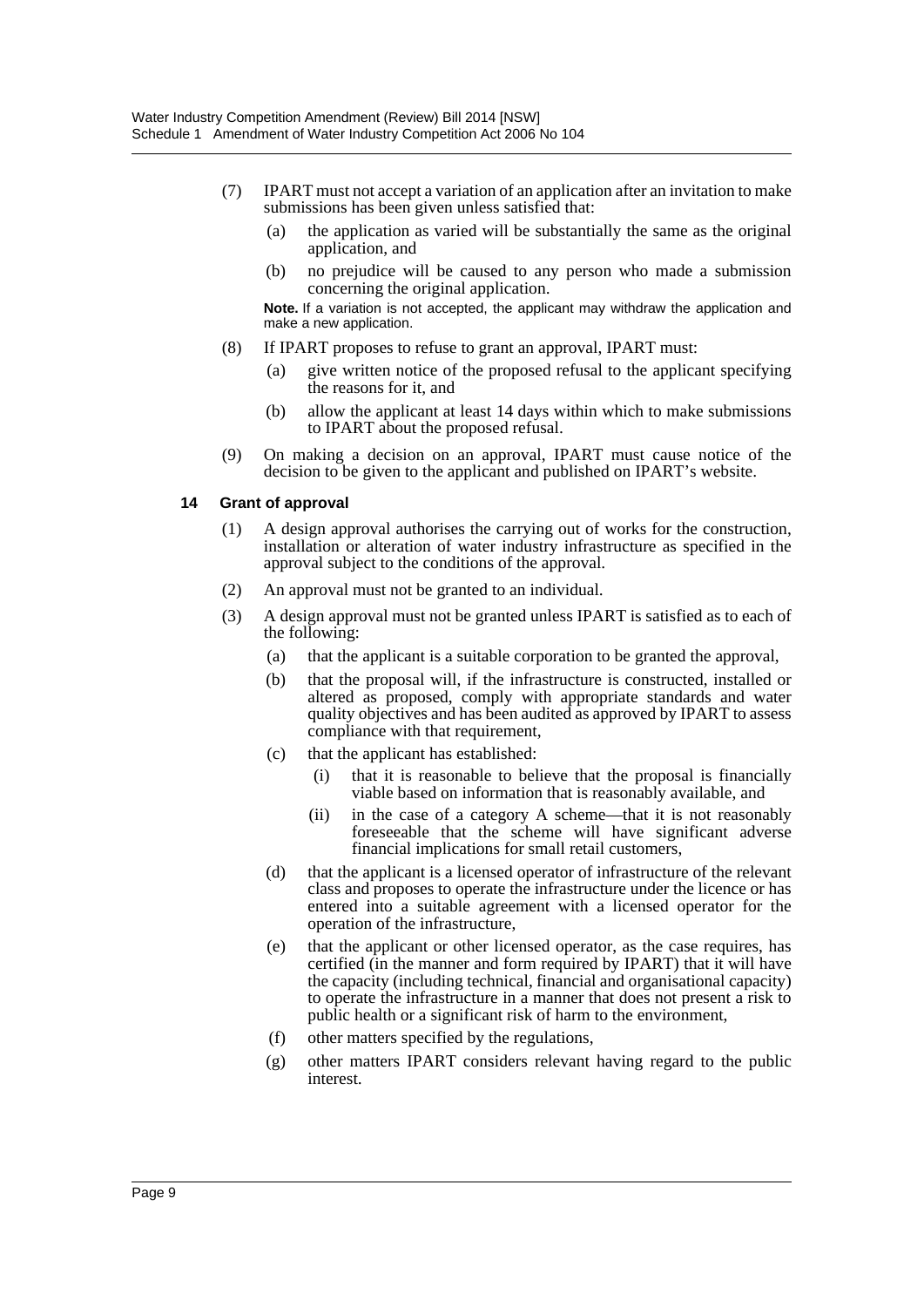- (7) IPART must not accept a variation of an application after an invitation to make submissions has been given unless satisfied that:
	- (a) the application as varied will be substantially the same as the original application, and
	- (b) no prejudice will be caused to any person who made a submission concerning the original application.

**Note.** If a variation is not accepted, the applicant may withdraw the application and make a new application.

- (8) If IPART proposes to refuse to grant an approval, IPART must:
	- (a) give written notice of the proposed refusal to the applicant specifying the reasons for it, and
	- (b) allow the applicant at least 14 days within which to make submissions to IPART about the proposed refusal.
- (9) On making a decision on an approval, IPART must cause notice of the decision to be given to the applicant and published on IPART's website.

#### **14 Grant of approval**

- (1) A design approval authorises the carrying out of works for the construction, installation or alteration of water industry infrastructure as specified in the approval subject to the conditions of the approval.
- (2) An approval must not be granted to an individual.
- (3) A design approval must not be granted unless IPART is satisfied as to each of the following:
	- (a) that the applicant is a suitable corporation to be granted the approval,
	- (b) that the proposal will, if the infrastructure is constructed, installed or altered as proposed, comply with appropriate standards and water quality objectives and has been audited as approved by IPART to assess compliance with that requirement,
	- (c) that the applicant has established:
		- (i) that it is reasonable to believe that the proposal is financially viable based on information that is reasonably available, and
		- (ii) in the case of a category A scheme—that it is not reasonably foreseeable that the scheme will have significant adverse financial implications for small retail customers,
	- (d) that the applicant is a licensed operator of infrastructure of the relevant class and proposes to operate the infrastructure under the licence or has entered into a suitable agreement with a licensed operator for the operation of the infrastructure,
	- (e) that the applicant or other licensed operator, as the case requires, has certified (in the manner and form required by IPART) that it will have the capacity (including technical, financial and organisational capacity) to operate the infrastructure in a manner that does not present a risk to public health or a significant risk of harm to the environment,
	- (f) other matters specified by the regulations,
	- (g) other matters IPART considers relevant having regard to the public interest.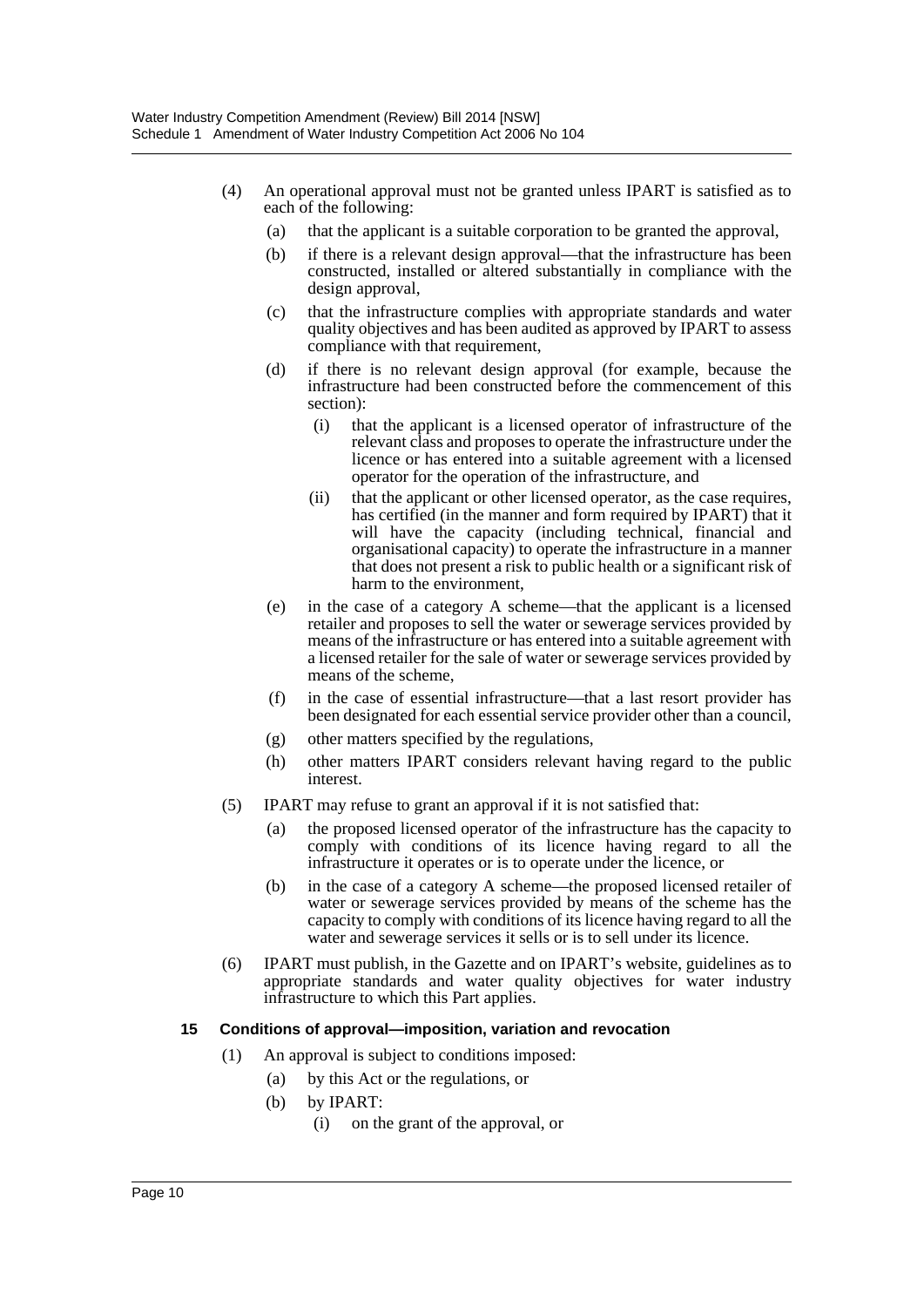- (4) An operational approval must not be granted unless IPART is satisfied as to each of the following:
	- (a) that the applicant is a suitable corporation to be granted the approval,
	- (b) if there is a relevant design approval—that the infrastructure has been constructed, installed or altered substantially in compliance with the design approval,
	- (c) that the infrastructure complies with appropriate standards and water quality objectives and has been audited as approved by IPART to assess compliance with that requirement,
	- (d) if there is no relevant design approval (for example, because the infrastructure had been constructed before the commencement of this section):
		- (i) that the applicant is a licensed operator of infrastructure of the relevant class and proposes to operate the infrastructure under the licence or has entered into a suitable agreement with a licensed operator for the operation of the infrastructure, and
		- (ii) that the applicant or other licensed operator, as the case requires, has certified (in the manner and form required by IPART) that it will have the capacity (including technical, financial and organisational capacity) to operate the infrastructure in a manner that does not present a risk to public health or a significant risk of harm to the environment,
	- (e) in the case of a category A scheme—that the applicant is a licensed retailer and proposes to sell the water or sewerage services provided by means of the infrastructure or has entered into a suitable agreement with a licensed retailer for the sale of water or sewerage services provided by means of the scheme,
	- (f) in the case of essential infrastructure—that a last resort provider has been designated for each essential service provider other than a council,
	- (g) other matters specified by the regulations,
	- (h) other matters IPART considers relevant having regard to the public interest.
- (5) IPART may refuse to grant an approval if it is not satisfied that:
	- (a) the proposed licensed operator of the infrastructure has the capacity to comply with conditions of its licence having regard to all the infrastructure it operates or is to operate under the licence, or
	- (b) in the case of a category A scheme—the proposed licensed retailer of water or sewerage services provided by means of the scheme has the capacity to comply with conditions of its licence having regard to all the water and sewerage services it sells or is to sell under its licence.
- (6) IPART must publish, in the Gazette and on IPART's website, guidelines as to appropriate standards and water quality objectives for water industry infrastructure to which this Part applies.

#### **15 Conditions of approval—imposition, variation and revocation**

- (1) An approval is subject to conditions imposed:
	- (a) by this Act or the regulations, or
	- (b) by IPART:
		- (i) on the grant of the approval, or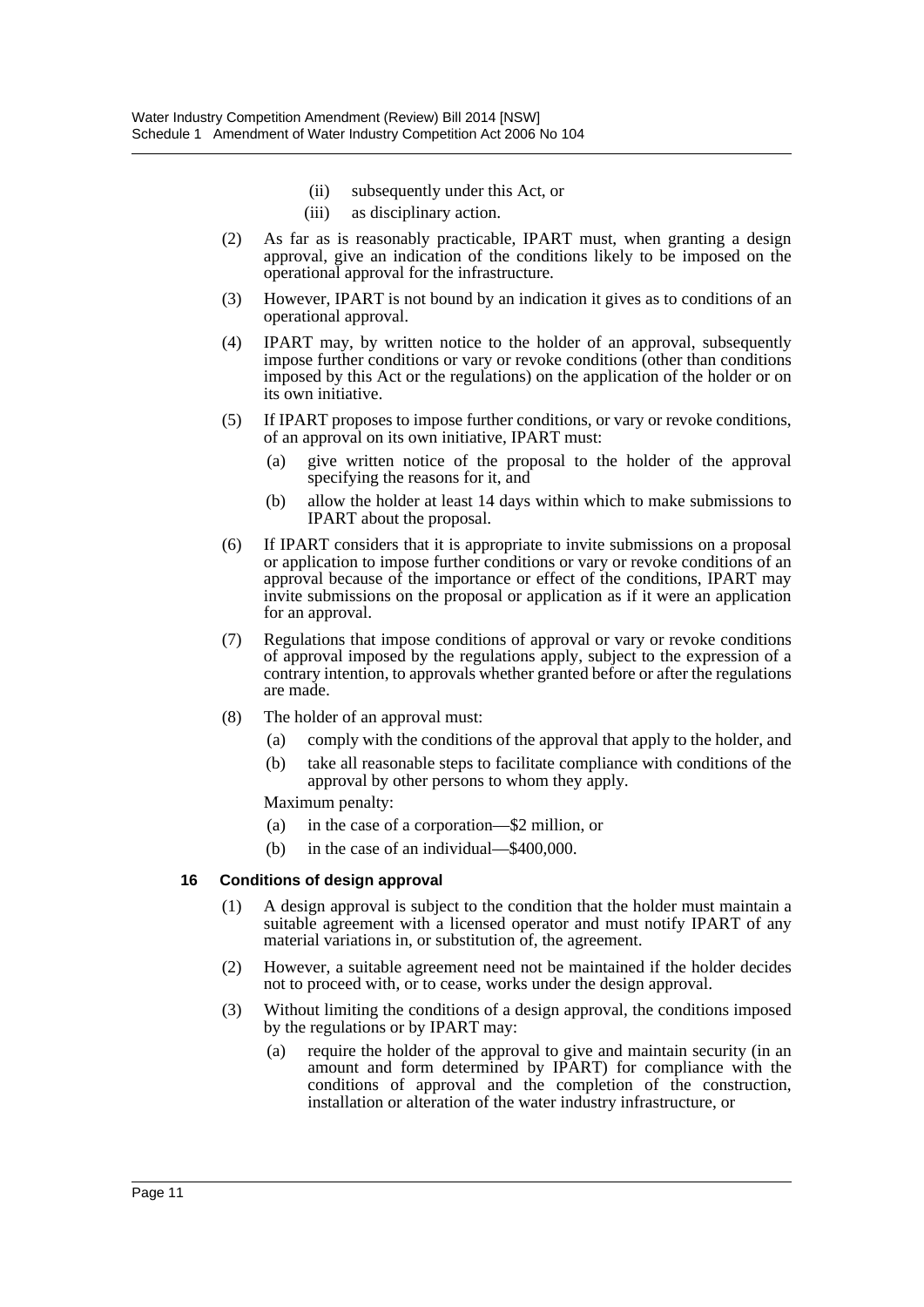- (ii) subsequently under this Act, or
- (iii) as disciplinary action.
- (2) As far as is reasonably practicable, IPART must, when granting a design approval, give an indication of the conditions likely to be imposed on the operational approval for the infrastructure.
- (3) However, IPART is not bound by an indication it gives as to conditions of an operational approval.
- (4) IPART may, by written notice to the holder of an approval, subsequently impose further conditions or vary or revoke conditions (other than conditions imposed by this Act or the regulations) on the application of the holder or on its own initiative.
- (5) If IPART proposes to impose further conditions, or vary or revoke conditions, of an approval on its own initiative, IPART must:
	- (a) give written notice of the proposal to the holder of the approval specifying the reasons for it, and
	- (b) allow the holder at least 14 days within which to make submissions to IPART about the proposal.
- (6) If IPART considers that it is appropriate to invite submissions on a proposal or application to impose further conditions or vary or revoke conditions of an approval because of the importance or effect of the conditions, IPART may invite submissions on the proposal or application as if it were an application for an approval.
- (7) Regulations that impose conditions of approval or vary or revoke conditions of approval imposed by the regulations apply, subject to the expression of a contrary intention, to approvals whether granted before or after the regulations are made.
- (8) The holder of an approval must:
	- (a) comply with the conditions of the approval that apply to the holder, and
	- (b) take all reasonable steps to facilitate compliance with conditions of the approval by other persons to whom they apply.

Maximum penalty:

- (a) in the case of a corporation—\$2 million, or
- (b) in the case of an individual—\$400,000.

#### **16 Conditions of design approval**

- (1) A design approval is subject to the condition that the holder must maintain a suitable agreement with a licensed operator and must notify IPART of any material variations in, or substitution of, the agreement.
- (2) However, a suitable agreement need not be maintained if the holder decides not to proceed with, or to cease, works under the design approval.
- (3) Without limiting the conditions of a design approval, the conditions imposed by the regulations or by IPART may:
	- (a) require the holder of the approval to give and maintain security (in an amount and form determined by IPART) for compliance with the conditions of approval and the completion of the construction, installation or alteration of the water industry infrastructure, or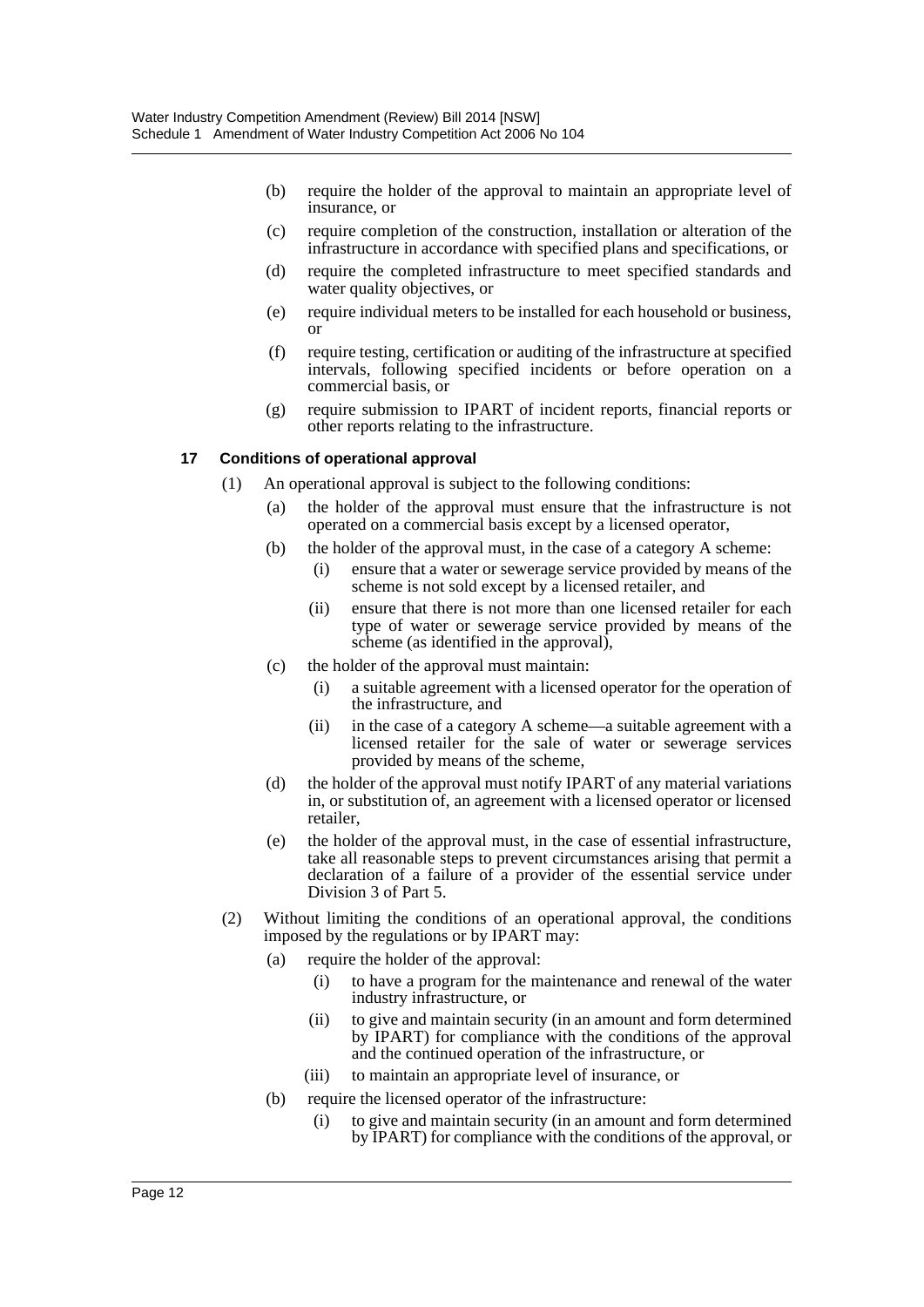- (b) require the holder of the approval to maintain an appropriate level of insurance, or
- (c) require completion of the construction, installation or alteration of the infrastructure in accordance with specified plans and specifications, or
- (d) require the completed infrastructure to meet specified standards and water quality objectives, or
- (e) require individual meters to be installed for each household or business, or
- (f) require testing, certification or auditing of the infrastructure at specified intervals, following specified incidents or before operation on a commercial basis, or
- (g) require submission to IPART of incident reports, financial reports or other reports relating to the infrastructure.

#### **17 Conditions of operational approval**

- (1) An operational approval is subject to the following conditions:
	- (a) the holder of the approval must ensure that the infrastructure is not operated on a commercial basis except by a licensed operator,
	- (b) the holder of the approval must, in the case of a category A scheme:
		- (i) ensure that a water or sewerage service provided by means of the scheme is not sold except by a licensed retailer, and
		- (ii) ensure that there is not more than one licensed retailer for each type of water or sewerage service provided by means of the scheme (as identified in the approval),
	- (c) the holder of the approval must maintain:
		- (i) a suitable agreement with a licensed operator for the operation of the infrastructure, and
		- (ii) in the case of a category A scheme—a suitable agreement with a licensed retailer for the sale of water or sewerage services provided by means of the scheme,
	- (d) the holder of the approval must notify IPART of any material variations in, or substitution of, an agreement with a licensed operator or licensed retailer,
	- (e) the holder of the approval must, in the case of essential infrastructure, take all reasonable steps to prevent circumstances arising that permit a declaration of a failure of a provider of the essential service under Division 3 of Part 5.
- (2) Without limiting the conditions of an operational approval, the conditions imposed by the regulations or by IPART may:
	- (a) require the holder of the approval:
		- (i) to have a program for the maintenance and renewal of the water industry infrastructure, or
		- (ii) to give and maintain security (in an amount and form determined by IPART) for compliance with the conditions of the approval and the continued operation of the infrastructure, or
		- (iii) to maintain an appropriate level of insurance, or
	- (b) require the licensed operator of the infrastructure:
		- (i) to give and maintain security (in an amount and form determined by IPART) for compliance with the conditions of the approval, or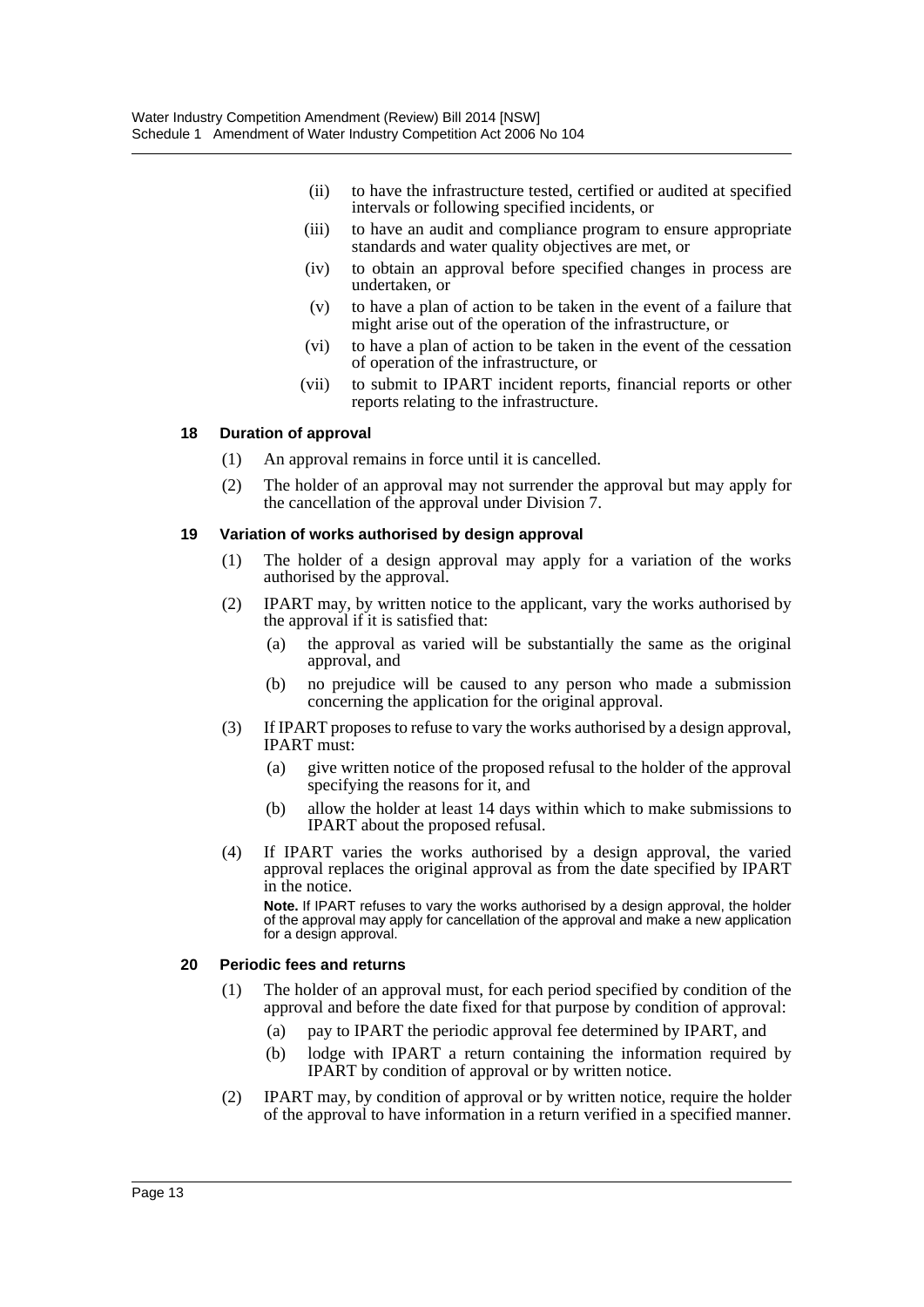- (ii) to have the infrastructure tested, certified or audited at specified intervals or following specified incidents, or
- (iii) to have an audit and compliance program to ensure appropriate standards and water quality objectives are met, or
- (iv) to obtain an approval before specified changes in process are undertaken, or
- (v) to have a plan of action to be taken in the event of a failure that might arise out of the operation of the infrastructure, or
- (vi) to have a plan of action to be taken in the event of the cessation of operation of the infrastructure, or
- (vii) to submit to IPART incident reports, financial reports or other reports relating to the infrastructure.

#### **18 Duration of approval**

- (1) An approval remains in force until it is cancelled.
- (2) The holder of an approval may not surrender the approval but may apply for the cancellation of the approval under Division 7.

#### **19 Variation of works authorised by design approval**

- (1) The holder of a design approval may apply for a variation of the works authorised by the approval.
- (2) IPART may, by written notice to the applicant, vary the works authorised by the approval if it is satisfied that:
	- (a) the approval as varied will be substantially the same as the original approval, and
	- (b) no prejudice will be caused to any person who made a submission concerning the application for the original approval.
- (3) If IPART proposes to refuse to vary the works authorised by a design approval, IPART must:
	- (a) give written notice of the proposed refusal to the holder of the approval specifying the reasons for it, and
	- (b) allow the holder at least 14 days within which to make submissions to IPART about the proposed refusal.
- (4) If IPART varies the works authorised by a design approval, the varied approval replaces the original approval as from the date specified by IPART in the notice.

**Note.** If IPART refuses to vary the works authorised by a design approval, the holder of the approval may apply for cancellation of the approval and make a new application for a design approval.

#### **20 Periodic fees and returns**

- (1) The holder of an approval must, for each period specified by condition of the approval and before the date fixed for that purpose by condition of approval:
	- (a) pay to IPART the periodic approval fee determined by IPART, and
	- (b) lodge with IPART a return containing the information required by IPART by condition of approval or by written notice.
- (2) IPART may, by condition of approval or by written notice, require the holder of the approval to have information in a return verified in a specified manner.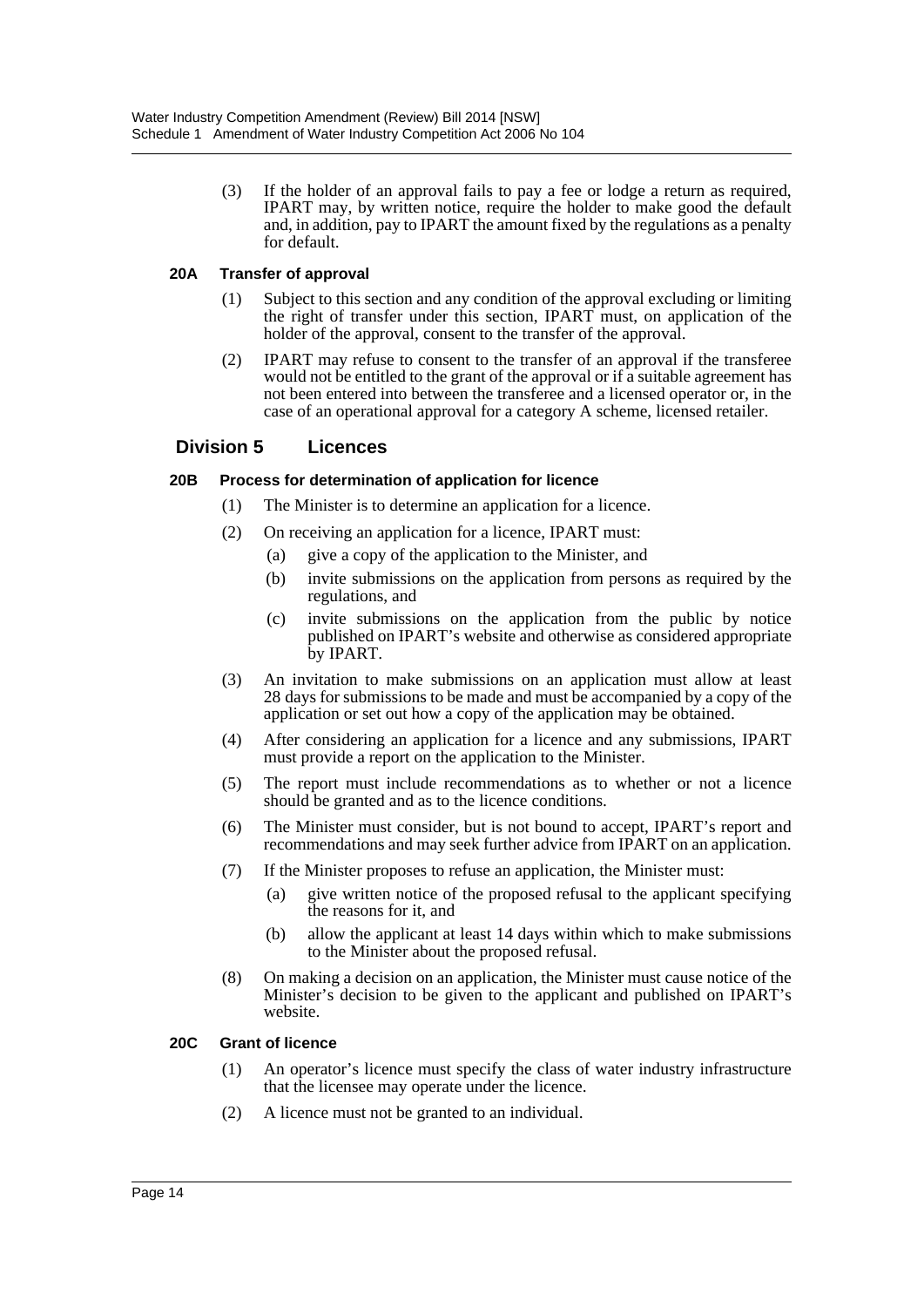(3) If the holder of an approval fails to pay a fee or lodge a return as required, IPART may, by written notice, require the holder to make good the default and, in addition, pay to IPART the amount fixed by the regulations as a penalty for default.

#### **20A Transfer of approval**

- (1) Subject to this section and any condition of the approval excluding or limiting the right of transfer under this section, IPART must, on application of the holder of the approval, consent to the transfer of the approval.
- (2) IPART may refuse to consent to the transfer of an approval if the transferee would not be entitled to the grant of the approval or if a suitable agreement has not been entered into between the transferee and a licensed operator or, in the case of an operational approval for a category A scheme, licensed retailer.

# **Division 5 Licences**

#### **20B Process for determination of application for licence**

- (1) The Minister is to determine an application for a licence.
- (2) On receiving an application for a licence, IPART must:
	- (a) give a copy of the application to the Minister, and
	- (b) invite submissions on the application from persons as required by the regulations, and
	- (c) invite submissions on the application from the public by notice published on IPART's website and otherwise as considered appropriate by IPART.
- (3) An invitation to make submissions on an application must allow at least 28 days for submissions to be made and must be accompanied by a copy of the application or set out how a copy of the application may be obtained.
- (4) After considering an application for a licence and any submissions, IPART must provide a report on the application to the Minister.
- (5) The report must include recommendations as to whether or not a licence should be granted and as to the licence conditions.
- (6) The Minister must consider, but is not bound to accept, IPART's report and recommendations and may seek further advice from IPART on an application.
- (7) If the Minister proposes to refuse an application, the Minister must:
	- (a) give written notice of the proposed refusal to the applicant specifying the reasons for it, and
	- (b) allow the applicant at least 14 days within which to make submissions to the Minister about the proposed refusal.
- (8) On making a decision on an application, the Minister must cause notice of the Minister's decision to be given to the applicant and published on IPART's website.

#### **20C Grant of licence**

- (1) An operator's licence must specify the class of water industry infrastructure that the licensee may operate under the licence.
- (2) A licence must not be granted to an individual.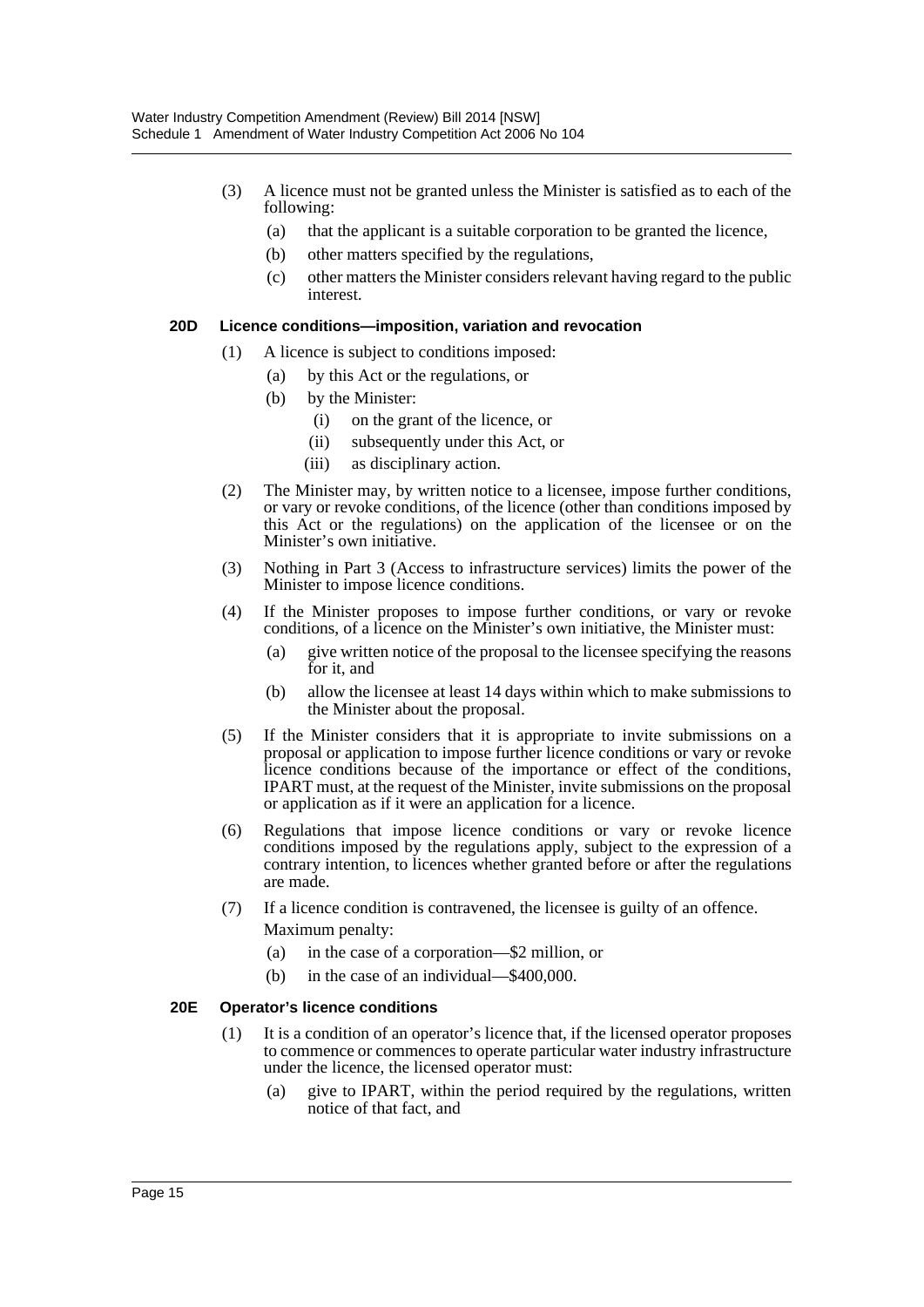- (3) A licence must not be granted unless the Minister is satisfied as to each of the following:
	- (a) that the applicant is a suitable corporation to be granted the licence,
	- (b) other matters specified by the regulations,
	- (c) other matters the Minister considers relevant having regard to the public interest.

#### **20D Licence conditions—imposition, variation and revocation**

- (1) A licence is subject to conditions imposed:
	- (a) by this Act or the regulations, or
	- (b) by the Minister:
		- (i) on the grant of the licence, or
		- (ii) subsequently under this Act, or
		- (iii) as disciplinary action.
- (2) The Minister may, by written notice to a licensee, impose further conditions, or vary or revoke conditions, of the licence (other than conditions imposed by this Act or the regulations) on the application of the licensee or on the Minister's own initiative.
- (3) Nothing in Part 3 (Access to infrastructure services) limits the power of the Minister to impose licence conditions.
- (4) If the Minister proposes to impose further conditions, or vary or revoke conditions, of a licence on the Minister's own initiative, the Minister must:
	- (a) give written notice of the proposal to the licensee specifying the reasons for it, and
	- (b) allow the licensee at least 14 days within which to make submissions to the Minister about the proposal.
- (5) If the Minister considers that it is appropriate to invite submissions on a proposal or application to impose further licence conditions or vary or revoke licence conditions because of the importance or effect of the conditions, IPART must, at the request of the Minister, invite submissions on the proposal or application as if it were an application for a licence.
- (6) Regulations that impose licence conditions or vary or revoke licence conditions imposed by the regulations apply, subject to the expression of a contrary intention, to licences whether granted before or after the regulations are made.
- (7) If a licence condition is contravened, the licensee is guilty of an offence. Maximum penalty:
	- (a) in the case of a corporation—\$2 million, or
	- (b) in the case of an individual—\$400,000.

#### **20E Operator's licence conditions**

- (1) It is a condition of an operator's licence that, if the licensed operator proposes to commence or commences to operate particular water industry infrastructure under the licence, the licensed operator must:
	- (a) give to IPART, within the period required by the regulations, written notice of that fact, and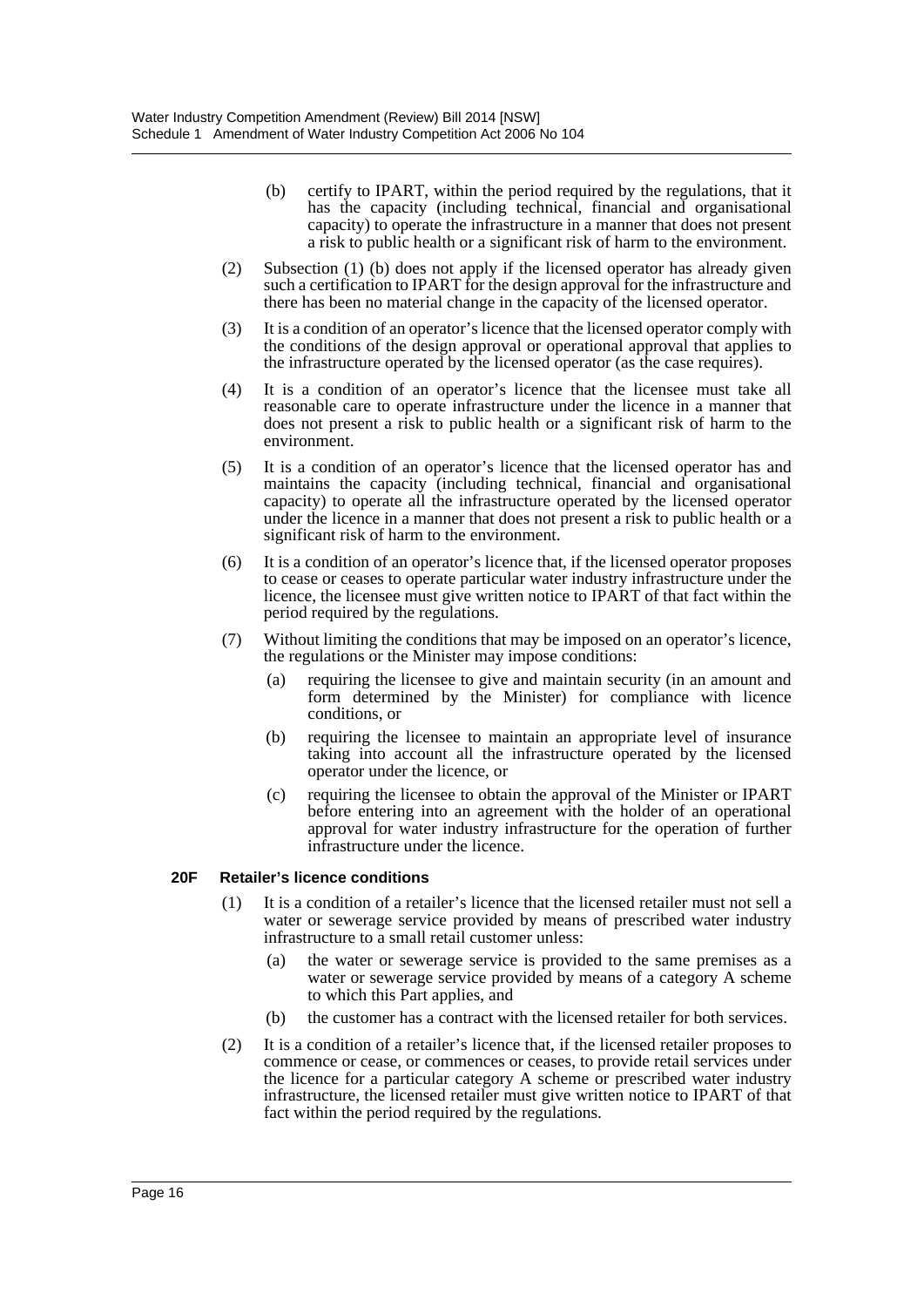- (b) certify to IPART, within the period required by the regulations, that it has the capacity (including technical, financial and organisational capacity) to operate the infrastructure in a manner that does not present a risk to public health or a significant risk of harm to the environment.
- (2) Subsection (1) (b) does not apply if the licensed operator has already given such a certification to IPART for the design approval for the infrastructure and there has been no material change in the capacity of the licensed operator.
- (3) It is a condition of an operator's licence that the licensed operator comply with the conditions of the design approval or operational approval that applies to the infrastructure operated by the licensed operator (as the case requires).
- (4) It is a condition of an operator's licence that the licensee must take all reasonable care to operate infrastructure under the licence in a manner that does not present a risk to public health or a significant risk of harm to the environment.
- (5) It is a condition of an operator's licence that the licensed operator has and maintains the capacity (including technical, financial and organisational capacity) to operate all the infrastructure operated by the licensed operator under the licence in a manner that does not present a risk to public health or a significant risk of harm to the environment.
- (6) It is a condition of an operator's licence that, if the licensed operator proposes to cease or ceases to operate particular water industry infrastructure under the licence, the licensee must give written notice to IPART of that fact within the period required by the regulations.
- (7) Without limiting the conditions that may be imposed on an operator's licence, the regulations or the Minister may impose conditions:
	- (a) requiring the licensee to give and maintain security (in an amount and form determined by the Minister) for compliance with licence conditions, or
	- (b) requiring the licensee to maintain an appropriate level of insurance taking into account all the infrastructure operated by the licensed operator under the licence, or
	- (c) requiring the licensee to obtain the approval of the Minister or IPART before entering into an agreement with the holder of an operational approval for water industry infrastructure for the operation of further infrastructure under the licence.

#### **20F Retailer's licence conditions**

- (1) It is a condition of a retailer's licence that the licensed retailer must not sell a water or sewerage service provided by means of prescribed water industry infrastructure to a small retail customer unless:
	- (a) the water or sewerage service is provided to the same premises as a water or sewerage service provided by means of a category A scheme to which this Part applies, and
	- (b) the customer has a contract with the licensed retailer for both services.
- (2) It is a condition of a retailer's licence that, if the licensed retailer proposes to commence or cease, or commences or ceases, to provide retail services under the licence for a particular category A scheme or prescribed water industry infrastructure, the licensed retailer must give written notice to IPART of that fact within the period required by the regulations.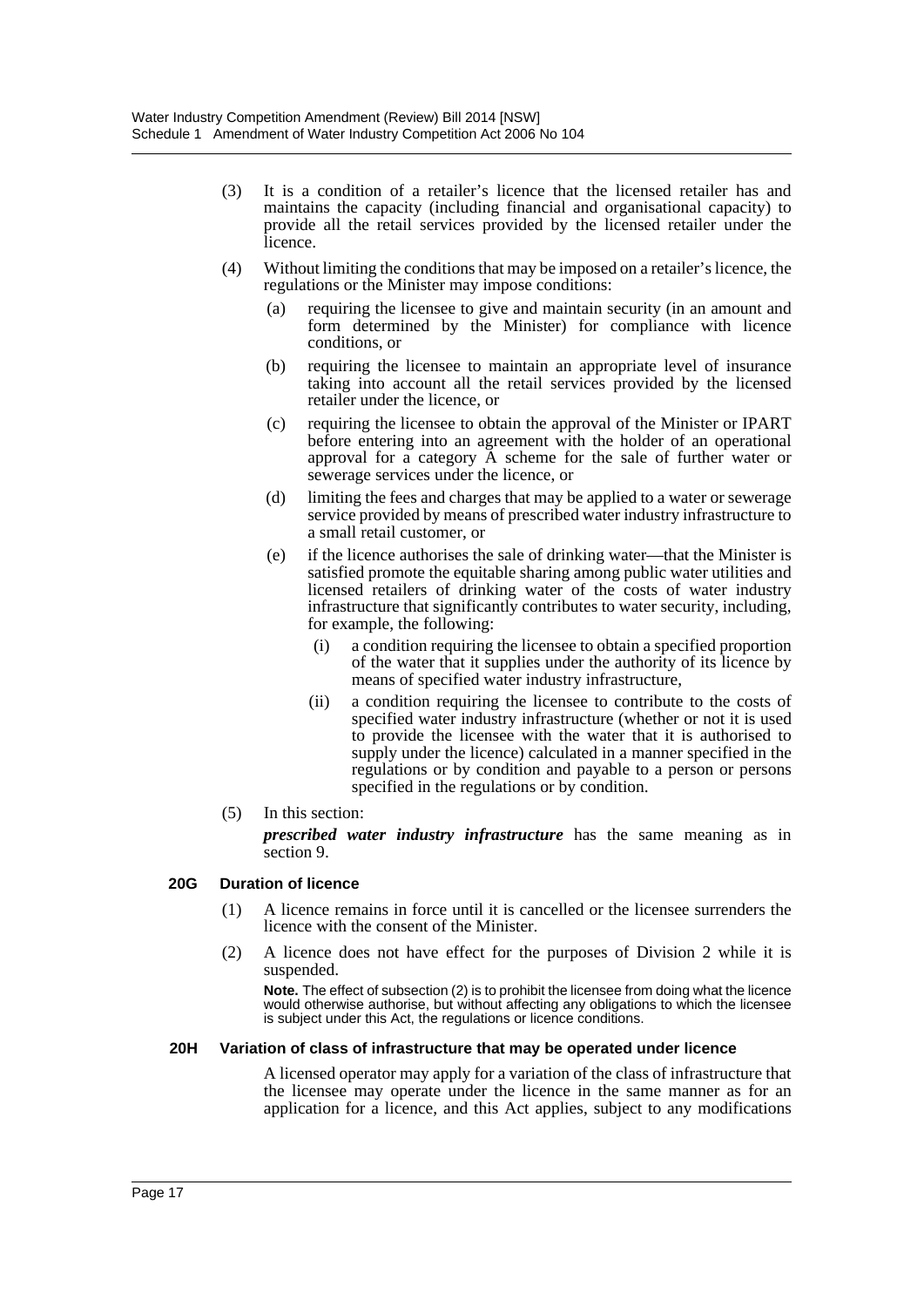- (3) It is a condition of a retailer's licence that the licensed retailer has and maintains the capacity (including financial and organisational capacity) to provide all the retail services provided by the licensed retailer under the licence.
- (4) Without limiting the conditions that may be imposed on a retailer's licence, the regulations or the Minister may impose conditions:
	- (a) requiring the licensee to give and maintain security (in an amount and form determined by the Minister) for compliance with licence conditions, or
	- (b) requiring the licensee to maintain an appropriate level of insurance taking into account all the retail services provided by the licensed retailer under the licence, or
	- (c) requiring the licensee to obtain the approval of the Minister or IPART before entering into an agreement with the holder of an operational approval for a category A scheme for the sale of further water or sewerage services under the licence, or
	- (d) limiting the fees and charges that may be applied to a water or sewerage service provided by means of prescribed water industry infrastructure to a small retail customer, or
	- (e) if the licence authorises the sale of drinking water—that the Minister is satisfied promote the equitable sharing among public water utilities and licensed retailers of drinking water of the costs of water industry infrastructure that significantly contributes to water security, including, for example, the following:
		- (i) a condition requiring the licensee to obtain a specified proportion of the water that it supplies under the authority of its licence by means of specified water industry infrastructure,
		- (ii) a condition requiring the licensee to contribute to the costs of specified water industry infrastructure (whether or not it is used to provide the licensee with the water that it is authorised to supply under the licence) calculated in a manner specified in the regulations or by condition and payable to a person or persons specified in the regulations or by condition.
- (5) In this section:

*prescribed water industry infrastructure* has the same meaning as in section 9.

#### **20G Duration of licence**

- (1) A licence remains in force until it is cancelled or the licensee surrenders the licence with the consent of the Minister.
- (2) A licence does not have effect for the purposes of Division 2 while it is suspended.

**Note.** The effect of subsection (2) is to prohibit the licensee from doing what the licence would otherwise authorise, but without affecting any obligations to which the licensee is subject under this Act, the regulations or licence conditions.

#### **20H Variation of class of infrastructure that may be operated under licence**

A licensed operator may apply for a variation of the class of infrastructure that the licensee may operate under the licence in the same manner as for an application for a licence, and this Act applies, subject to any modifications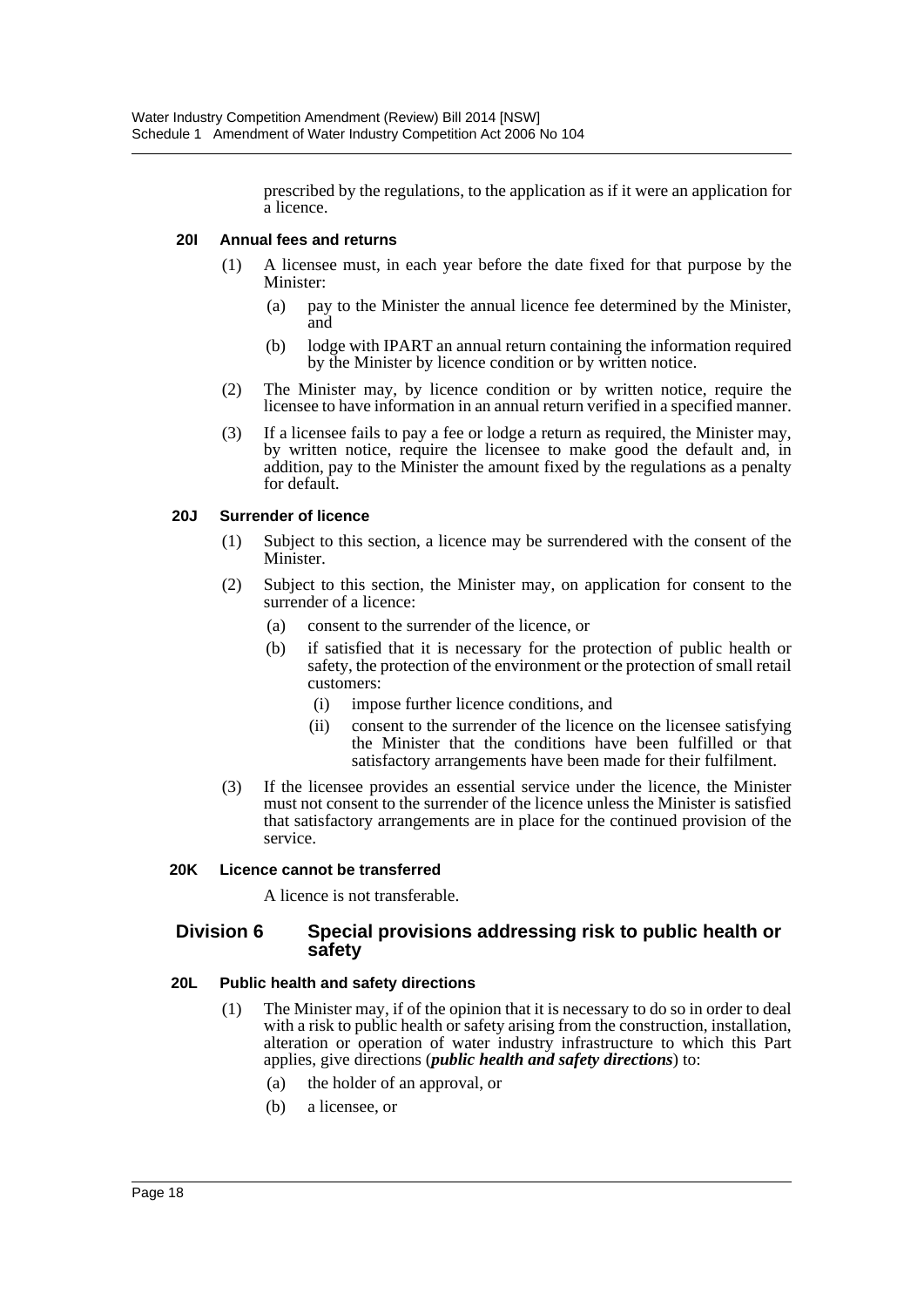prescribed by the regulations, to the application as if it were an application for a licence.

#### **20I Annual fees and returns**

- (1) A licensee must, in each year before the date fixed for that purpose by the Minister:
	- (a) pay to the Minister the annual licence fee determined by the Minister, and
	- (b) lodge with IPART an annual return containing the information required by the Minister by licence condition or by written notice.
- (2) The Minister may, by licence condition or by written notice, require the licensee to have information in an annual return verified in a specified manner.
- (3) If a licensee fails to pay a fee or lodge a return as required, the Minister may, by written notice, require the licensee to make good the default and, in addition, pay to the Minister the amount fixed by the regulations as a penalty for default.

#### **20J Surrender of licence**

- (1) Subject to this section, a licence may be surrendered with the consent of the Minister.
- (2) Subject to this section, the Minister may, on application for consent to the surrender of a licence:
	- (a) consent to the surrender of the licence, or
	- (b) if satisfied that it is necessary for the protection of public health or safety, the protection of the environment or the protection of small retail customers:
		- (i) impose further licence conditions, and
		- (ii) consent to the surrender of the licence on the licensee satisfying the Minister that the conditions have been fulfilled or that satisfactory arrangements have been made for their fulfilment.
- (3) If the licensee provides an essential service under the licence, the Minister must not consent to the surrender of the licence unless the Minister is satisfied that satisfactory arrangements are in place for the continued provision of the service.

#### **20K Licence cannot be transferred**

A licence is not transferable.

#### **Division 6 Special provisions addressing risk to public health or safety**

#### **20L Public health and safety directions**

- (1) The Minister may, if of the opinion that it is necessary to do so in order to deal with a risk to public health or safety arising from the construction, installation, alteration or operation of water industry infrastructure to which this Part applies, give directions (*public health and safety directions*) to:
	- (a) the holder of an approval, or
	- (b) a licensee, or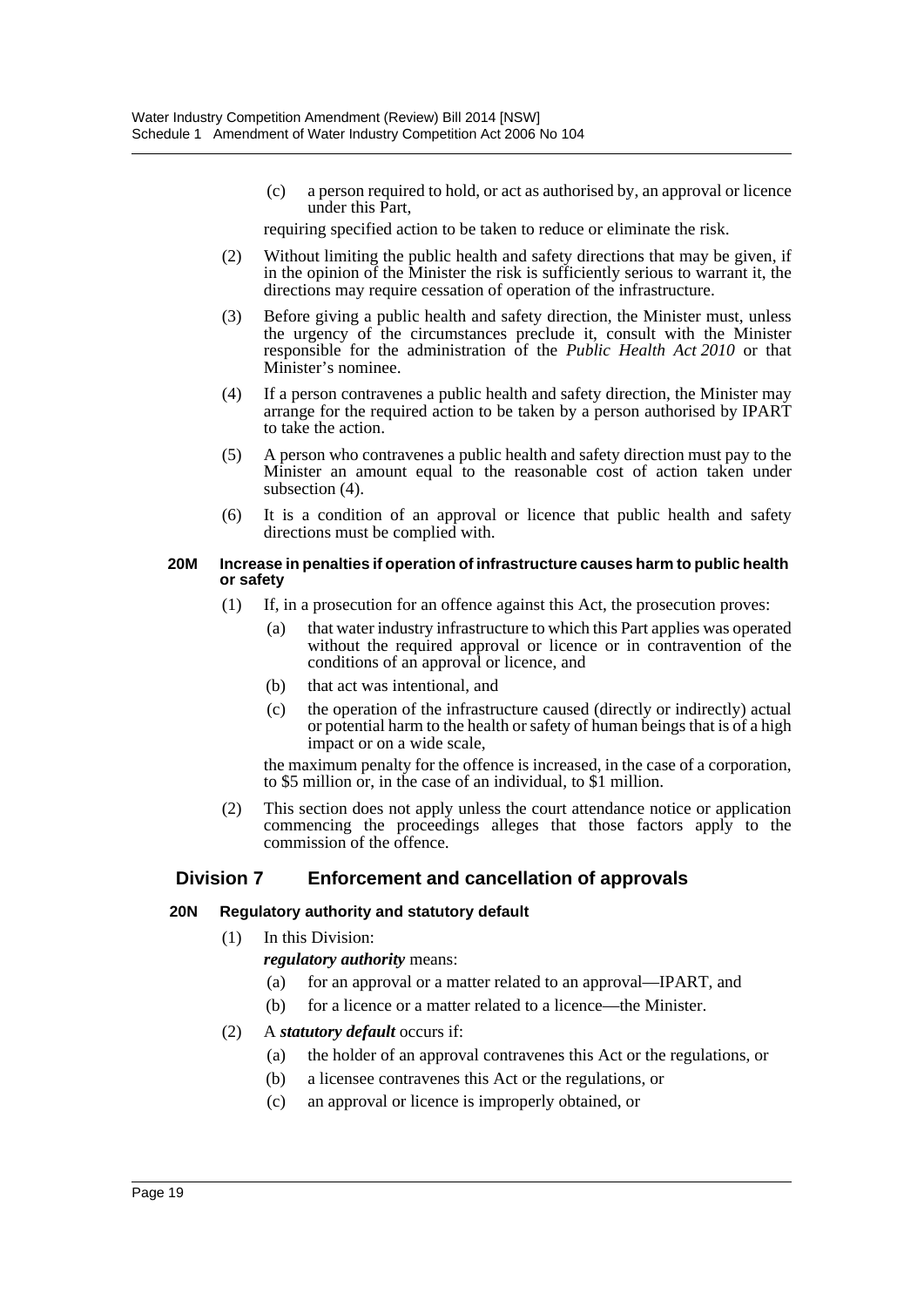(c) a person required to hold, or act as authorised by, an approval or licence under this Part,

requiring specified action to be taken to reduce or eliminate the risk.

- (2) Without limiting the public health and safety directions that may be given, if in the opinion of the Minister the risk is sufficiently serious to warrant it, the directions may require cessation of operation of the infrastructure.
- (3) Before giving a public health and safety direction, the Minister must, unless the urgency of the circumstances preclude it, consult with the Minister responsible for the administration of the *Public Health Act 2010* or that Minister's nominee.
- (4) If a person contravenes a public health and safety direction, the Minister may arrange for the required action to be taken by a person authorised by IPART to take the action.
- (5) A person who contravenes a public health and safety direction must pay to the Minister an amount equal to the reasonable cost of action taken under subsection (4).
- (6) It is a condition of an approval or licence that public health and safety directions must be complied with.

#### **20M Increase in penalties if operation of infrastructure causes harm to public health or safety**

- (1) If, in a prosecution for an offence against this Act, the prosecution proves:
	- (a) that water industry infrastructure to which this Part applies was operated without the required approval or licence or in contravention of the conditions of an approval or licence, and
	- (b) that act was intentional, and
	- (c) the operation of the infrastructure caused (directly or indirectly) actual or potential harm to the health or safety of human beings that is of a high impact or on a wide scale,

the maximum penalty for the offence is increased, in the case of a corporation, to \$5 million or, in the case of an individual, to \$1 million.

(2) This section does not apply unless the court attendance notice or application commencing the proceedings alleges that those factors apply to the commission of the offence.

# **Division 7 Enforcement and cancellation of approvals**

### **20N Regulatory authority and statutory default**

(1) In this Division:

*regulatory authority* means:

- (a) for an approval or a matter related to an approval—IPART, and
- (b) for a licence or a matter related to a licence—the Minister.

### (2) A *statutory default* occurs if:

- (a) the holder of an approval contravenes this Act or the regulations, or
- (b) a licensee contravenes this Act or the regulations, or
- (c) an approval or licence is improperly obtained, or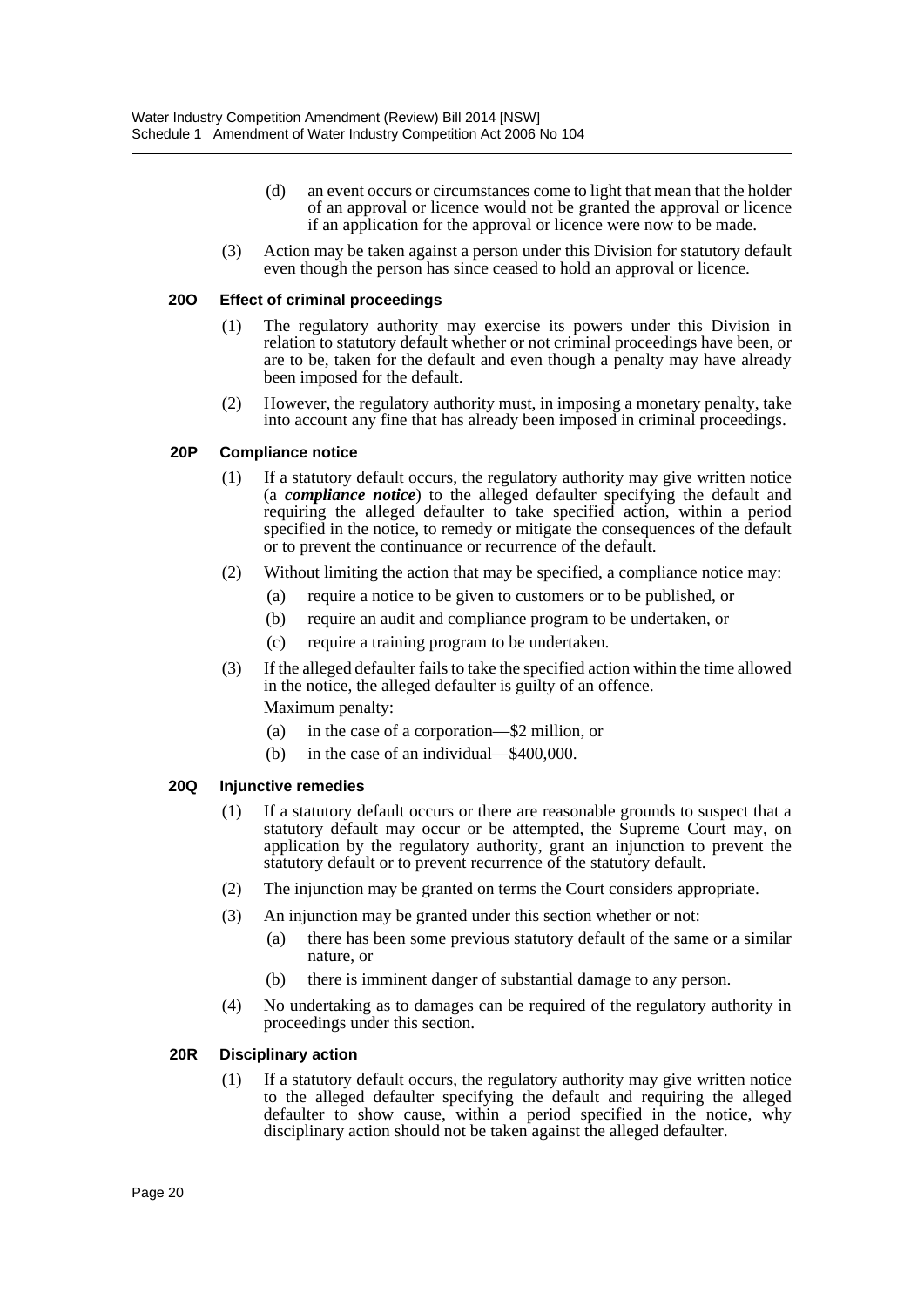- (d) an event occurs or circumstances come to light that mean that the holder of an approval or licence would not be granted the approval or licence if an application for the approval or licence were now to be made.
- (3) Action may be taken against a person under this Division for statutory default even though the person has since ceased to hold an approval or licence.

#### **20O Effect of criminal proceedings**

- (1) The regulatory authority may exercise its powers under this Division in relation to statutory default whether or not criminal proceedings have been, or are to be, taken for the default and even though a penalty may have already been imposed for the default.
- (2) However, the regulatory authority must, in imposing a monetary penalty, take into account any fine that has already been imposed in criminal proceedings.

#### **20P Compliance notice**

- (1) If a statutory default occurs, the regulatory authority may give written notice (a *compliance notice*) to the alleged defaulter specifying the default and requiring the alleged defaulter to take specified action, within a period specified in the notice, to remedy or mitigate the consequences of the default or to prevent the continuance or recurrence of the default.
- (2) Without limiting the action that may be specified, a compliance notice may:
	- (a) require a notice to be given to customers or to be published, or
	- (b) require an audit and compliance program to be undertaken, or
	- (c) require a training program to be undertaken.
- (3) If the alleged defaulter fails to take the specified action within the time allowed in the notice, the alleged defaulter is guilty of an offence. Maximum penalty:
	- (a) in the case of a corporation—\$2 million, or
	- (b) in the case of an individual—\$400,000.

#### **20Q Injunctive remedies**

- (1) If a statutory default occurs or there are reasonable grounds to suspect that a statutory default may occur or be attempted, the Supreme Court may, on application by the regulatory authority, grant an injunction to prevent the statutory default or to prevent recurrence of the statutory default.
- (2) The injunction may be granted on terms the Court considers appropriate.
- (3) An injunction may be granted under this section whether or not:
	- (a) there has been some previous statutory default of the same or a similar nature, or
	- (b) there is imminent danger of substantial damage to any person.
- (4) No undertaking as to damages can be required of the regulatory authority in proceedings under this section.

#### **20R Disciplinary action**

(1) If a statutory default occurs, the regulatory authority may give written notice to the alleged defaulter specifying the default and requiring the alleged defaulter to show cause, within a period specified in the notice, why disciplinary action should not be taken against the alleged defaulter.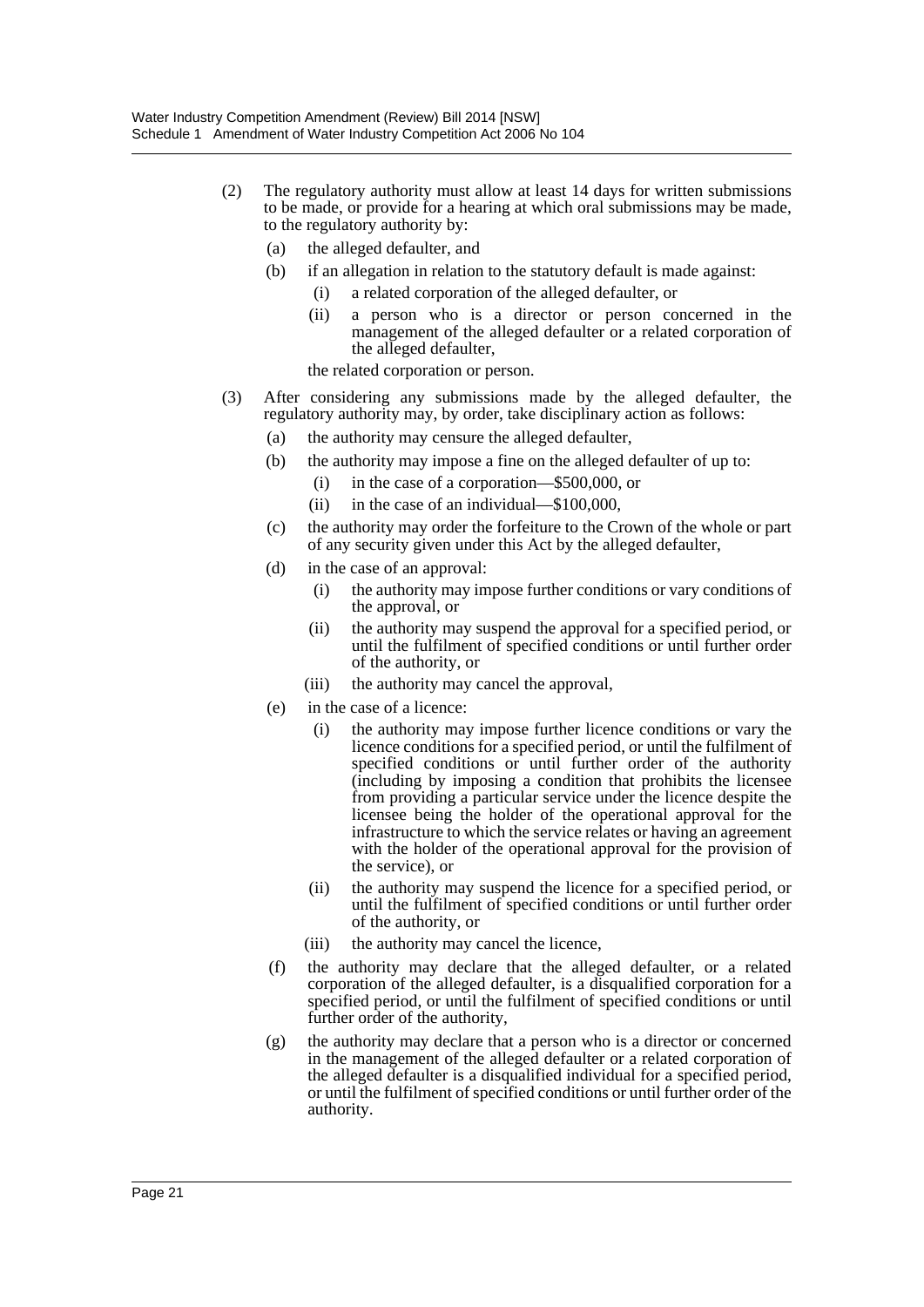- (2) The regulatory authority must allow at least 14 days for written submissions to be made, or provide for a hearing at which oral submissions may be made, to the regulatory authority by:
	- (a) the alleged defaulter, and
	- (b) if an allegation in relation to the statutory default is made against:
		- (i) a related corporation of the alleged defaulter, or
		- (ii) a person who is a director or person concerned in the management of the alleged defaulter or a related corporation of the alleged defaulter,

the related corporation or person.

- (3) After considering any submissions made by the alleged defaulter, the regulatory authority may, by order, take disciplinary action as follows:
	- (a) the authority may censure the alleged defaulter,
	- (b) the authority may impose a fine on the alleged defaulter of up to:
		- (i) in the case of a corporation—\$500,000, or
		- (ii) in the case of an individual—\$100,000,
	- (c) the authority may order the forfeiture to the Crown of the whole or part of any security given under this Act by the alleged defaulter,
	- (d) in the case of an approval:
		- (i) the authority may impose further conditions or vary conditions of the approval, or
		- (ii) the authority may suspend the approval for a specified period, or until the fulfilment of specified conditions or until further order of the authority, or
		- (iii) the authority may cancel the approval,
	- (e) in the case of a licence:
		- (i) the authority may impose further licence conditions or vary the licence conditions for a specified period, or until the fulfilment of specified conditions or until further order of the authority (including by imposing a condition that prohibits the licensee from providing a particular service under the licence despite the licensee being the holder of the operational approval for the infrastructure to which the service relates or having an agreement with the holder of the operational approval for the provision of the service), or
		- (ii) the authority may suspend the licence for a specified period, or until the fulfilment of specified conditions or until further order of the authority, or
		- (iii) the authority may cancel the licence,
	- (f) the authority may declare that the alleged defaulter, or a related corporation of the alleged defaulter, is a disqualified corporation for a specified period, or until the fulfilment of specified conditions or until further order of the authority,
	- (g) the authority may declare that a person who is a director or concerned in the management of the alleged defaulter or a related corporation of the alleged defaulter is a disqualified individual for a specified period, or until the fulfilment of specified conditions or until further order of the authority.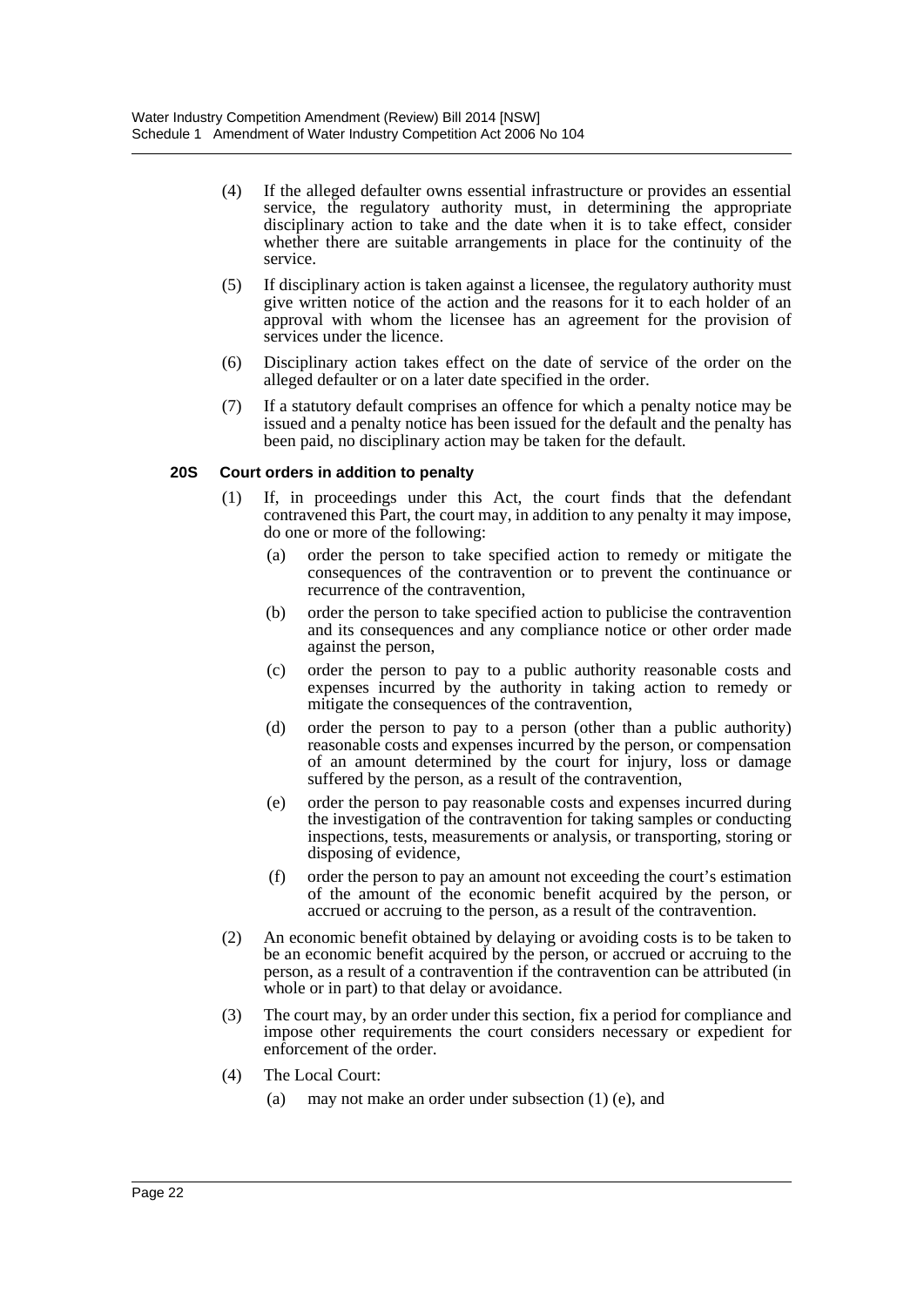- (4) If the alleged defaulter owns essential infrastructure or provides an essential service, the regulatory authority must, in determining the appropriate disciplinary action to take and the date when it is to take effect, consider whether there are suitable arrangements in place for the continuity of the service.
- (5) If disciplinary action is taken against a licensee, the regulatory authority must give written notice of the action and the reasons for it to each holder of an approval with whom the licensee has an agreement for the provision of services under the licence.
- (6) Disciplinary action takes effect on the date of service of the order on the alleged defaulter or on a later date specified in the order.
- (7) If a statutory default comprises an offence for which a penalty notice may be issued and a penalty notice has been issued for the default and the penalty has been paid, no disciplinary action may be taken for the default.

#### **20S Court orders in addition to penalty**

- (1) If, in proceedings under this Act, the court finds that the defendant contravened this Part, the court may, in addition to any penalty it may impose, do one or more of the following:
	- (a) order the person to take specified action to remedy or mitigate the consequences of the contravention or to prevent the continuance or recurrence of the contravention,
	- (b) order the person to take specified action to publicise the contravention and its consequences and any compliance notice or other order made against the person,
	- (c) order the person to pay to a public authority reasonable costs and expenses incurred by the authority in taking action to remedy or mitigate the consequences of the contravention,
	- (d) order the person to pay to a person (other than a public authority) reasonable costs and expenses incurred by the person, or compensation of an amount determined by the court for injury, loss or damage suffered by the person, as a result of the contravention,
	- (e) order the person to pay reasonable costs and expenses incurred during the investigation of the contravention for taking samples or conducting inspections, tests, measurements or analysis, or transporting, storing or disposing of evidence,
	- (f) order the person to pay an amount not exceeding the court's estimation of the amount of the economic benefit acquired by the person, or accrued or accruing to the person, as a result of the contravention.
- (2) An economic benefit obtained by delaying or avoiding costs is to be taken to be an economic benefit acquired by the person, or accrued or accruing to the person, as a result of a contravention if the contravention can be attributed (in whole or in part) to that delay or avoidance.
- (3) The court may, by an order under this section, fix a period for compliance and impose other requirements the court considers necessary or expedient for enforcement of the order.
- (4) The Local Court:
	- (a) may not make an order under subsection (1) (e), and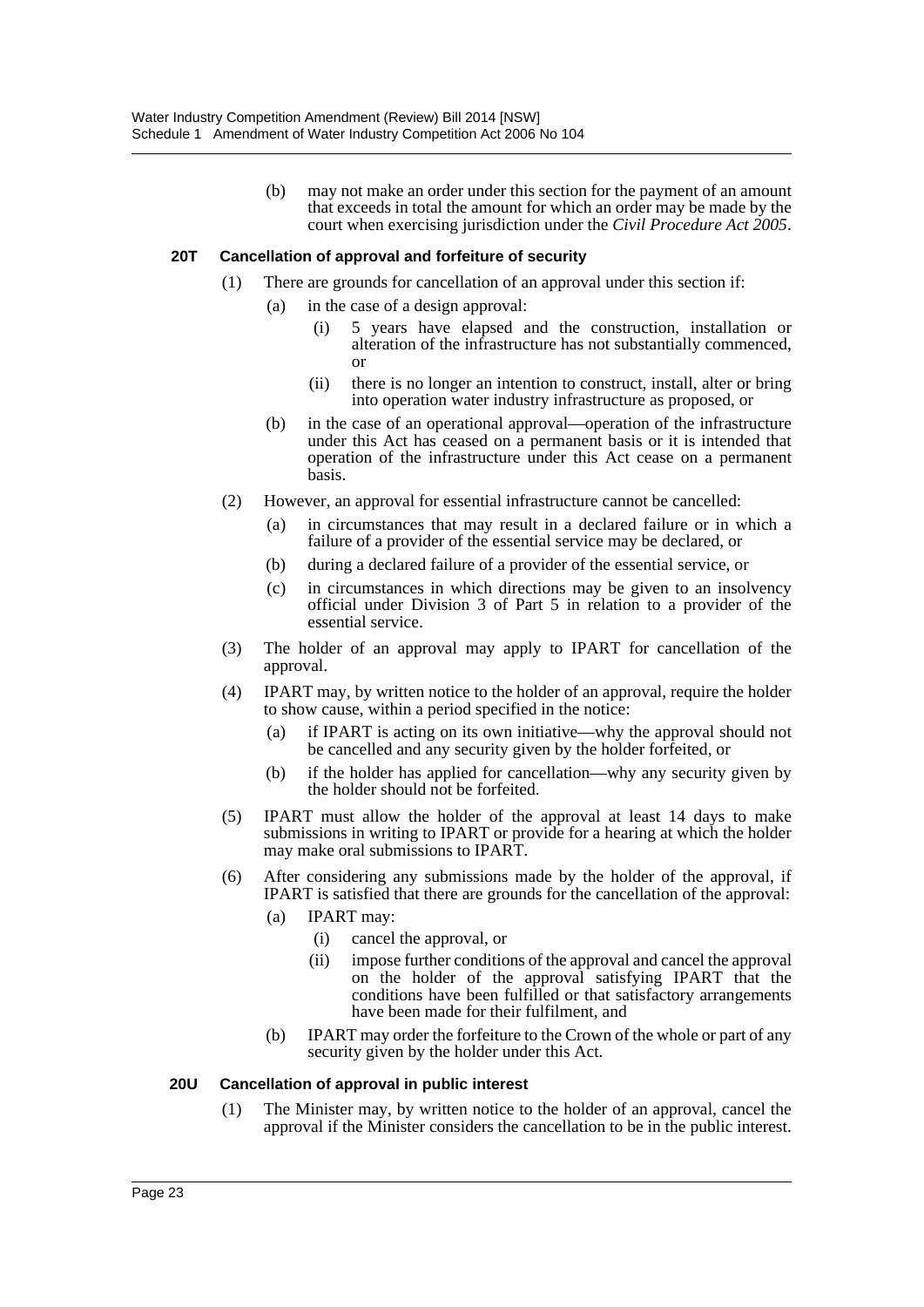(b) may not make an order under this section for the payment of an amount that exceeds in total the amount for which an order may be made by the court when exercising jurisdiction under the *Civil Procedure Act 2005*.

#### **20T Cancellation of approval and forfeiture of security**

- (1) There are grounds for cancellation of an approval under this section if:
	- (a) in the case of a design approval:
		- (i) 5 years have elapsed and the construction, installation or alteration of the infrastructure has not substantially commenced, or
		- (ii) there is no longer an intention to construct, install, alter or bring into operation water industry infrastructure as proposed, or
	- (b) in the case of an operational approval—operation of the infrastructure under this Act has ceased on a permanent basis or it is intended that operation of the infrastructure under this Act cease on a permanent basis.
- (2) However, an approval for essential infrastructure cannot be cancelled:
	- (a) in circumstances that may result in a declared failure or in which a failure of a provider of the essential service may be declared, or
	- (b) during a declared failure of a provider of the essential service, or
	- (c) in circumstances in which directions may be given to an insolvency official under Division 3 of Part 5 in relation to a provider of the essential service.
- (3) The holder of an approval may apply to IPART for cancellation of the approval.
- (4) IPART may, by written notice to the holder of an approval, require the holder to show cause, within a period specified in the notice:
	- (a) if IPART is acting on its own initiative—why the approval should not be cancelled and any security given by the holder forfeited, or
	- (b) if the holder has applied for cancellation—why any security given by the holder should not be forfeited.
- (5) IPART must allow the holder of the approval at least 14 days to make submissions in writing to IPART or provide for a hearing at which the holder may make oral submissions to IPART.
- (6) After considering any submissions made by the holder of the approval, if IPART is satisfied that there are grounds for the cancellation of the approval:
	- (a) IPART may:
		- (i) cancel the approval, or
		- (ii) impose further conditions of the approval and cancel the approval on the holder of the approval satisfying IPART that the conditions have been fulfilled or that satisfactory arrangements have been made for their fulfilment, and
	- (b) IPART may order the forfeiture to the Crown of the whole or part of any security given by the holder under this Act.

#### **20U Cancellation of approval in public interest**

(1) The Minister may, by written notice to the holder of an approval, cancel the approval if the Minister considers the cancellation to be in the public interest.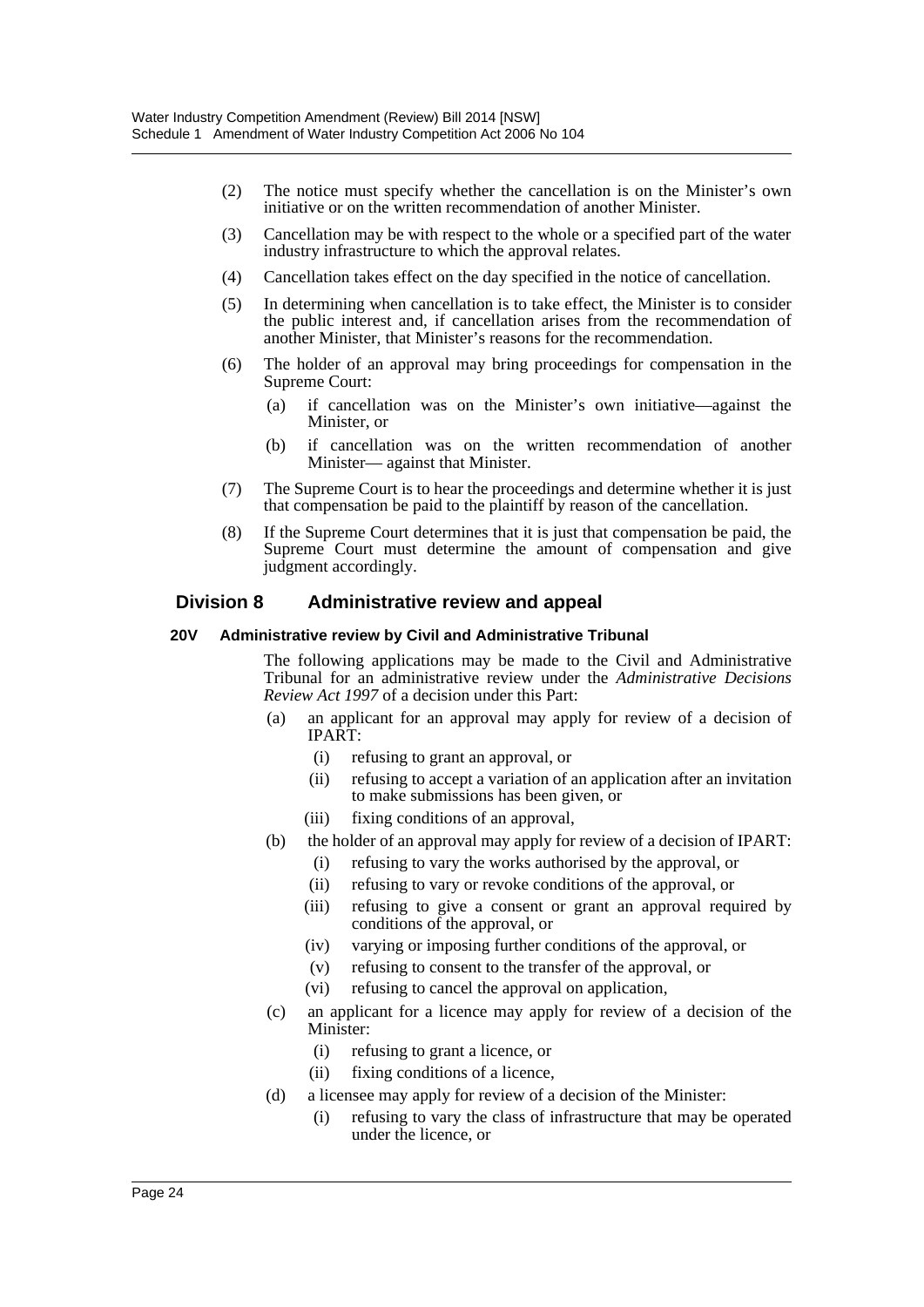- (2) The notice must specify whether the cancellation is on the Minister's own initiative or on the written recommendation of another Minister.
- (3) Cancellation may be with respect to the whole or a specified part of the water industry infrastructure to which the approval relates.
- (4) Cancellation takes effect on the day specified in the notice of cancellation.
- (5) In determining when cancellation is to take effect, the Minister is to consider the public interest and, if cancellation arises from the recommendation of another Minister, that Minister's reasons for the recommendation.
- (6) The holder of an approval may bring proceedings for compensation in the Supreme Court:
	- (a) if cancellation was on the Minister's own initiative—against the Minister, or
	- (b) if cancellation was on the written recommendation of another Minister— against that Minister.
- (7) The Supreme Court is to hear the proceedings and determine whether it is just that compensation be paid to the plaintiff by reason of the cancellation.
- (8) If the Supreme Court determines that it is just that compensation be paid, the Supreme Court must determine the amount of compensation and give judgment accordingly.

#### **Division 8 Administrative review and appeal**

#### **20V Administrative review by Civil and Administrative Tribunal**

The following applications may be made to the Civil and Administrative Tribunal for an administrative review under the *Administrative Decisions Review Act 1997* of a decision under this Part:

- (a) an applicant for an approval may apply for review of a decision of IPART:
	- (i) refusing to grant an approval, or
	- (ii) refusing to accept a variation of an application after an invitation to make submissions has been given, or
	- (iii) fixing conditions of an approval,
- (b) the holder of an approval may apply for review of a decision of IPART:
	- (i) refusing to vary the works authorised by the approval, or
	- (ii) refusing to vary or revoke conditions of the approval, or
	- (iii) refusing to give a consent or grant an approval required by conditions of the approval, or
	- (iv) varying or imposing further conditions of the approval, or
	- (v) refusing to consent to the transfer of the approval, or
	- (vi) refusing to cancel the approval on application,
- (c) an applicant for a licence may apply for review of a decision of the Minister:
	- (i) refusing to grant a licence, or
	- (ii) fixing conditions of a licence,
- (d) a licensee may apply for review of a decision of the Minister:
	- (i) refusing to vary the class of infrastructure that may be operated under the licence, or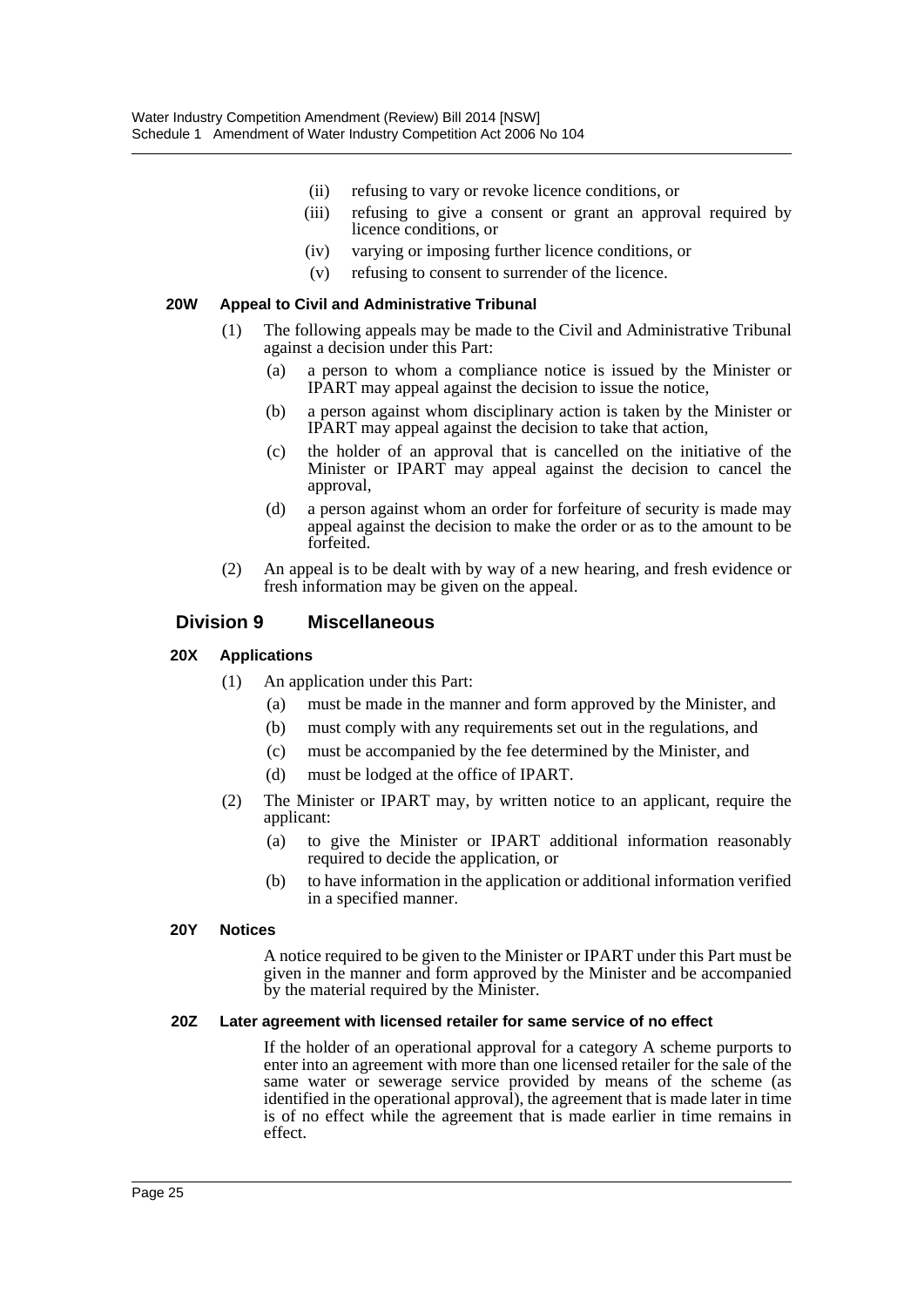- (ii) refusing to vary or revoke licence conditions, or
- (iii) refusing to give a consent or grant an approval required by licence conditions, or
- (iv) varying or imposing further licence conditions, or
- (v) refusing to consent to surrender of the licence.

#### **20W Appeal to Civil and Administrative Tribunal**

- (1) The following appeals may be made to the Civil and Administrative Tribunal against a decision under this Part:
	- (a) a person to whom a compliance notice is issued by the Minister or IPART may appeal against the decision to issue the notice,
	- (b) a person against whom disciplinary action is taken by the Minister or IPART may appeal against the decision to take that action,
	- (c) the holder of an approval that is cancelled on the initiative of the Minister or IPART may appeal against the decision to cancel the approval,
	- (d) a person against whom an order for forfeiture of security is made may appeal against the decision to make the order or as to the amount to be forfeited.
- (2) An appeal is to be dealt with by way of a new hearing, and fresh evidence or fresh information may be given on the appeal.

#### **Division 9 Miscellaneous**

#### **20X Applications**

- (1) An application under this Part:
	- (a) must be made in the manner and form approved by the Minister, and
	- (b) must comply with any requirements set out in the regulations, and
	- (c) must be accompanied by the fee determined by the Minister, and
	- (d) must be lodged at the office of IPART.
- (2) The Minister or IPART may, by written notice to an applicant, require the applicant:
	- (a) to give the Minister or IPART additional information reasonably required to decide the application, or
	- (b) to have information in the application or additional information verified in a specified manner.

#### **20Y Notices**

A notice required to be given to the Minister or IPART under this Part must be given in the manner and form approved by the Minister and be accompanied by the material required by the Minister.

#### **20Z Later agreement with licensed retailer for same service of no effect**

If the holder of an operational approval for a category A scheme purports to enter into an agreement with more than one licensed retailer for the sale of the same water or sewerage service provided by means of the scheme (as identified in the operational approval), the agreement that is made later in time is of no effect while the agreement that is made earlier in time remains in effect.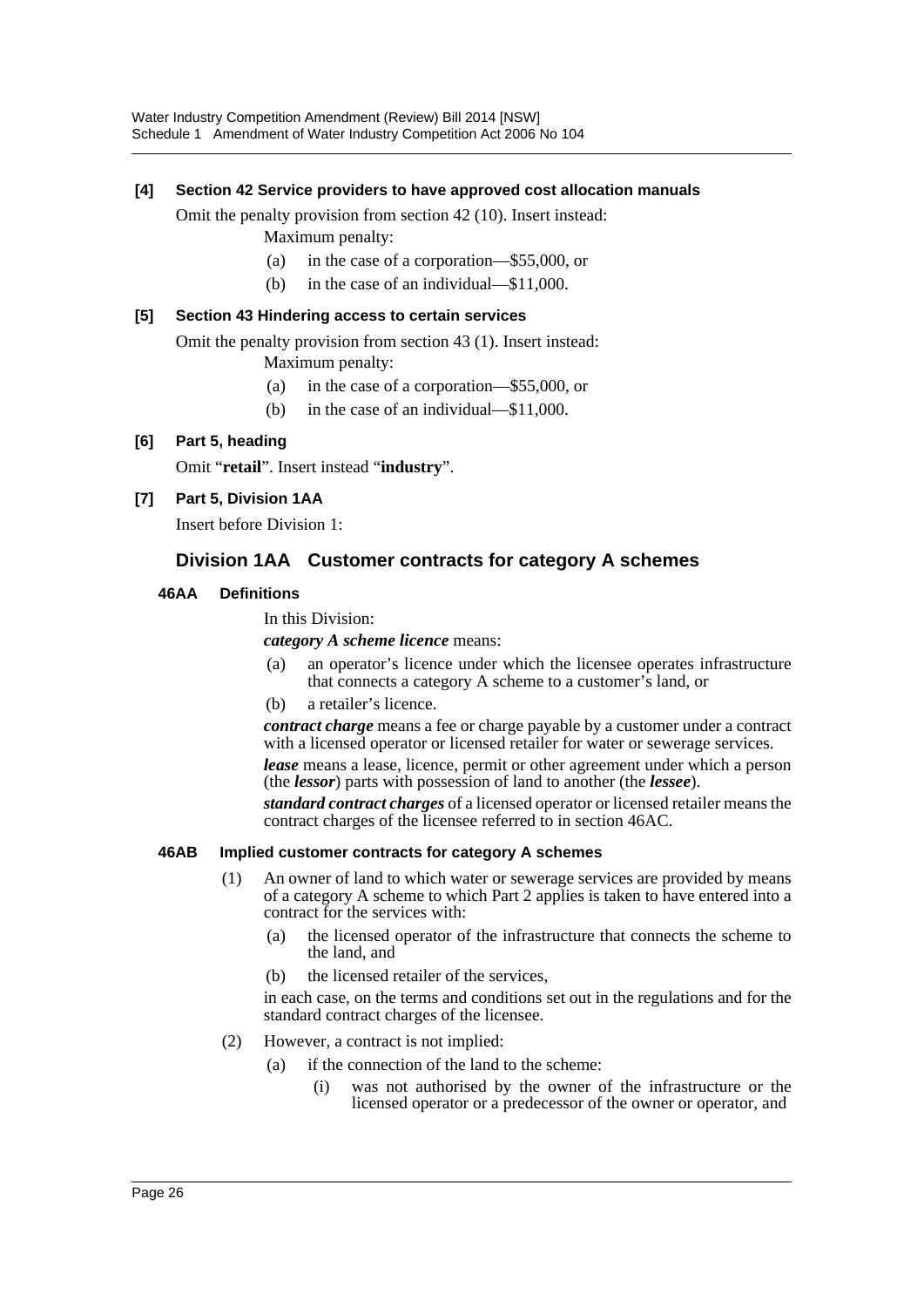#### **[4] Section 42 Service providers to have approved cost allocation manuals**

Omit the penalty provision from section 42 (10). Insert instead:

- Maximum penalty:
- (a) in the case of a corporation—\$55,000, or
- (b) in the case of an individual—\$11,000.

#### **[5] Section 43 Hindering access to certain services**

Omit the penalty provision from section 43 (1). Insert instead: Maximum penalty:

- (a) in the case of a corporation—\$55,000, or
- (b) in the case of an individual—\$11,000.

### **[6] Part 5, heading**

Omit "**retail**". Insert instead "**industry**".

**[7] Part 5, Division 1AA**

Insert before Division 1:

# **Division 1AA Customer contracts for category A schemes**

#### **46AA Definitions**

In this Division:

*category A scheme licence* means:

- (a) an operator's licence under which the licensee operates infrastructure that connects a category A scheme to a customer's land, or
- (b) a retailer's licence.

*contract charge* means a fee or charge payable by a customer under a contract with a licensed operator or licensed retailer for water or sewerage services.

*lease* means a lease, licence, permit or other agreement under which a person (the *lessor*) parts with possession of land to another (the *lessee*).

*standard contract charges* of a licensed operator or licensed retailer means the contract charges of the licensee referred to in section 46AC.

#### **46AB Implied customer contracts for category A schemes**

- (1) An owner of land to which water or sewerage services are provided by means of a category A scheme to which Part 2 applies is taken to have entered into a contract for the services with:
	- (a) the licensed operator of the infrastructure that connects the scheme to the land, and
	- (b) the licensed retailer of the services,

in each case, on the terms and conditions set out in the regulations and for the standard contract charges of the licensee.

- (2) However, a contract is not implied:
	- (a) if the connection of the land to the scheme:
		- (i) was not authorised by the owner of the infrastructure or the licensed operator or a predecessor of the owner or operator, and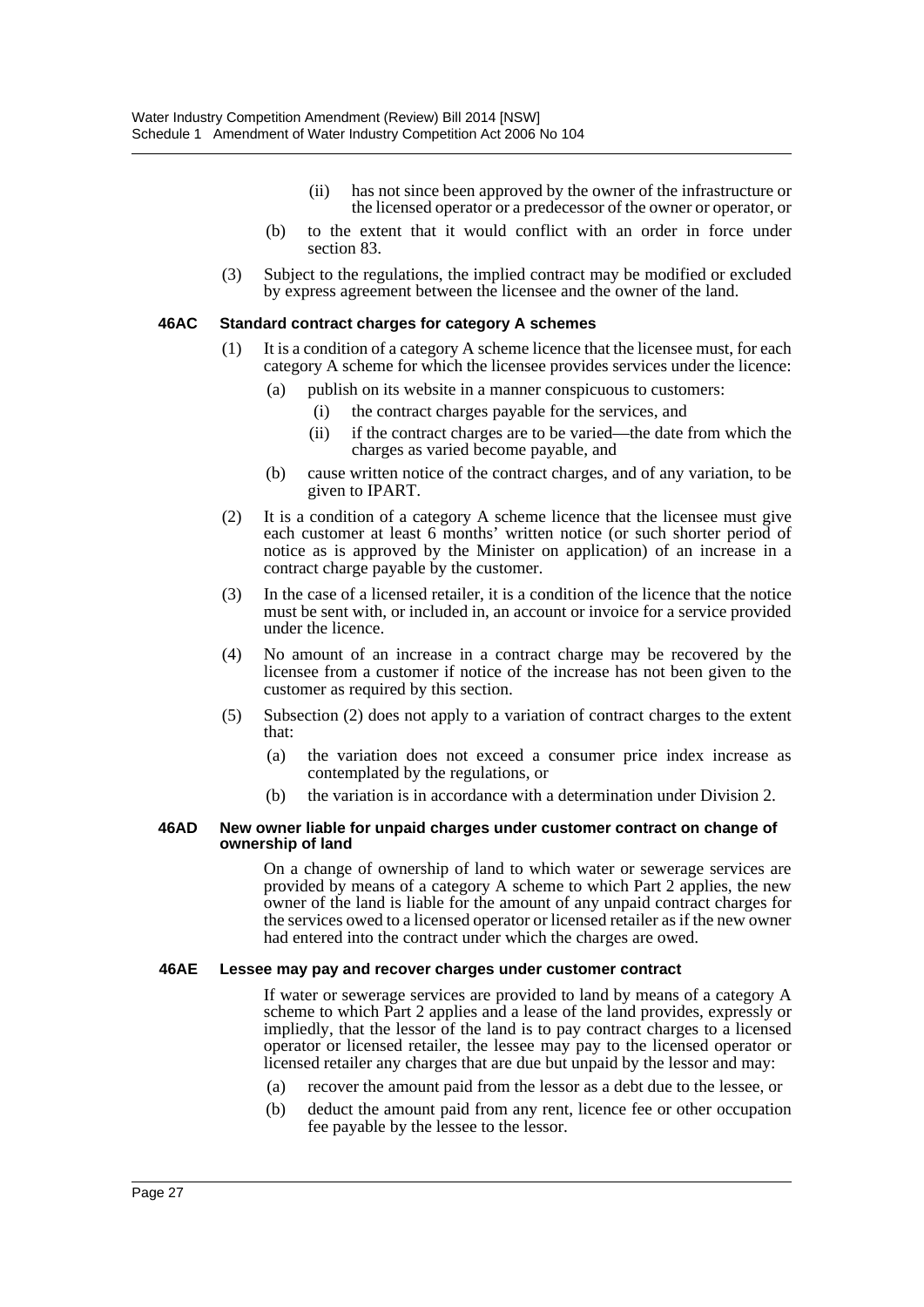- (ii) has not since been approved by the owner of the infrastructure or the licensed operator or a predecessor of the owner or operator, or
- (b) to the extent that it would conflict with an order in force under section 83.
- (3) Subject to the regulations, the implied contract may be modified or excluded by express agreement between the licensee and the owner of the land.

#### **46AC Standard contract charges for category A schemes**

- (1) It is a condition of a category A scheme licence that the licensee must, for each category A scheme for which the licensee provides services under the licence:
	- (a) publish on its website in a manner conspicuous to customers:
		- (i) the contract charges payable for the services, and
		- (ii) if the contract charges are to be varied—the date from which the charges as varied become payable, and
	- (b) cause written notice of the contract charges, and of any variation, to be given to IPART.
- (2) It is a condition of a category A scheme licence that the licensee must give each customer at least 6 months' written notice (or such shorter period of notice as is approved by the Minister on application) of an increase in a contract charge payable by the customer.
- (3) In the case of a licensed retailer, it is a condition of the licence that the notice must be sent with, or included in, an account or invoice for a service provided under the licence.
- (4) No amount of an increase in a contract charge may be recovered by the licensee from a customer if notice of the increase has not been given to the customer as required by this section.
- (5) Subsection (2) does not apply to a variation of contract charges to the extent that:
	- (a) the variation does not exceed a consumer price index increase as contemplated by the regulations, or
	- (b) the variation is in accordance with a determination under Division 2.

#### **46AD New owner liable for unpaid charges under customer contract on change of ownership of land**

On a change of ownership of land to which water or sewerage services are provided by means of a category A scheme to which Part 2 applies, the new owner of the land is liable for the amount of any unpaid contract charges for the services owed to a licensed operator or licensed retailer as if the new owner had entered into the contract under which the charges are owed.

#### **46AE Lessee may pay and recover charges under customer contract**

If water or sewerage services are provided to land by means of a category A scheme to which Part 2 applies and a lease of the land provides, expressly or impliedly, that the lessor of the land is to pay contract charges to a licensed operator or licensed retailer, the lessee may pay to the licensed operator or licensed retailer any charges that are due but unpaid by the lessor and may:

- (a) recover the amount paid from the lessor as a debt due to the lessee, or
- (b) deduct the amount paid from any rent, licence fee or other occupation fee payable by the lessee to the lessor.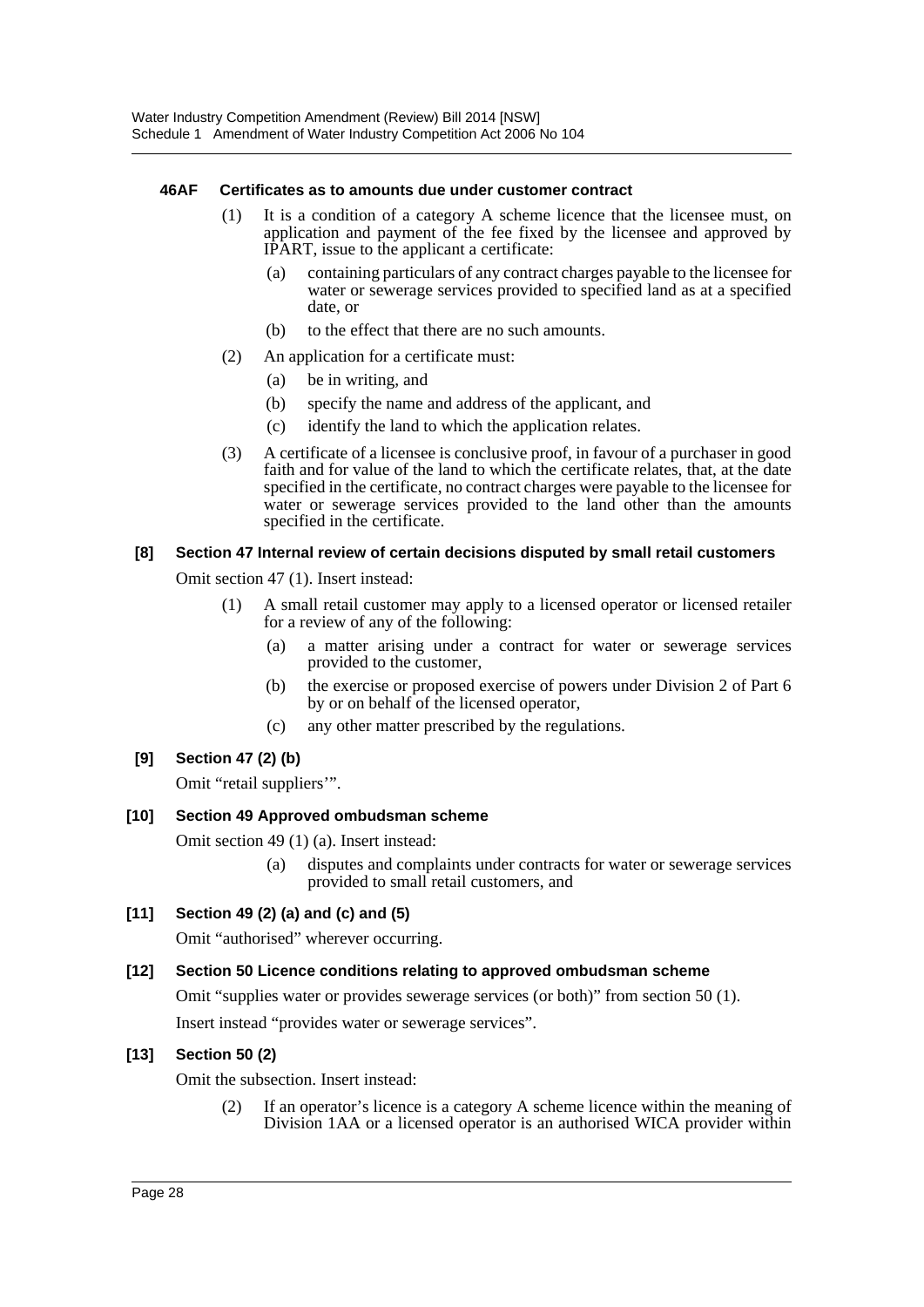#### **46AF Certificates as to amounts due under customer contract**

- (1) It is a condition of a category A scheme licence that the licensee must, on application and payment of the fee fixed by the licensee and approved by IPART, issue to the applicant a certificate:
	- (a) containing particulars of any contract charges payable to the licensee for water or sewerage services provided to specified land as at a specified date, or
	- (b) to the effect that there are no such amounts.
- (2) An application for a certificate must:
	- (a) be in writing, and
	- (b) specify the name and address of the applicant, and
	- (c) identify the land to which the application relates.
- (3) A certificate of a licensee is conclusive proof, in favour of a purchaser in good faith and for value of the land to which the certificate relates, that, at the date specified in the certificate, no contract charges were payable to the licensee for water or sewerage services provided to the land other than the amounts specified in the certificate.

#### **[8] Section 47 Internal review of certain decisions disputed by small retail customers**

Omit section 47 (1). Insert instead:

- (1) A small retail customer may apply to a licensed operator or licensed retailer for a review of any of the following:
	- (a) a matter arising under a contract for water or sewerage services provided to the customer,
	- (b) the exercise or proposed exercise of powers under Division 2 of Part 6 by or on behalf of the licensed operator,
	- (c) any other matter prescribed by the regulations.

### **[9] Section 47 (2) (b)**

Omit "retail suppliers'".

### **[10] Section 49 Approved ombudsman scheme**

Omit section 49 (1) (a). Insert instead:

- (a) disputes and complaints under contracts for water or sewerage services provided to small retail customers, and
- **[11] Section 49 (2) (a) and (c) and (5)**

Omit "authorised" wherever occurring.

### **[12] Section 50 Licence conditions relating to approved ombudsman scheme**

Omit "supplies water or provides sewerage services (or both)" from section 50 (1).

Insert instead "provides water or sewerage services".

### **[13] Section 50 (2)**

Omit the subsection. Insert instead:

(2) If an operator's licence is a category A scheme licence within the meaning of Division 1AA or a licensed operator is an authorised WICA provider within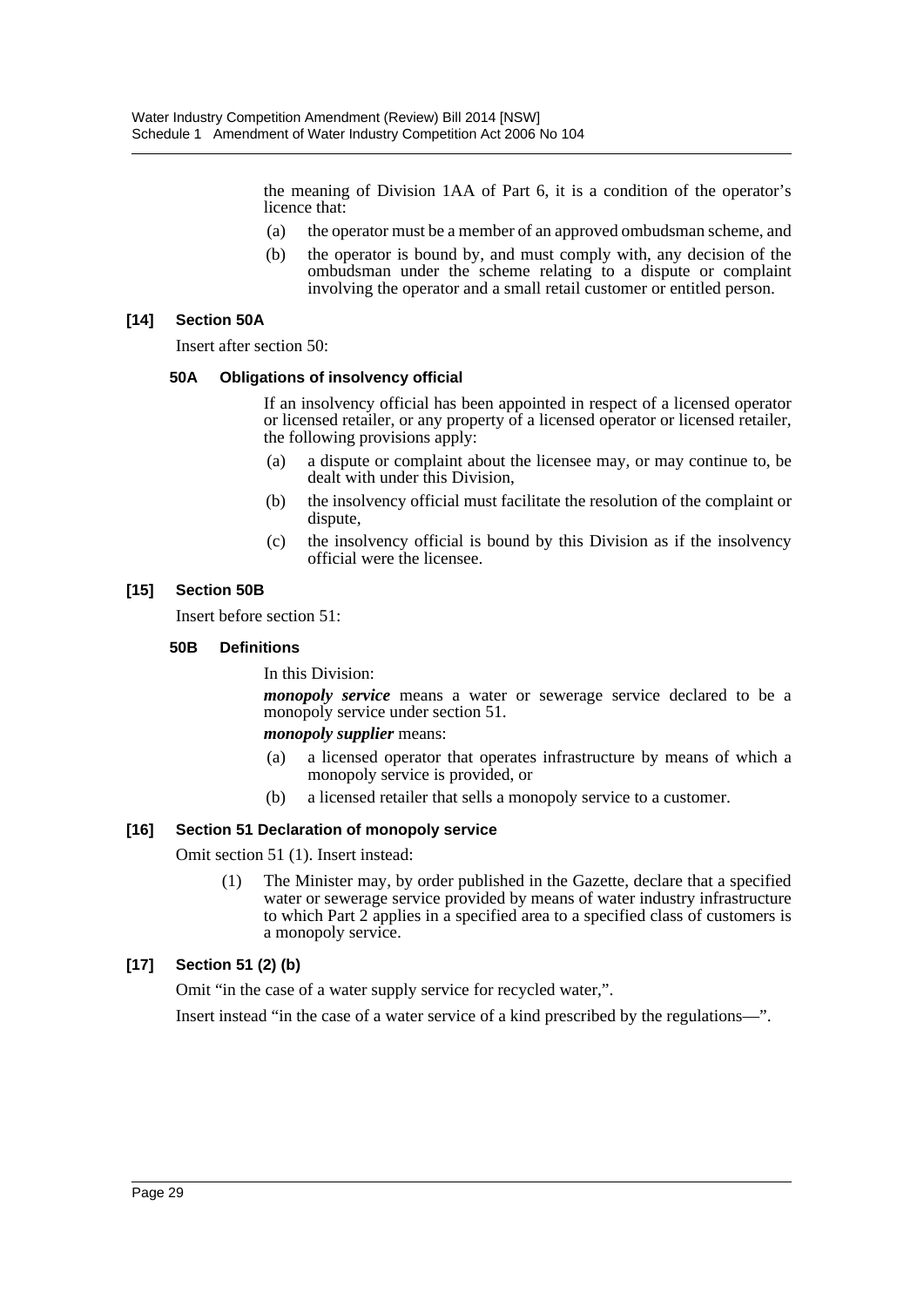the meaning of Division 1AA of Part 6, it is a condition of the operator's licence that:

- (a) the operator must be a member of an approved ombudsman scheme, and
- (b) the operator is bound by, and must comply with, any decision of the ombudsman under the scheme relating to a dispute or complaint involving the operator and a small retail customer or entitled person.

#### **[14] Section 50A**

Insert after section 50:

#### **50A Obligations of insolvency official**

If an insolvency official has been appointed in respect of a licensed operator or licensed retailer, or any property of a licensed operator or licensed retailer, the following provisions apply:

- (a) a dispute or complaint about the licensee may, or may continue to, be dealt with under this Division,
- (b) the insolvency official must facilitate the resolution of the complaint or dispute,
- (c) the insolvency official is bound by this Division as if the insolvency official were the licensee.

#### **[15] Section 50B**

Insert before section 51:

#### **50B Definitions**

In this Division:

*monopoly service* means a water or sewerage service declared to be a monopoly service under section 51.

#### *monopoly supplier* means:

- (a) a licensed operator that operates infrastructure by means of which a monopoly service is provided, or
- (b) a licensed retailer that sells a monopoly service to a customer.

#### **[16] Section 51 Declaration of monopoly service**

Omit section 51 (1). Insert instead:

(1) The Minister may, by order published in the Gazette, declare that a specified water or sewerage service provided by means of water industry infrastructure to which Part 2 applies in a specified area to a specified class of customers is a monopoly service.

### **[17] Section 51 (2) (b)**

Omit "in the case of a water supply service for recycled water,".

Insert instead "in the case of a water service of a kind prescribed by the regulations—".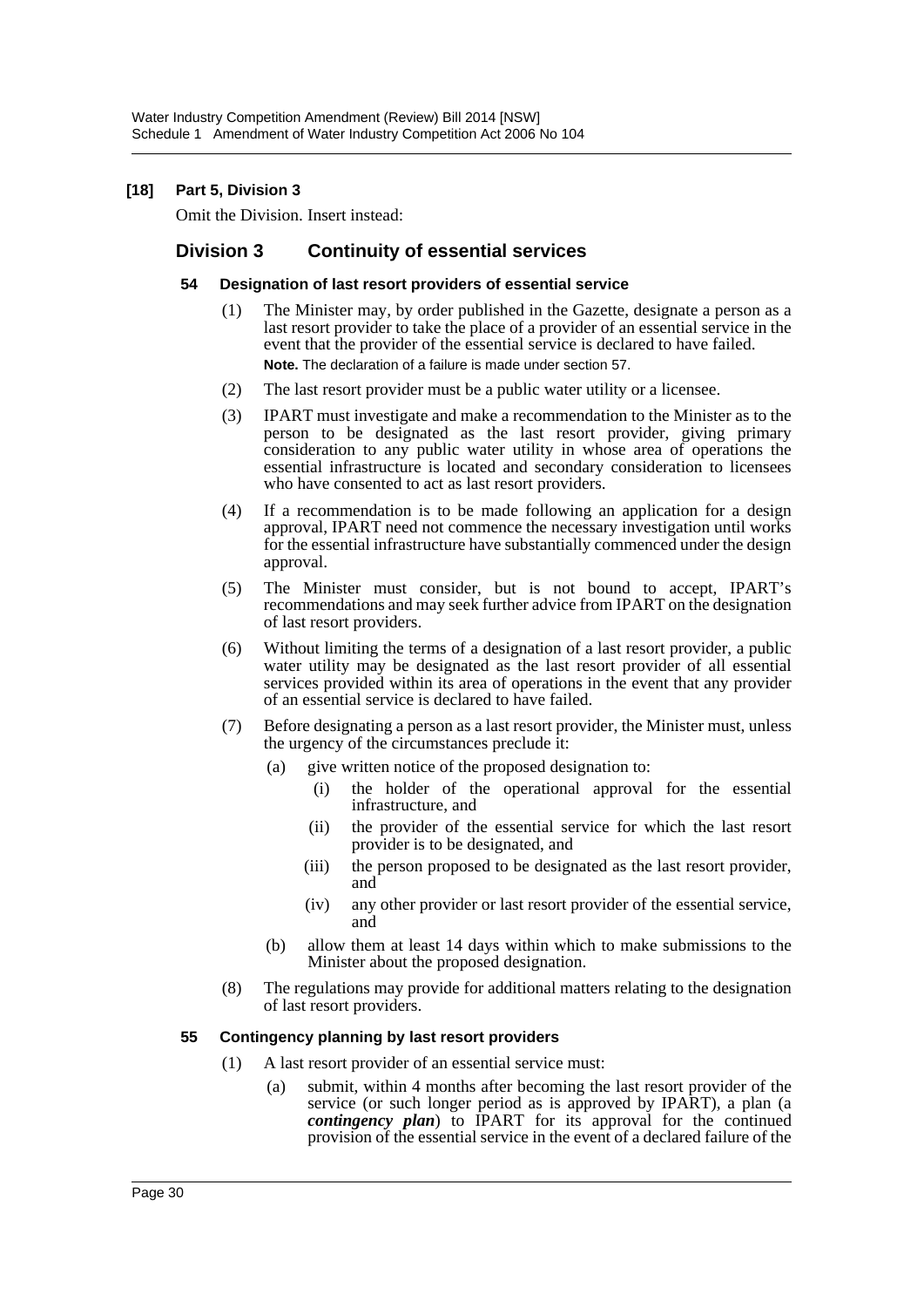#### **[18] Part 5, Division 3**

Omit the Division. Insert instead:

# **Division 3 Continuity of essential services**

#### **54 Designation of last resort providers of essential service**

- (1) The Minister may, by order published in the Gazette, designate a person as a last resort provider to take the place of a provider of an essential service in the event that the provider of the essential service is declared to have failed. **Note.** The declaration of a failure is made under section 57.
- (2) The last resort provider must be a public water utility or a licensee.
- (3) IPART must investigate and make a recommendation to the Minister as to the person to be designated as the last resort provider, giving primary consideration to any public water utility in whose area of operations the essential infrastructure is located and secondary consideration to licensees who have consented to act as last resort providers.
- (4) If a recommendation is to be made following an application for a design approval, IPART need not commence the necessary investigation until works for the essential infrastructure have substantially commenced under the design approval.
- (5) The Minister must consider, but is not bound to accept, IPART's recommendations and may seek further advice from IPART on the designation of last resort providers.
- (6) Without limiting the terms of a designation of a last resort provider, a public water utility may be designated as the last resort provider of all essential services provided within its area of operations in the event that any provider of an essential service is declared to have failed.
- (7) Before designating a person as a last resort provider, the Minister must, unless the urgency of the circumstances preclude it:
	- (a) give written notice of the proposed designation to:
		- (i) the holder of the operational approval for the essential infrastructure, and
		- (ii) the provider of the essential service for which the last resort provider is to be designated, and
		- (iii) the person proposed to be designated as the last resort provider, and
		- (iv) any other provider or last resort provider of the essential service, and
	- (b) allow them at least 14 days within which to make submissions to the Minister about the proposed designation.
- (8) The regulations may provide for additional matters relating to the designation of last resort providers.

#### **55 Contingency planning by last resort providers**

- (1) A last resort provider of an essential service must:
	- (a) submit, within 4 months after becoming the last resort provider of the service (or such longer period as is approved by IPART), a plan (a *contingency plan*) to IPART for its approval for the continued provision of the essential service in the event of a declared failure of the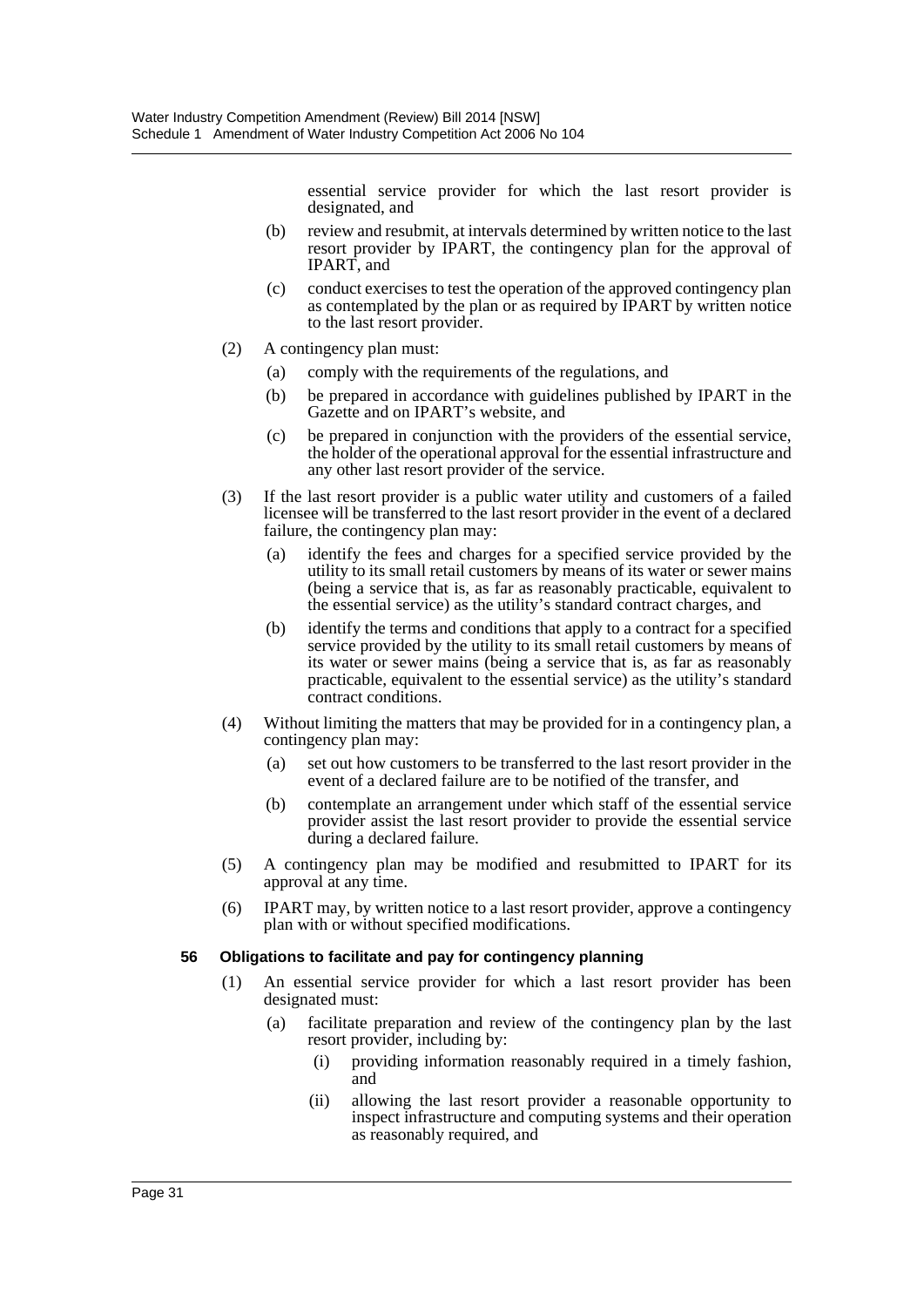essential service provider for which the last resort provider is designated, and

- (b) review and resubmit, at intervals determined by written notice to the last resort provider by IPART, the contingency plan for the approval of IPART, and
- (c) conduct exercises to test the operation of the approved contingency plan as contemplated by the plan or as required by IPART by written notice to the last resort provider.
- (2) A contingency plan must:
	- (a) comply with the requirements of the regulations, and
	- (b) be prepared in accordance with guidelines published by IPART in the Gazette and on IPART's website, and
	- (c) be prepared in conjunction with the providers of the essential service, the holder of the operational approval for the essential infrastructure and any other last resort provider of the service.
- (3) If the last resort provider is a public water utility and customers of a failed licensee will be transferred to the last resort provider in the event of a declared failure, the contingency plan may:
	- (a) identify the fees and charges for a specified service provided by the utility to its small retail customers by means of its water or sewer mains (being a service that is, as far as reasonably practicable, equivalent to the essential service) as the utility's standard contract charges, and
	- (b) identify the terms and conditions that apply to a contract for a specified service provided by the utility to its small retail customers by means of its water or sewer mains (being a service that is, as far as reasonably practicable, equivalent to the essential service) as the utility's standard contract conditions.
- (4) Without limiting the matters that may be provided for in a contingency plan, a contingency plan may:
	- (a) set out how customers to be transferred to the last resort provider in the event of a declared failure are to be notified of the transfer, and
	- (b) contemplate an arrangement under which staff of the essential service provider assist the last resort provider to provide the essential service during a declared failure.
- (5) A contingency plan may be modified and resubmitted to IPART for its approval at any time.
- (6) IPART may, by written notice to a last resort provider, approve a contingency plan with or without specified modifications.

#### **56 Obligations to facilitate and pay for contingency planning**

- (1) An essential service provider for which a last resort provider has been designated must:
	- (a) facilitate preparation and review of the contingency plan by the last resort provider, including by:
		- (i) providing information reasonably required in a timely fashion, and
		- (ii) allowing the last resort provider a reasonable opportunity to inspect infrastructure and computing systems and their operation as reasonably required, and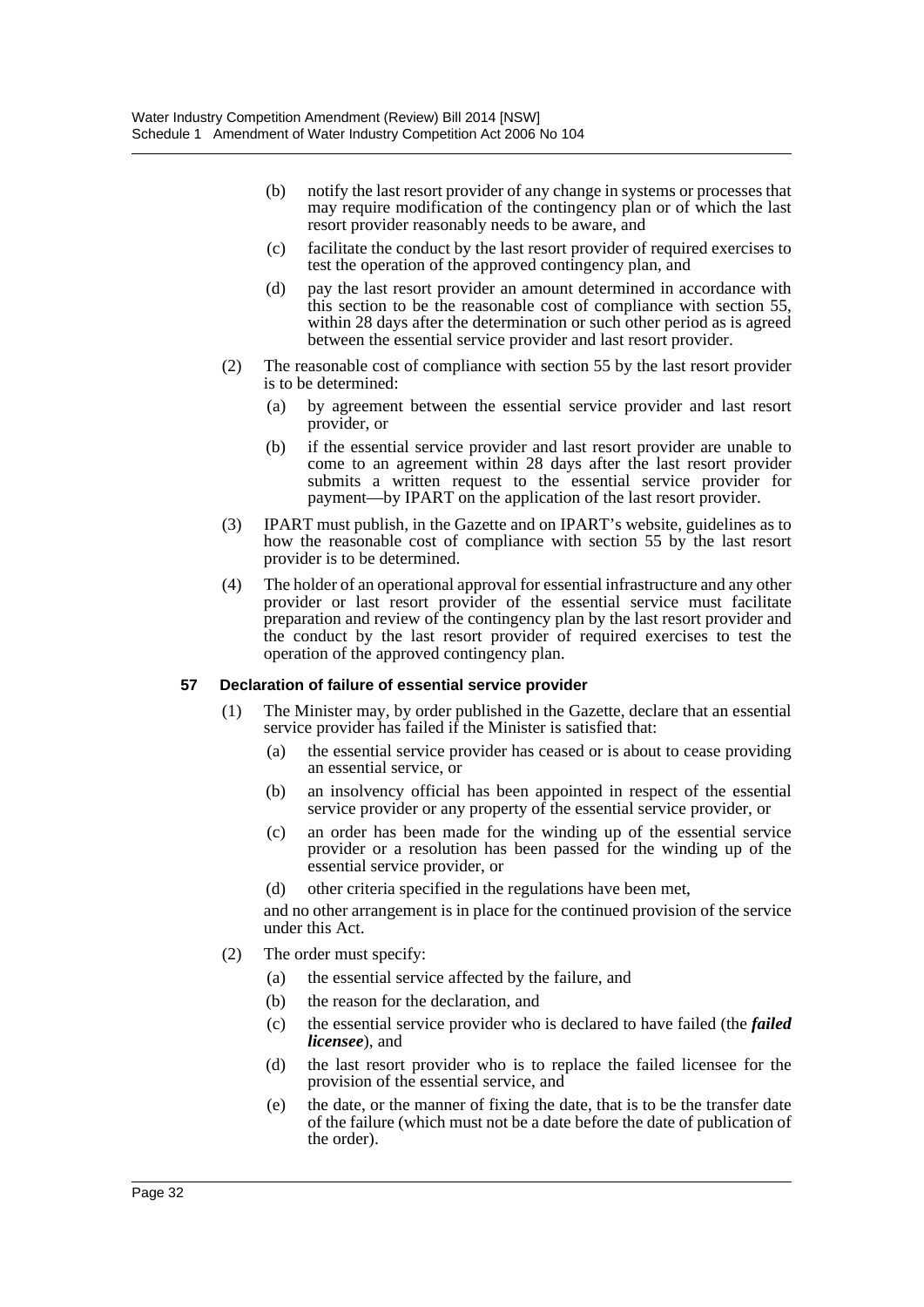- (b) notify the last resort provider of any change in systems or processes that may require modification of the contingency plan or of which the last resort provider reasonably needs to be aware, and
- (c) facilitate the conduct by the last resort provider of required exercises to test the operation of the approved contingency plan, and
- (d) pay the last resort provider an amount determined in accordance with this section to be the reasonable cost of compliance with section 55, within 28 days after the determination or such other period as is agreed between the essential service provider and last resort provider.
- (2) The reasonable cost of compliance with section 55 by the last resort provider is to be determined:
	- (a) by agreement between the essential service provider and last resort provider, or
	- (b) if the essential service provider and last resort provider are unable to come to an agreement within 28 days after the last resort provider submits a written request to the essential service provider for payment—by IPART on the application of the last resort provider.
- (3) IPART must publish, in the Gazette and on IPART's website, guidelines as to how the reasonable cost of compliance with section 55 by the last resort provider is to be determined.
- (4) The holder of an operational approval for essential infrastructure and any other provider or last resort provider of the essential service must facilitate preparation and review of the contingency plan by the last resort provider and the conduct by the last resort provider of required exercises to test the operation of the approved contingency plan.

#### **57 Declaration of failure of essential service provider**

- (1) The Minister may, by order published in the Gazette, declare that an essential service provider has failed if the Minister is satisfied that:
	- (a) the essential service provider has ceased or is about to cease providing an essential service, or
	- (b) an insolvency official has been appointed in respect of the essential service provider or any property of the essential service provider, or
	- (c) an order has been made for the winding up of the essential service provider or a resolution has been passed for the winding up of the essential service provider, or
	- (d) other criteria specified in the regulations have been met,

and no other arrangement is in place for the continued provision of the service under this Act.

- (2) The order must specify:
	- (a) the essential service affected by the failure, and
	- (b) the reason for the declaration, and
	- (c) the essential service provider who is declared to have failed (the *failed licensee*), and
	- (d) the last resort provider who is to replace the failed licensee for the provision of the essential service, and
	- (e) the date, or the manner of fixing the date, that is to be the transfer date of the failure (which must not be a date before the date of publication of the order).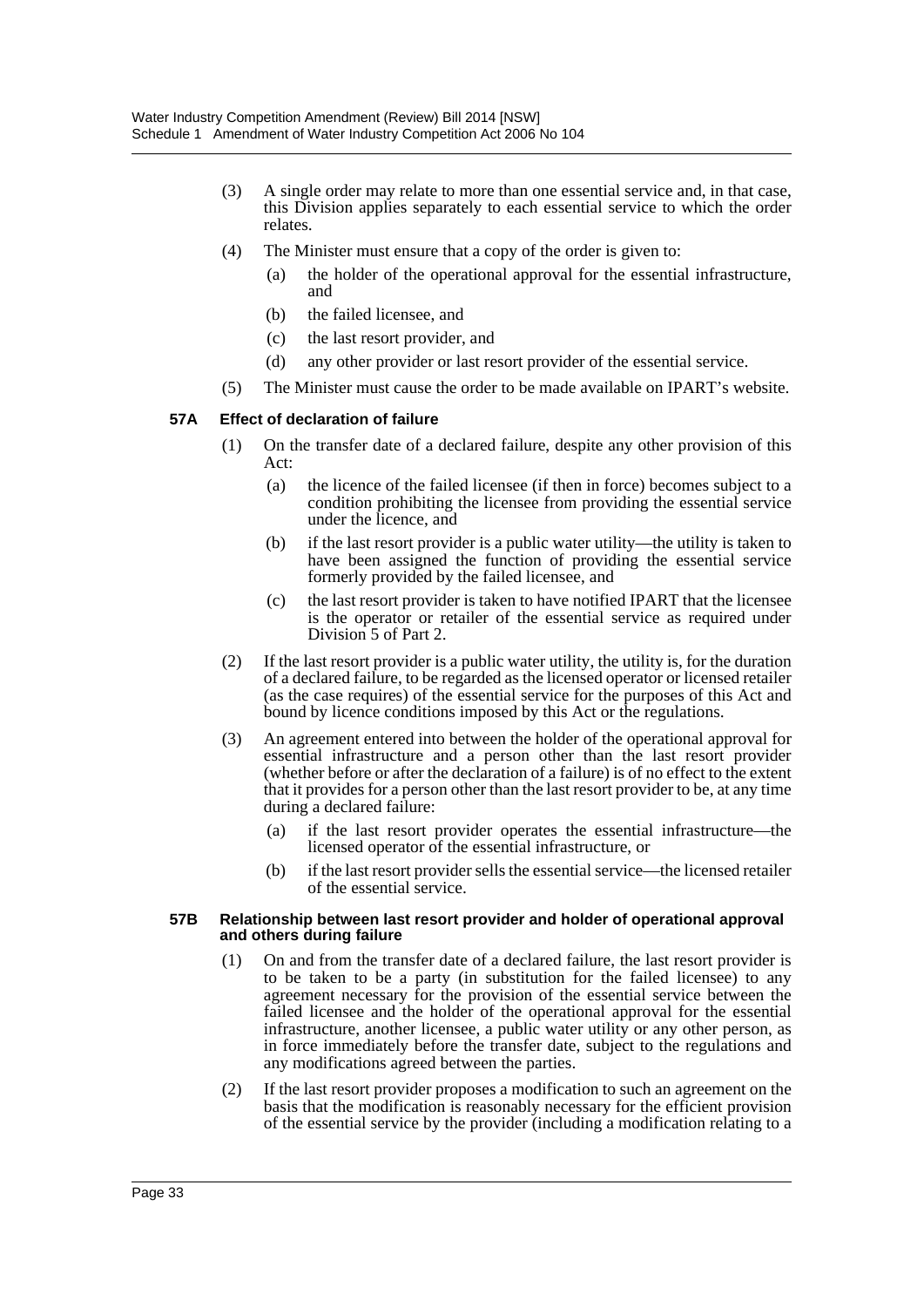- (3) A single order may relate to more than one essential service and, in that case, this Division applies separately to each essential service to which the order relates.
- (4) The Minister must ensure that a copy of the order is given to:
	- (a) the holder of the operational approval for the essential infrastructure, and
	- (b) the failed licensee, and
	- (c) the last resort provider, and
	- (d) any other provider or last resort provider of the essential service.
- (5) The Minister must cause the order to be made available on IPART's website.

#### **57A Effect of declaration of failure**

- (1) On the transfer date of a declared failure, despite any other provision of this Act:
	- (a) the licence of the failed licensee (if then in force) becomes subject to a condition prohibiting the licensee from providing the essential service under the licence, and
	- (b) if the last resort provider is a public water utility—the utility is taken to have been assigned the function of providing the essential service formerly provided by the failed licensee, and
	- (c) the last resort provider is taken to have notified IPART that the licensee is the operator or retailer of the essential service as required under Division 5 of Part 2.
- (2) If the last resort provider is a public water utility, the utility is, for the duration of a declared failure, to be regarded as the licensed operator or licensed retailer (as the case requires) of the essential service for the purposes of this Act and bound by licence conditions imposed by this Act or the regulations.
- (3) An agreement entered into between the holder of the operational approval for essential infrastructure and a person other than the last resort provider (whether before or after the declaration of a failure) is of no effect to the extent that it provides for a person other than the last resort provider to be, at any time during a declared failure:
	- (a) if the last resort provider operates the essential infrastructure—the licensed operator of the essential infrastructure, or
	- (b) if the last resort provider sells the essential service—the licensed retailer of the essential service.

#### **57B Relationship between last resort provider and holder of operational approval and others during failure**

- (1) On and from the transfer date of a declared failure, the last resort provider is to be taken to be a party (in substitution for the failed licensee) to any agreement necessary for the provision of the essential service between the failed licensee and the holder of the operational approval for the essential infrastructure, another licensee, a public water utility or any other person, as in force immediately before the transfer date, subject to the regulations and any modifications agreed between the parties.
- (2) If the last resort provider proposes a modification to such an agreement on the basis that the modification is reasonably necessary for the efficient provision of the essential service by the provider (including a modification relating to a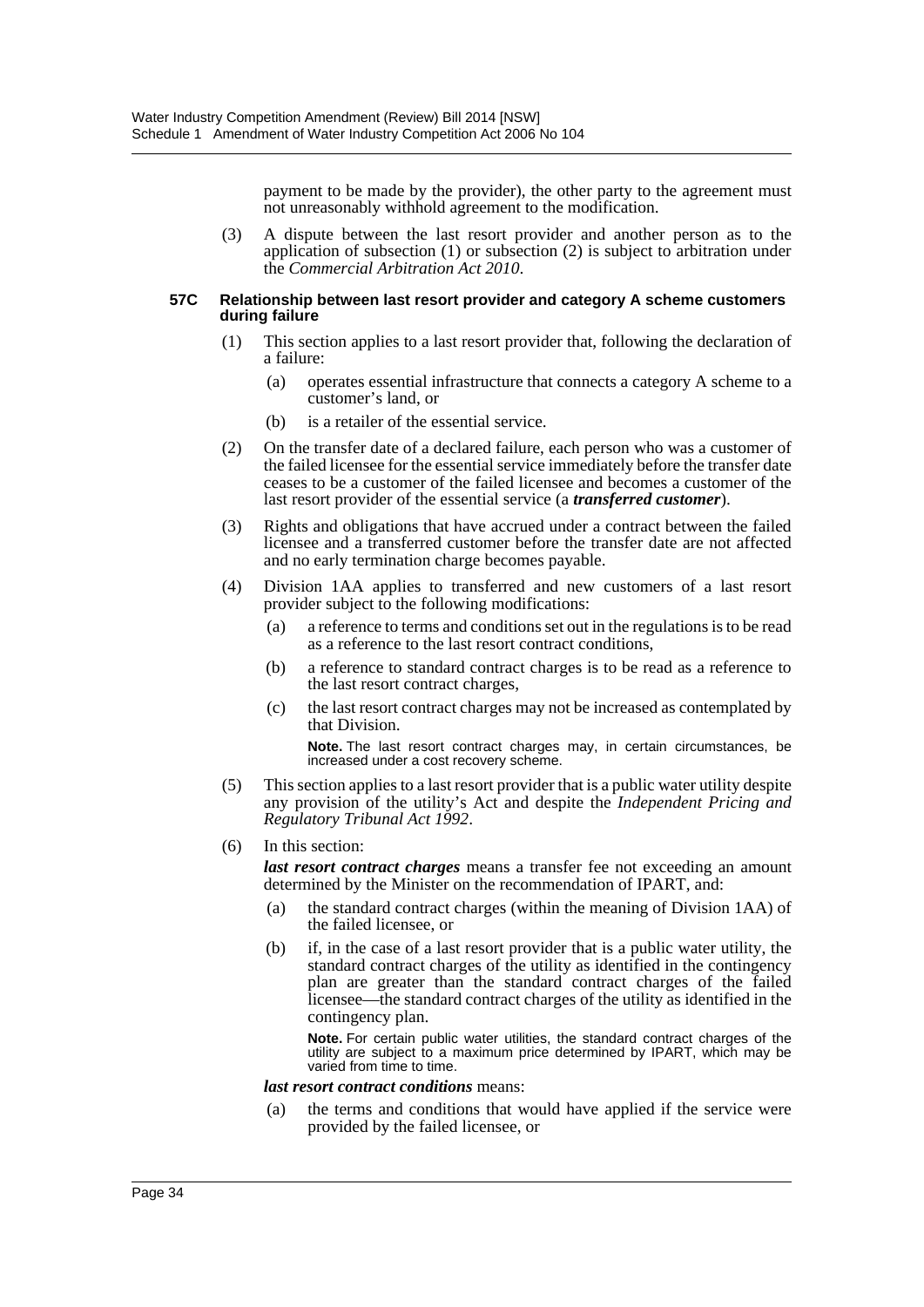payment to be made by the provider), the other party to the agreement must not unreasonably withhold agreement to the modification.

(3) A dispute between the last resort provider and another person as to the application of subsection (1) or subsection (2) is subject to arbitration under the *Commercial Arbitration Act 2010*.

#### **57C Relationship between last resort provider and category A scheme customers during failure**

- (1) This section applies to a last resort provider that, following the declaration of a failure:
	- (a) operates essential infrastructure that connects a category A scheme to a customer's land, or
	- (b) is a retailer of the essential service.
- (2) On the transfer date of a declared failure, each person who was a customer of the failed licensee for the essential service immediately before the transfer date ceases to be a customer of the failed licensee and becomes a customer of the last resort provider of the essential service (a *transferred customer*).
- (3) Rights and obligations that have accrued under a contract between the failed licensee and a transferred customer before the transfer date are not affected and no early termination charge becomes payable.
- (4) Division 1AA applies to transferred and new customers of a last resort provider subject to the following modifications:
	- (a) a reference to terms and conditions set out in the regulations is to be read as a reference to the last resort contract conditions,
	- (b) a reference to standard contract charges is to be read as a reference to the last resort contract charges,
	- (c) the last resort contract charges may not be increased as contemplated by that Division.

**Note.** The last resort contract charges may, in certain circumstances, be increased under a cost recovery scheme.

- (5) This section applies to a last resort provider that is a public water utility despite any provision of the utility's Act and despite the *Independent Pricing and Regulatory Tribunal Act 1992*.
- (6) In this section:

*last resort contract charges* means a transfer fee not exceeding an amount determined by the Minister on the recommendation of IPART, and:

- (a) the standard contract charges (within the meaning of Division 1AA) of the failed licensee, or
- (b) if, in the case of a last resort provider that is a public water utility, the standard contract charges of the utility as identified in the contingency plan are greater than the standard contract charges of the failed licensee—the standard contract charges of the utility as identified in the contingency plan.

**Note.** For certain public water utilities, the standard contract charges of the utility are subject to a maximum price determined by IPART, which may be varied from time to time.

#### *last resort contract conditions* means:

(a) the terms and conditions that would have applied if the service were provided by the failed licensee, or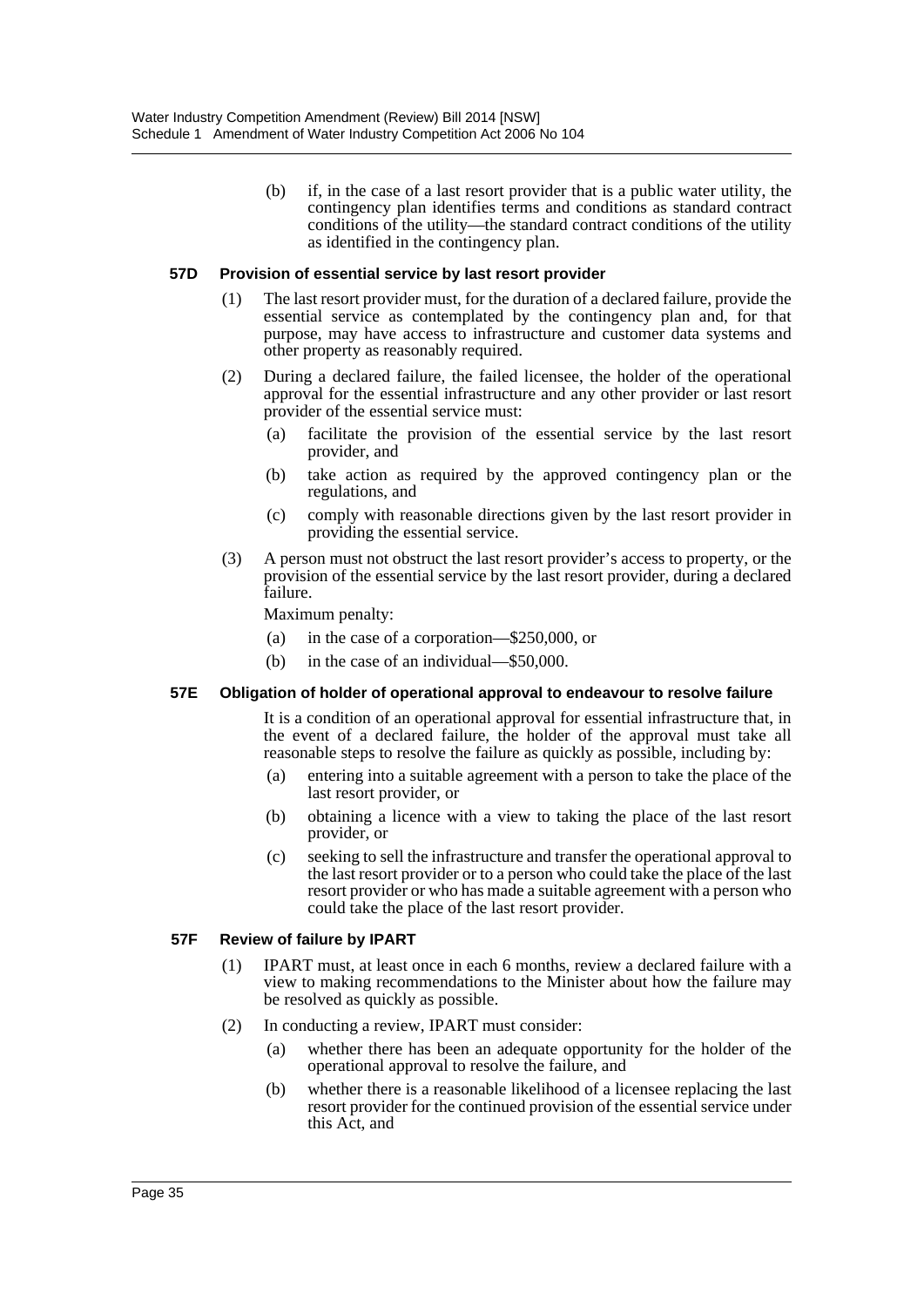(b) if, in the case of a last resort provider that is a public water utility, the contingency plan identifies terms and conditions as standard contract conditions of the utility—the standard contract conditions of the utility as identified in the contingency plan.

#### **57D Provision of essential service by last resort provider**

- (1) The last resort provider must, for the duration of a declared failure, provide the essential service as contemplated by the contingency plan and, for that purpose, may have access to infrastructure and customer data systems and other property as reasonably required.
- (2) During a declared failure, the failed licensee, the holder of the operational approval for the essential infrastructure and any other provider or last resort provider of the essential service must:
	- (a) facilitate the provision of the essential service by the last resort provider, and
	- (b) take action as required by the approved contingency plan or the regulations, and
	- (c) comply with reasonable directions given by the last resort provider in providing the essential service.
- (3) A person must not obstruct the last resort provider's access to property, or the provision of the essential service by the last resort provider, during a declared failure.

Maximum penalty:

- (a) in the case of a corporation—\$250,000, or
- (b) in the case of an individual—\$50,000.

#### **57E Obligation of holder of operational approval to endeavour to resolve failure**

It is a condition of an operational approval for essential infrastructure that, in the event of a declared failure, the holder of the approval must take all reasonable steps to resolve the failure as quickly as possible, including by:

- (a) entering into a suitable agreement with a person to take the place of the last resort provider, or
- (b) obtaining a licence with a view to taking the place of the last resort provider, or
- (c) seeking to sell the infrastructure and transfer the operational approval to the last resort provider or to a person who could take the place of the last resort provider or who has made a suitable agreement with a person who could take the place of the last resort provider.

#### **57F Review of failure by IPART**

- (1) IPART must, at least once in each 6 months, review a declared failure with a view to making recommendations to the Minister about how the failure may be resolved as quickly as possible.
- (2) In conducting a review, IPART must consider:
	- (a) whether there has been an adequate opportunity for the holder of the operational approval to resolve the failure, and
	- (b) whether there is a reasonable likelihood of a licensee replacing the last resort provider for the continued provision of the essential service under this Act, and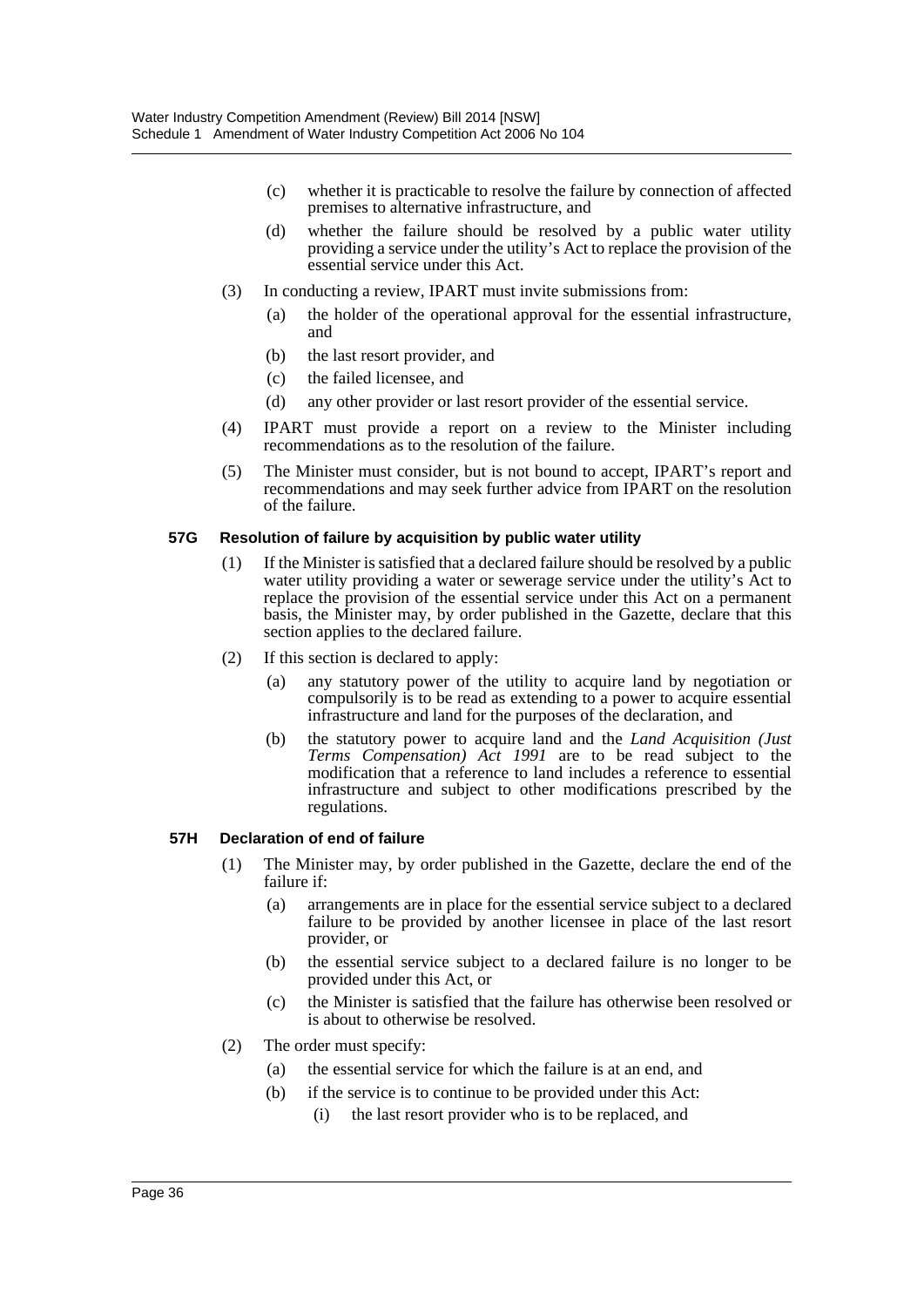- (c) whether it is practicable to resolve the failure by connection of affected premises to alternative infrastructure, and
- (d) whether the failure should be resolved by a public water utility providing a service under the utility's Act to replace the provision of the essential service under this Act.
- (3) In conducting a review, IPART must invite submissions from:
	- (a) the holder of the operational approval for the essential infrastructure, and
	- (b) the last resort provider, and
	- (c) the failed licensee, and
	- (d) any other provider or last resort provider of the essential service.
- (4) IPART must provide a report on a review to the Minister including recommendations as to the resolution of the failure.
- (5) The Minister must consider, but is not bound to accept, IPART's report and recommendations and may seek further advice from IPART on the resolution of the failure.

#### **57G Resolution of failure by acquisition by public water utility**

- (1) If the Minister is satisfied that a declared failure should be resolved by a public water utility providing a water or sewerage service under the utility's Act to replace the provision of the essential service under this Act on a permanent basis, the Minister may, by order published in the Gazette, declare that this section applies to the declared failure.
- (2) If this section is declared to apply:
	- (a) any statutory power of the utility to acquire land by negotiation or compulsorily is to be read as extending to a power to acquire essential infrastructure and land for the purposes of the declaration, and
	- (b) the statutory power to acquire land and the *Land Acquisition (Just Terms Compensation) Act 1991* are to be read subject to the modification that a reference to land includes a reference to essential infrastructure and subject to other modifications prescribed by the regulations.

#### **57H Declaration of end of failure**

- (1) The Minister may, by order published in the Gazette, declare the end of the failure if:
	- (a) arrangements are in place for the essential service subject to a declared failure to be provided by another licensee in place of the last resort provider, or
	- (b) the essential service subject to a declared failure is no longer to be provided under this Act, or
	- (c) the Minister is satisfied that the failure has otherwise been resolved or is about to otherwise be resolved.
- (2) The order must specify:
	- (a) the essential service for which the failure is at an end, and
	- (b) if the service is to continue to be provided under this Act:
		- (i) the last resort provider who is to be replaced, and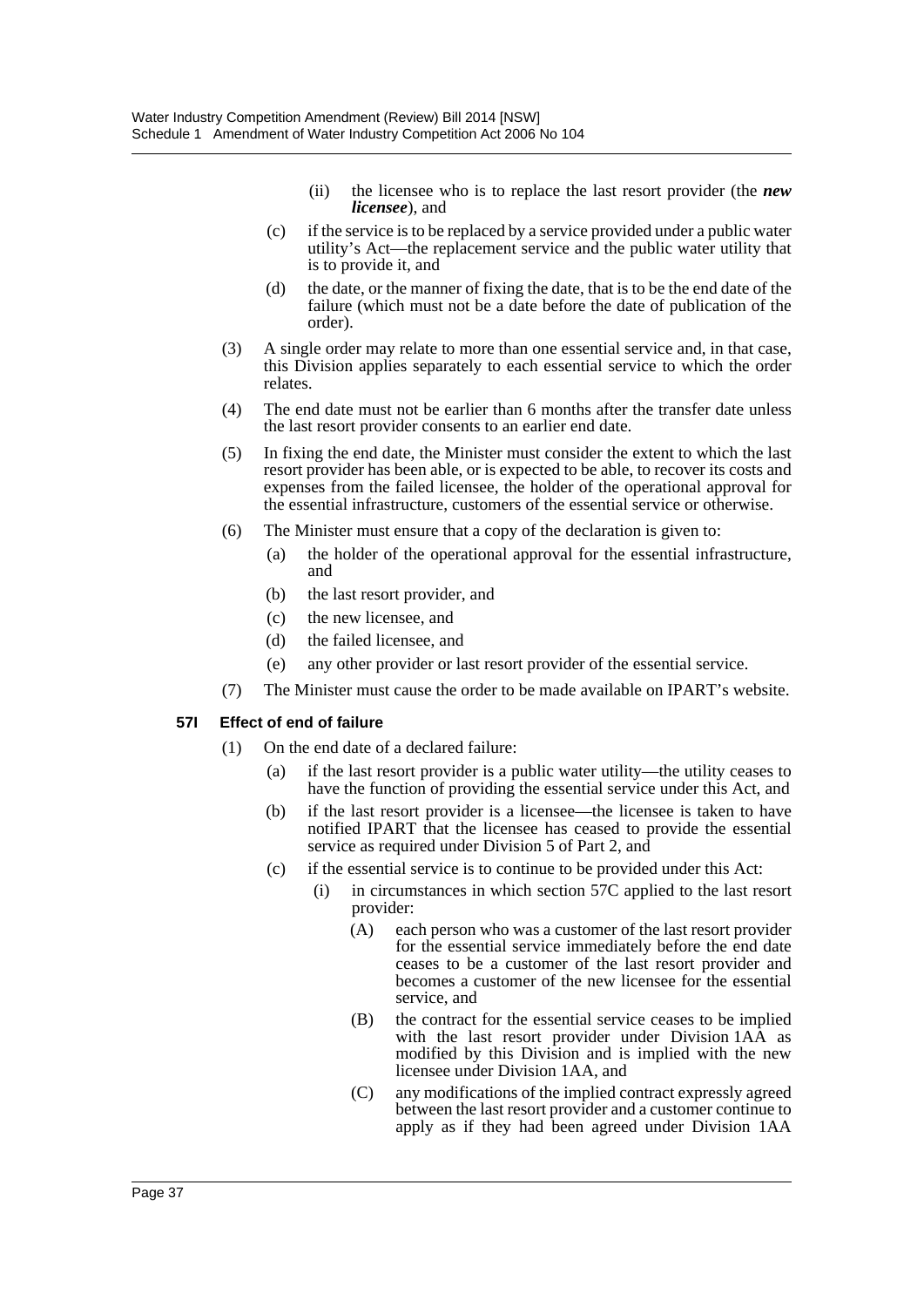- (ii) the licensee who is to replace the last resort provider (the *new licensee*), and
- (c) if the service is to be replaced by a service provided under a public water utility's Act—the replacement service and the public water utility that is to provide it, and
- (d) the date, or the manner of fixing the date, that is to be the end date of the failure (which must not be a date before the date of publication of the order).
- (3) A single order may relate to more than one essential service and, in that case, this Division applies separately to each essential service to which the order relates.
- (4) The end date must not be earlier than 6 months after the transfer date unless the last resort provider consents to an earlier end date.
- (5) In fixing the end date, the Minister must consider the extent to which the last resort provider has been able, or is expected to be able, to recover its costs and expenses from the failed licensee, the holder of the operational approval for the essential infrastructure, customers of the essential service or otherwise.
- (6) The Minister must ensure that a copy of the declaration is given to:
	- (a) the holder of the operational approval for the essential infrastructure, and
	- (b) the last resort provider, and
	- (c) the new licensee, and
	- (d) the failed licensee, and
	- (e) any other provider or last resort provider of the essential service.
- (7) The Minister must cause the order to be made available on IPART's website.

### **57I Effect of end of failure**

- (1) On the end date of a declared failure:
	- (a) if the last resort provider is a public water utility—the utility ceases to have the function of providing the essential service under this Act, and
	- (b) if the last resort provider is a licensee—the licensee is taken to have notified IPART that the licensee has ceased to provide the essential service as required under Division 5 of Part 2, and
	- (c) if the essential service is to continue to be provided under this Act:
		- (i) in circumstances in which section 57C applied to the last resort provider:
			- (A) each person who was a customer of the last resort provider for the essential service immediately before the end date ceases to be a customer of the last resort provider and becomes a customer of the new licensee for the essential service, and
			- (B) the contract for the essential service ceases to be implied with the last resort provider under Division 1AA as modified by this Division and is implied with the new licensee under Division 1AA, and
			- (C) any modifications of the implied contract expressly agreed between the last resort provider and a customer continue to apply as if they had been agreed under Division 1AA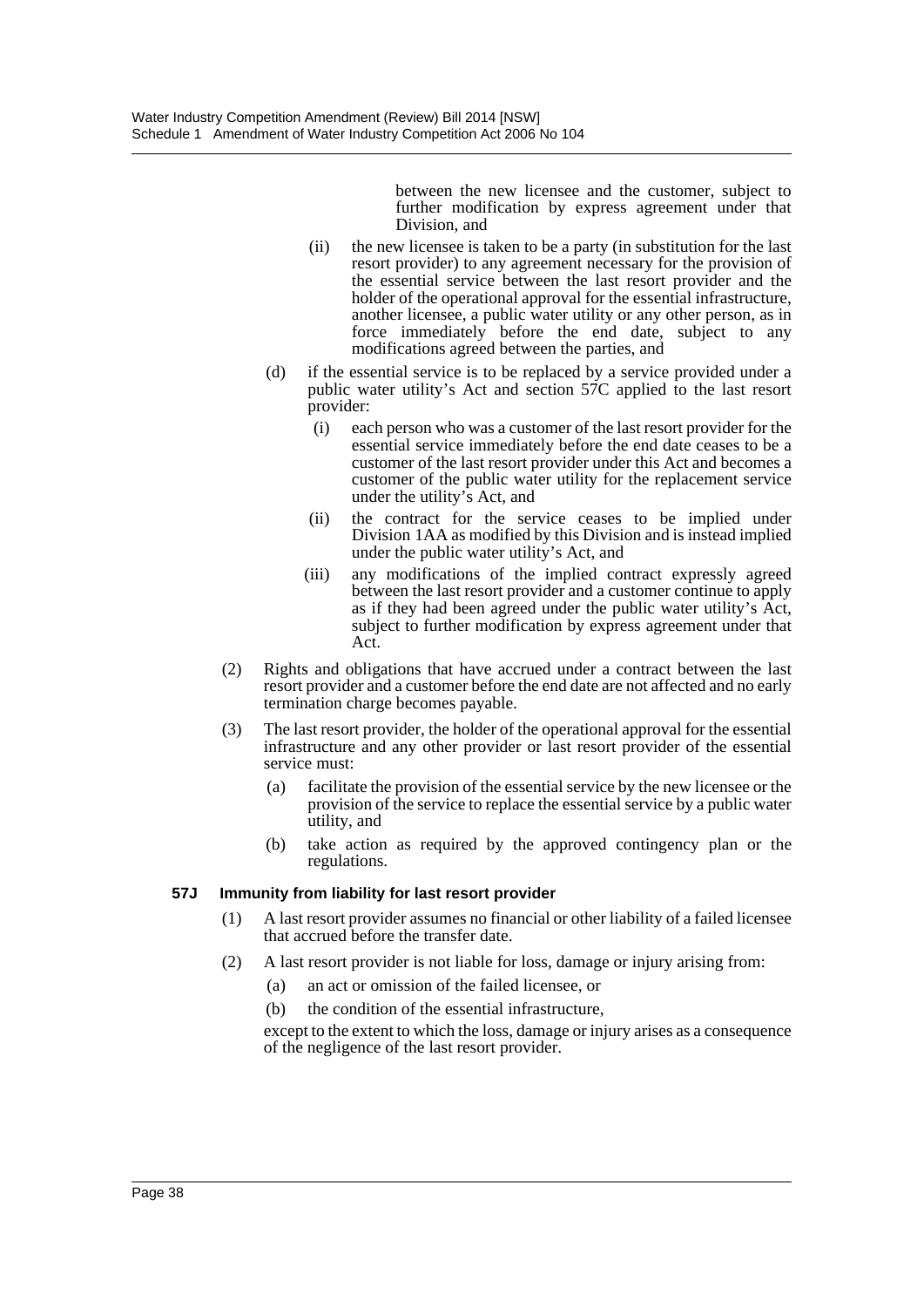between the new licensee and the customer, subject to further modification by express agreement under that Division, and

- (ii) the new licensee is taken to be a party (in substitution for the last resort provider) to any agreement necessary for the provision of the essential service between the last resort provider and the holder of the operational approval for the essential infrastructure, another licensee, a public water utility or any other person, as in force immediately before the end date, subject to any modifications agreed between the parties, and
- (d) if the essential service is to be replaced by a service provided under a public water utility's Act and section  $57C$  applied to the last resort provider:
	- (i) each person who was a customer of the last resort provider for the essential service immediately before the end date ceases to be a customer of the last resort provider under this Act and becomes a customer of the public water utility for the replacement service under the utility's Act, and
	- (ii) the contract for the service ceases to be implied under Division 1AA as modified by this Division and is instead implied under the public water utility's Act, and
	- (iii) any modifications of the implied contract expressly agreed between the last resort provider and a customer continue to apply as if they had been agreed under the public water utility's Act, subject to further modification by express agreement under that Act.
- (2) Rights and obligations that have accrued under a contract between the last resort provider and a customer before the end date are not affected and no early termination charge becomes payable.
- (3) The last resort provider, the holder of the operational approval for the essential infrastructure and any other provider or last resort provider of the essential service must:
	- (a) facilitate the provision of the essential service by the new licensee or the provision of the service to replace the essential service by a public water utility, and
	- (b) take action as required by the approved contingency plan or the regulations.

### **57J Immunity from liability for last resort provider**

- (1) A last resort provider assumes no financial or other liability of a failed licensee that accrued before the transfer date.
- (2) A last resort provider is not liable for loss, damage or injury arising from:
	- (a) an act or omission of the failed licensee, or
	- (b) the condition of the essential infrastructure,

except to the extent to which the loss, damage or injury arises as a consequence of the negligence of the last resort provider.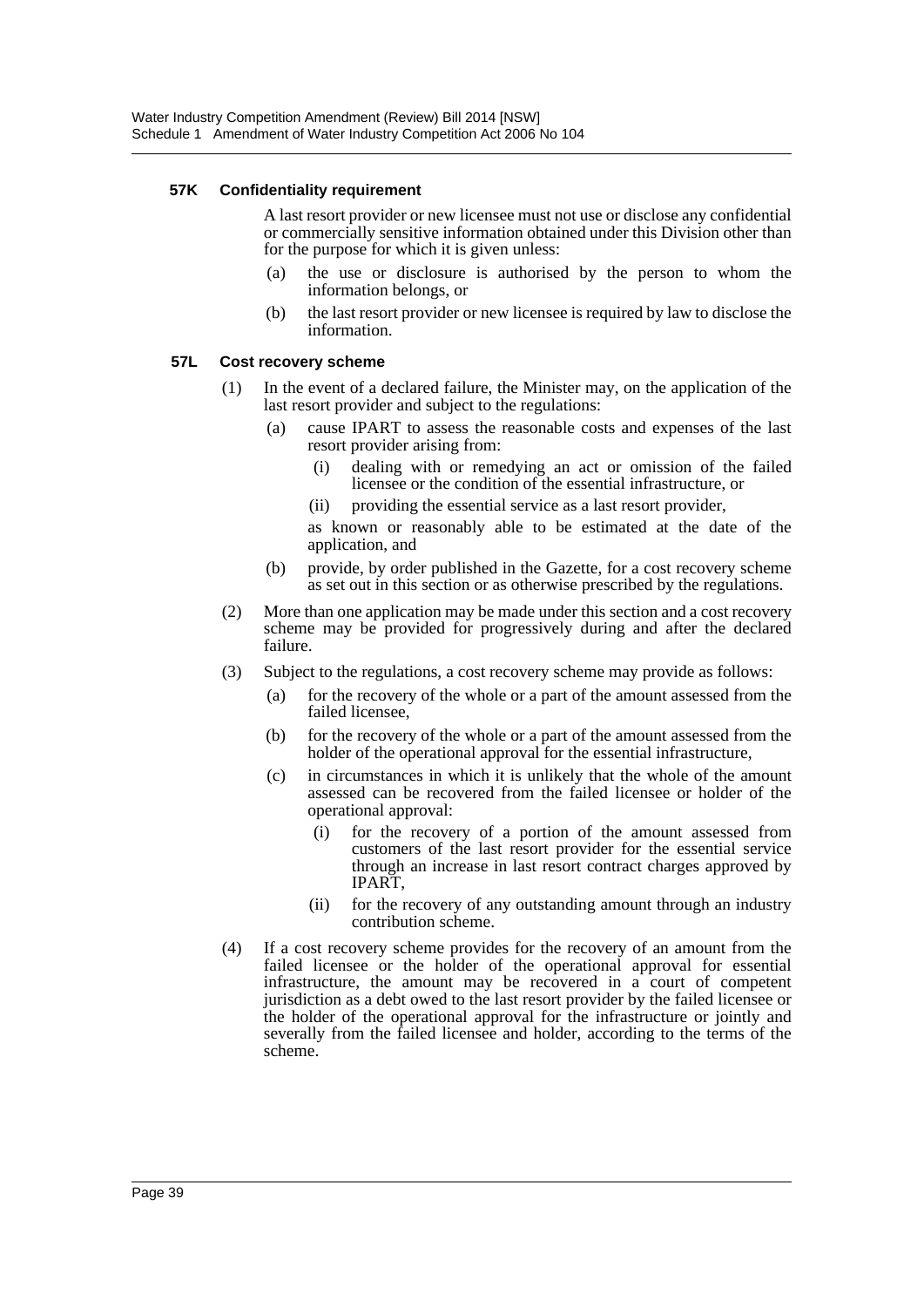#### **57K Confidentiality requirement**

A last resort provider or new licensee must not use or disclose any confidential or commercially sensitive information obtained under this Division other than for the purpose for which it is given unless:

- (a) the use or disclosure is authorised by the person to whom the information belongs, or
- (b) the last resort provider or new licensee is required by law to disclose the information.

#### **57L Cost recovery scheme**

- (1) In the event of a declared failure, the Minister may, on the application of the last resort provider and subject to the regulations:
	- (a) cause IPART to assess the reasonable costs and expenses of the last resort provider arising from:
		- (i) dealing with or remedying an act or omission of the failed licensee or the condition of the essential infrastructure, or
		- (ii) providing the essential service as a last resort provider,

as known or reasonably able to be estimated at the date of the application, and

- (b) provide, by order published in the Gazette, for a cost recovery scheme as set out in this section or as otherwise prescribed by the regulations.
- (2) More than one application may be made under this section and a cost recovery scheme may be provided for progressively during and after the declared failure.
- (3) Subject to the regulations, a cost recovery scheme may provide as follows:
	- (a) for the recovery of the whole or a part of the amount assessed from the failed licensee,
	- (b) for the recovery of the whole or a part of the amount assessed from the holder of the operational approval for the essential infrastructure,
	- (c) in circumstances in which it is unlikely that the whole of the amount assessed can be recovered from the failed licensee or holder of the operational approval:
		- (i) for the recovery of a portion of the amount assessed from customers of the last resort provider for the essential service through an increase in last resort contract charges approved by IPART,
		- (ii) for the recovery of any outstanding amount through an industry contribution scheme.
- (4) If a cost recovery scheme provides for the recovery of an amount from the failed licensee or the holder of the operational approval for essential infrastructure, the amount may be recovered in a court of competent jurisdiction as a debt owed to the last resort provider by the failed licensee or the holder of the operational approval for the infrastructure or jointly and severally from the failed licensee and holder, according to the terms of the scheme.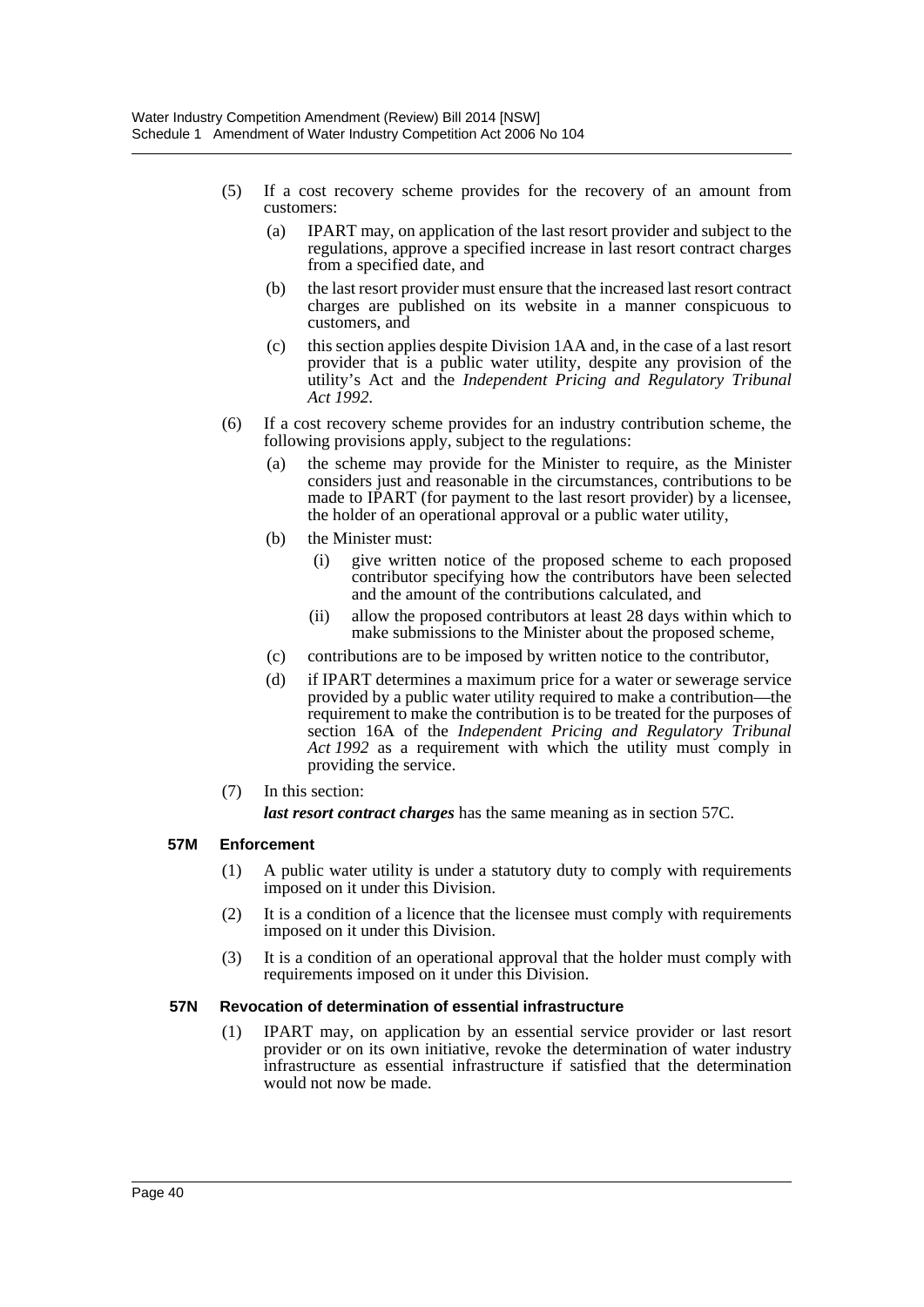- (5) If a cost recovery scheme provides for the recovery of an amount from customers:
	- (a) IPART may, on application of the last resort provider and subject to the regulations, approve a specified increase in last resort contract charges from a specified date, and
	- (b) the last resort provider must ensure that the increased last resort contract charges are published on its website in a manner conspicuous to customers, and
	- (c) this section applies despite Division 1AA and, in the case of a last resort provider that is a public water utility, despite any provision of the utility's Act and the *Independent Pricing and Regulatory Tribunal Act 1992*.
- (6) If a cost recovery scheme provides for an industry contribution scheme, the following provisions apply, subject to the regulations:
	- (a) the scheme may provide for the Minister to require, as the Minister considers just and reasonable in the circumstances, contributions to be made to IPART (for payment to the last resort provider) by a licensee, the holder of an operational approval or a public water utility,
	- (b) the Minister must:
		- (i) give written notice of the proposed scheme to each proposed contributor specifying how the contributors have been selected and the amount of the contributions calculated, and
		- (ii) allow the proposed contributors at least 28 days within which to make submissions to the Minister about the proposed scheme,
	- (c) contributions are to be imposed by written notice to the contributor,
	- (d) if IPART determines a maximum price for a water or sewerage service provided by a public water utility required to make a contribution—the requirement to make the contribution is to be treated for the purposes of section 16A of the *Independent Pricing and Regulatory Tribunal Act 1992* as a requirement with which the utility must comply in providing the service.
- (7) In this section:

*last resort contract charges* has the same meaning as in section 57C.

### **57M Enforcement**

- (1) A public water utility is under a statutory duty to comply with requirements imposed on it under this Division.
- (2) It is a condition of a licence that the licensee must comply with requirements imposed on it under this Division.
- (3) It is a condition of an operational approval that the holder must comply with requirements imposed on it under this Division.

#### **57N Revocation of determination of essential infrastructure**

(1) IPART may, on application by an essential service provider or last resort provider or on its own initiative, revoke the determination of water industry infrastructure as essential infrastructure if satisfied that the determination would not now be made.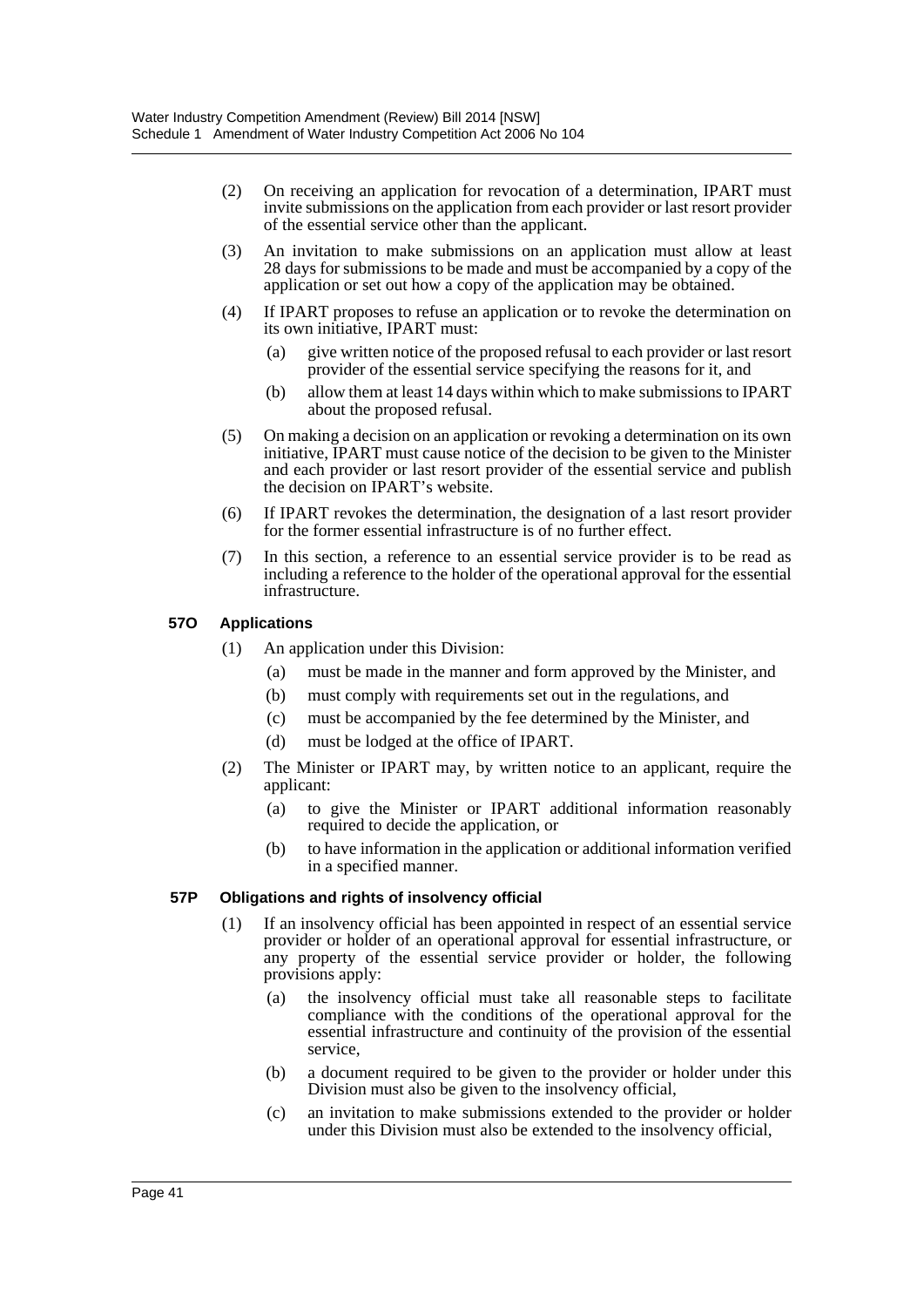- (2) On receiving an application for revocation of a determination, IPART must invite submissions on the application from each provider or last resort provider of the essential service other than the applicant.
- (3) An invitation to make submissions on an application must allow at least 28 days for submissions to be made and must be accompanied by a copy of the application or set out how a copy of the application may be obtained.
- (4) If IPART proposes to refuse an application or to revoke the determination on its own initiative, IPART must:
	- (a) give written notice of the proposed refusal to each provider or last resort provider of the essential service specifying the reasons for it, and
	- (b) allow them at least 14 days within which to make submissions to IPART about the proposed refusal.
- (5) On making a decision on an application or revoking a determination on its own initiative, IPART must cause notice of the decision to be given to the Minister and each provider or last resort provider of the essential service and publish the decision on IPART's website.
- (6) If IPART revokes the determination, the designation of a last resort provider for the former essential infrastructure is of no further effect.
- (7) In this section, a reference to an essential service provider is to be read as including a reference to the holder of the operational approval for the essential infrastructure.

#### **57O Applications**

- (1) An application under this Division:
	- (a) must be made in the manner and form approved by the Minister, and
	- (b) must comply with requirements set out in the regulations, and
	- (c) must be accompanied by the fee determined by the Minister, and
	- (d) must be lodged at the office of IPART.
- (2) The Minister or IPART may, by written notice to an applicant, require the applicant:
	- (a) to give the Minister or IPART additional information reasonably required to decide the application, or
	- (b) to have information in the application or additional information verified in a specified manner.

#### **57P Obligations and rights of insolvency official**

- (1) If an insolvency official has been appointed in respect of an essential service provider or holder of an operational approval for essential infrastructure, or any property of the essential service provider or holder, the following provisions apply:
	- (a) the insolvency official must take all reasonable steps to facilitate compliance with the conditions of the operational approval for the essential infrastructure and continuity of the provision of the essential service,
	- (b) a document required to be given to the provider or holder under this Division must also be given to the insolvency official,
	- (c) an invitation to make submissions extended to the provider or holder under this Division must also be extended to the insolvency official,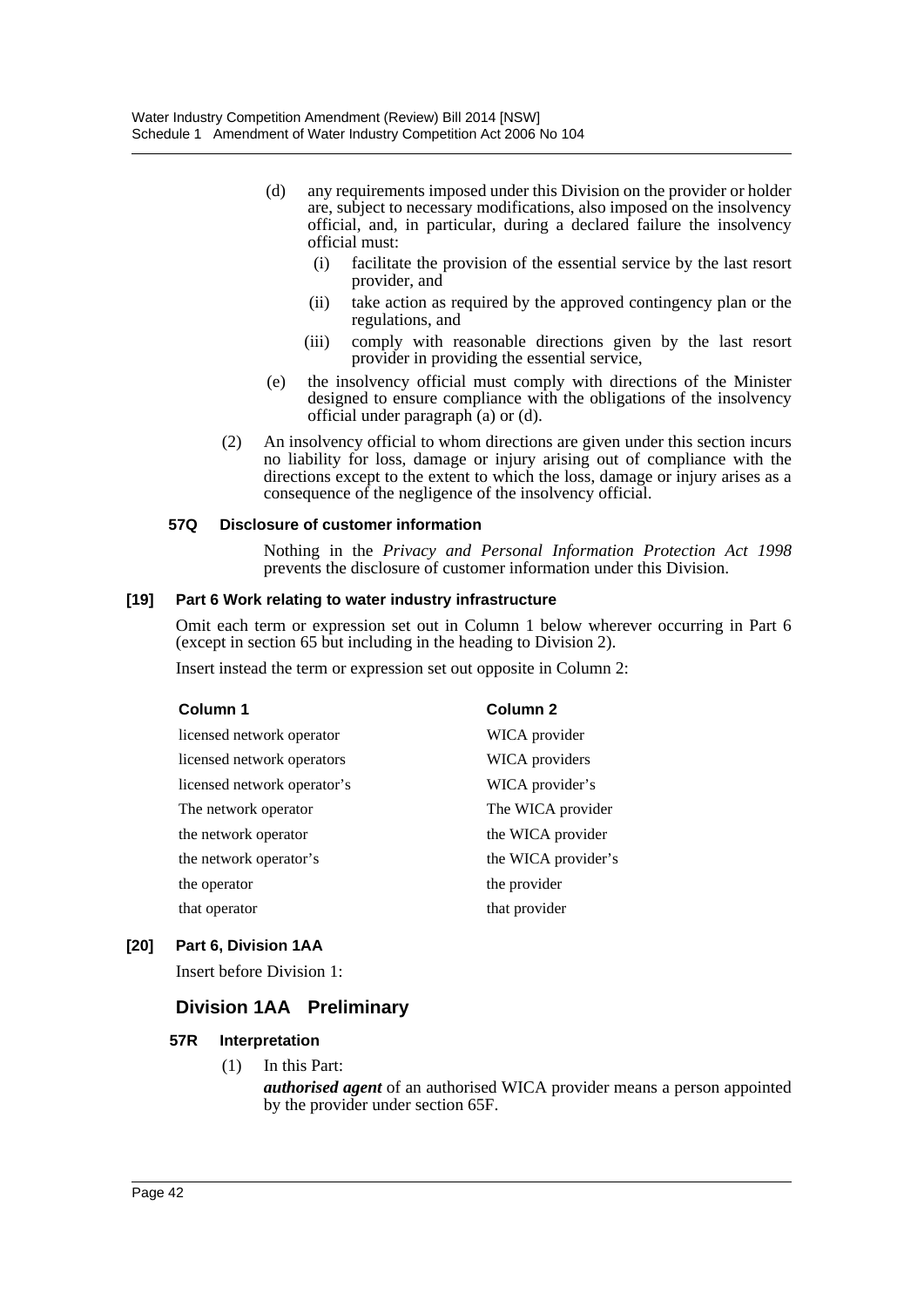- (d) any requirements imposed under this Division on the provider or holder are, subject to necessary modifications, also imposed on the insolvency official, and, in particular, during a declared failure the insolvency official must:
	- (i) facilitate the provision of the essential service by the last resort provider, and
	- (ii) take action as required by the approved contingency plan or the regulations, and
	- (iii) comply with reasonable directions given by the last resort provider in providing the essential service,
- (e) the insolvency official must comply with directions of the Minister designed to ensure compliance with the obligations of the insolvency official under paragraph  $(a)$  or  $(d)$ .
- (2) An insolvency official to whom directions are given under this section incurs no liability for loss, damage or injury arising out of compliance with the directions except to the extent to which the loss, damage or injury arises as a consequence of the negligence of the insolvency official.

#### **57Q Disclosure of customer information**

Nothing in the *Privacy and Personal Information Protection Act 1998* prevents the disclosure of customer information under this Division.

#### **[19] Part 6 Work relating to water industry infrastructure**

Omit each term or expression set out in Column 1 below wherever occurring in Part 6 (except in section 65 but including in the heading to Division 2).

Insert instead the term or expression set out opposite in Column 2:

| Column 1                    | Column <sub>2</sub> |
|-----------------------------|---------------------|
| licensed network operator   | WICA provider       |
| licensed network operators  | WICA providers      |
| licensed network operator's | WICA provider's     |
| The network operator        | The WICA provider   |
| the network operator        | the WICA provider   |
| the network operator's      | the WICA provider's |
| the operator                | the provider        |
| that operator               | that provider       |

### **[20] Part 6, Division 1AA**

Insert before Division 1:

# **Division 1AA Preliminary**

#### **57R Interpretation**

(1) In this Part:

*authorised agent* of an authorised WICA provider means a person appointed by the provider under section 65F.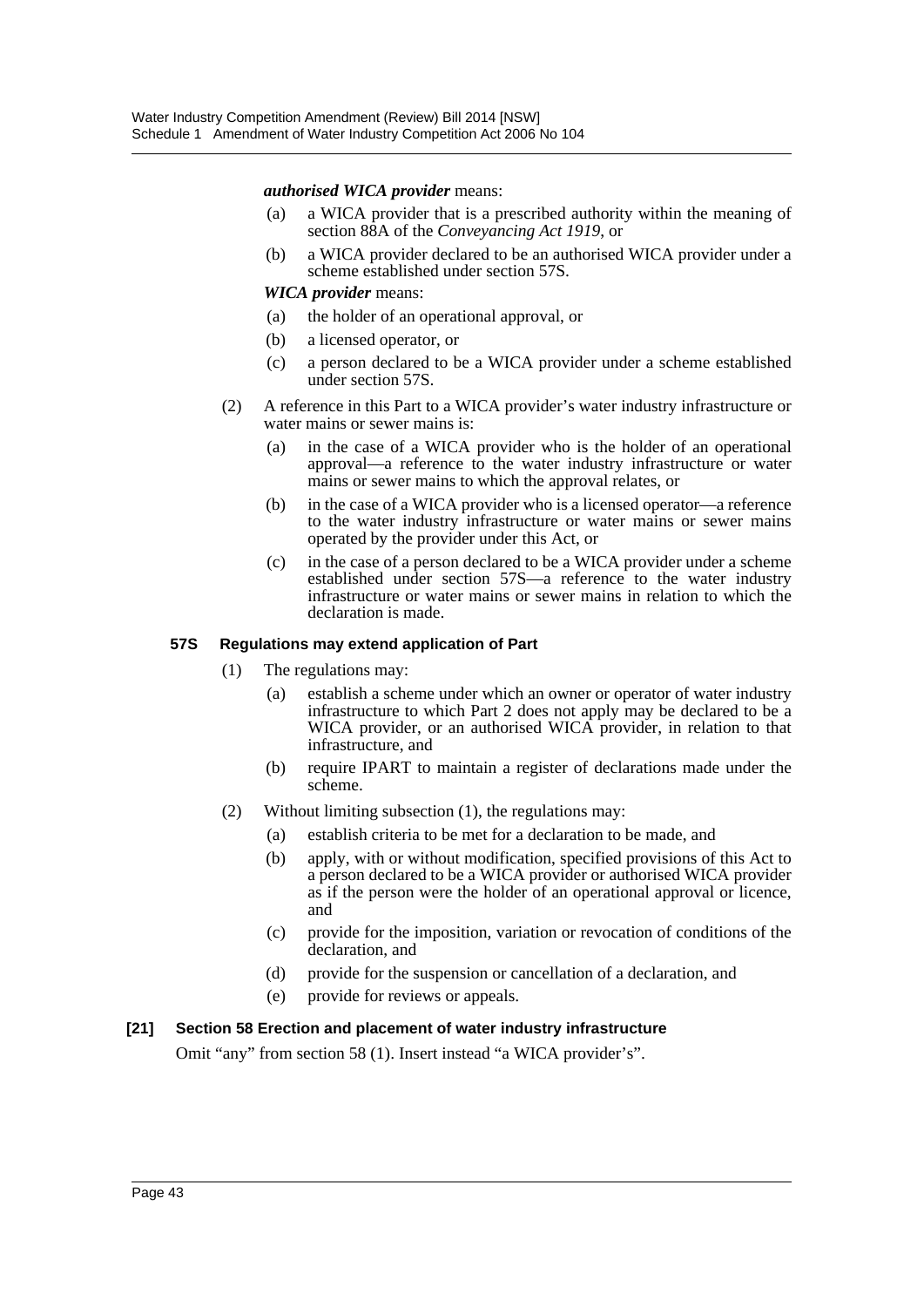#### *authorised WICA provider* means:

- (a) a WICA provider that is a prescribed authority within the meaning of section 88A of the *Conveyancing Act 1919*, or
- (b) a WICA provider declared to be an authorised WICA provider under a scheme established under section 57S.

#### *WICA provider* means:

- (a) the holder of an operational approval, or
- (b) a licensed operator, or
- (c) a person declared to be a WICA provider under a scheme established under section 57S.
- (2) A reference in this Part to a WICA provider's water industry infrastructure or water mains or sewer mains is:
	- (a) in the case of a WICA provider who is the holder of an operational approval—a reference to the water industry infrastructure or water mains or sewer mains to which the approval relates, or
	- (b) in the case of a WICA provider who is a licensed operator—a reference to the water industry infrastructure or water mains or sewer mains operated by the provider under this Act, or
	- (c) in the case of a person declared to be a WICA provider under a scheme established under section 57S—a reference to the water industry infrastructure or water mains or sewer mains in relation to which the declaration is made.

#### **57S Regulations may extend application of Part**

- (1) The regulations may:
	- (a) establish a scheme under which an owner or operator of water industry infrastructure to which Part 2 does not apply may be declared to be a WICA provider, or an authorised WICA provider, in relation to that infrastructure, and
	- (b) require IPART to maintain a register of declarations made under the scheme.
- (2) Without limiting subsection (1), the regulations may:
	- (a) establish criteria to be met for a declaration to be made, and
	- (b) apply, with or without modification, specified provisions of this Act to a person declared to be a WICA provider or authorised WICA provider as if the person were the holder of an operational approval or licence, and
	- (c) provide for the imposition, variation or revocation of conditions of the declaration, and
	- (d) provide for the suspension or cancellation of a declaration, and
	- (e) provide for reviews or appeals.

#### **[21] Section 58 Erection and placement of water industry infrastructure**

Omit "any" from section 58 (1). Insert instead "a WICA provider's".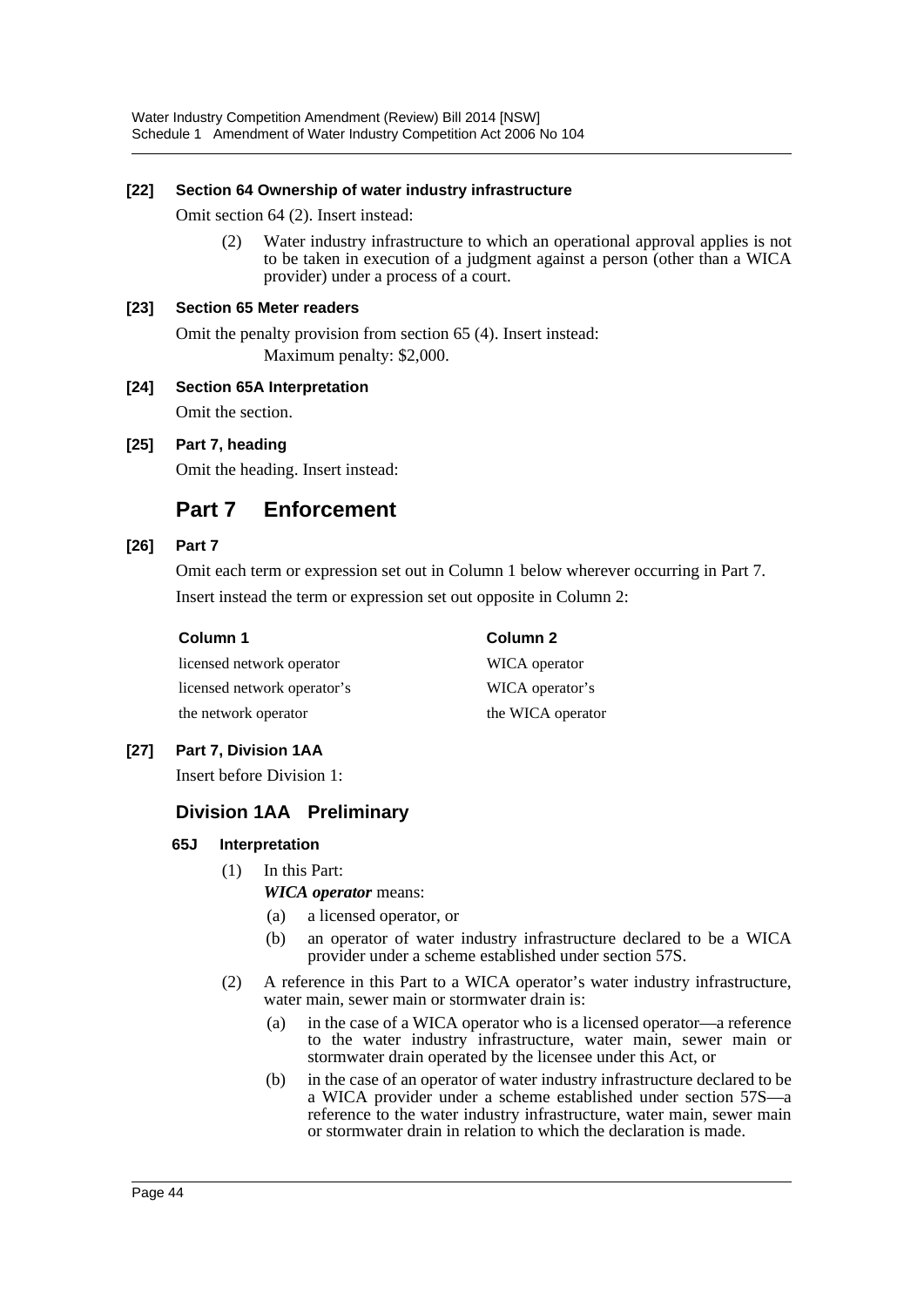#### **[22] Section 64 Ownership of water industry infrastructure**

Omit section 64 (2). Insert instead:

(2) Water industry infrastructure to which an operational approval applies is not to be taken in execution of a judgment against a person (other than a WICA provider) under a process of a court.

#### **[23] Section 65 Meter readers**

Omit the penalty provision from section 65 (4). Insert instead: Maximum penalty: \$2,000.

#### **[24] Section 65A Interpretation**

Omit the section.

#### **[25] Part 7, heading**

Omit the heading. Insert instead:

# **Part 7 Enforcement**

#### **[26] Part 7**

Omit each term or expression set out in Column 1 below wherever occurring in Part 7. Insert instead the term or expression set out opposite in Column 2:

**Column 1 Column 2**

WICA operator WICA operator's the WICA operator

| licensed network operator   |  |
|-----------------------------|--|
| licensed network operator's |  |
| the network operator        |  |

### **[27] Part 7, Division 1AA**

Insert before Division 1:

### **Division 1AA Preliminary**

### **65J Interpretation**

- (1) In this Part:
	- *WICA operator* means:
	- (a) a licensed operator, or
	- (b) an operator of water industry infrastructure declared to be a WICA provider under a scheme established under section 57S.
- (2) A reference in this Part to a WICA operator's water industry infrastructure, water main, sewer main or stormwater drain is:
	- (a) in the case of a WICA operator who is a licensed operator—a reference to the water industry infrastructure, water main, sewer main or stormwater drain operated by the licensee under this Act, or
	- (b) in the case of an operator of water industry infrastructure declared to be a WICA provider under a scheme established under section 57S—a reference to the water industry infrastructure, water main, sewer main or stormwater drain in relation to which the declaration is made.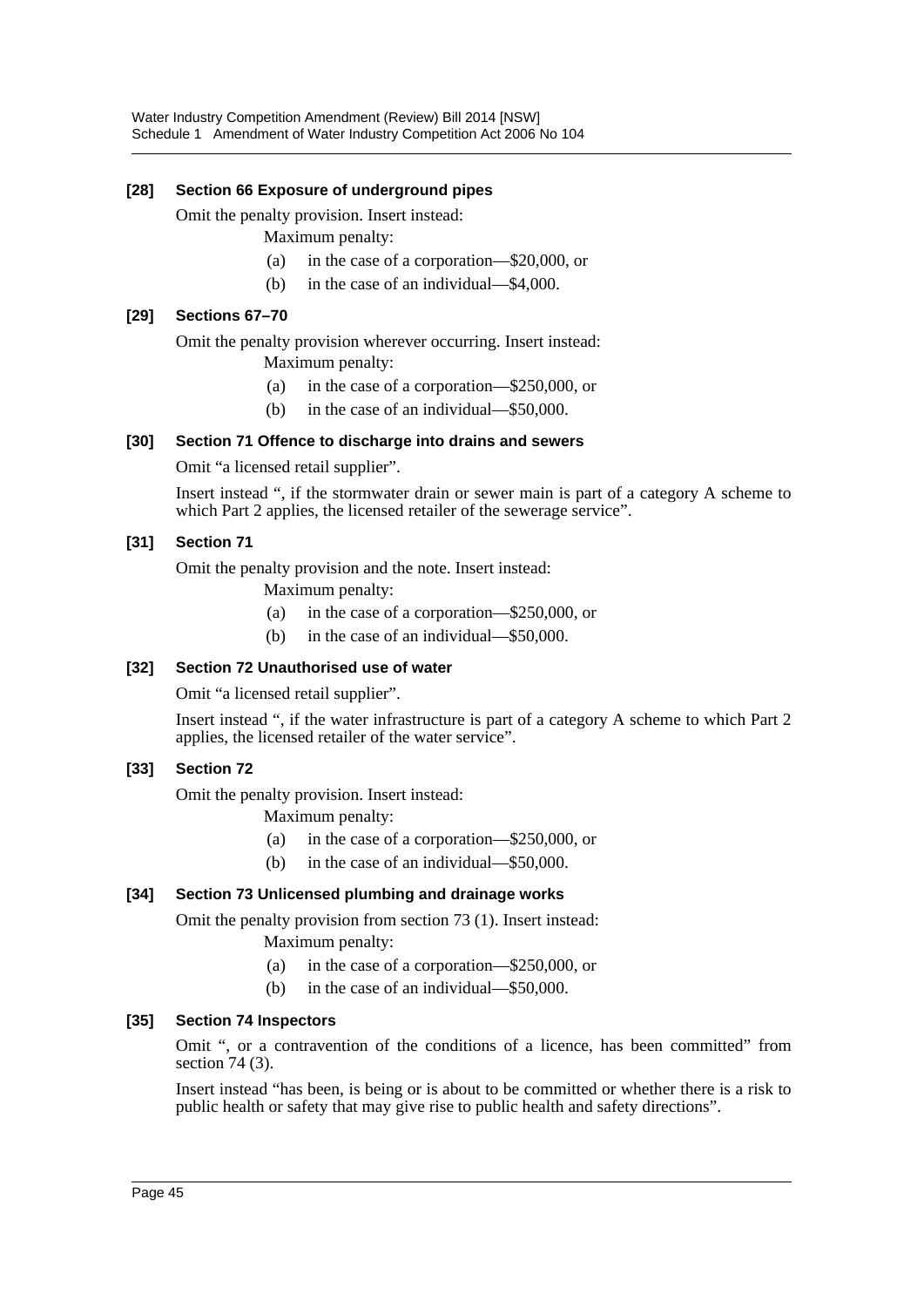#### **[28] Section 66 Exposure of underground pipes**

Omit the penalty provision. Insert instead:

- Maximum penalty:
- (a) in the case of a corporation—\$20,000, or
- (b) in the case of an individual—\$4,000.

#### **[29] Sections 67–70**

Omit the penalty provision wherever occurring. Insert instead:

Maximum penalty:

- (a) in the case of a corporation—\$250,000, or
- (b) in the case of an individual—\$50,000.

#### **[30] Section 71 Offence to discharge into drains and sewers**

Omit "a licensed retail supplier".

Insert instead ", if the stormwater drain or sewer main is part of a category A scheme to which Part 2 applies, the licensed retailer of the sewerage service".

### **[31] Section 71**

Omit the penalty provision and the note. Insert instead:

Maximum penalty:

- (a) in the case of a corporation—\$250,000, or
- (b) in the case of an individual—\$50,000.

### **[32] Section 72 Unauthorised use of water**

Omit "a licensed retail supplier".

Insert instead ", if the water infrastructure is part of a category A scheme to which Part 2 applies, the licensed retailer of the water service".

#### **[33] Section 72**

Omit the penalty provision. Insert instead:

Maximum penalty:

- (a) in the case of a corporation—\$250,000, or
- (b) in the case of an individual—\$50,000.

#### **[34] Section 73 Unlicensed plumbing and drainage works**

Omit the penalty provision from section 73 (1). Insert instead:

- Maximum penalty:
- (a) in the case of a corporation—\$250,000, or
- (b) in the case of an individual—\$50,000.

#### **[35] Section 74 Inspectors**

Omit ", or a contravention of the conditions of a licence, has been committed" from section 74 (3).

Insert instead "has been, is being or is about to be committed or whether there is a risk to public health or safety that may give rise to public health and safety directions".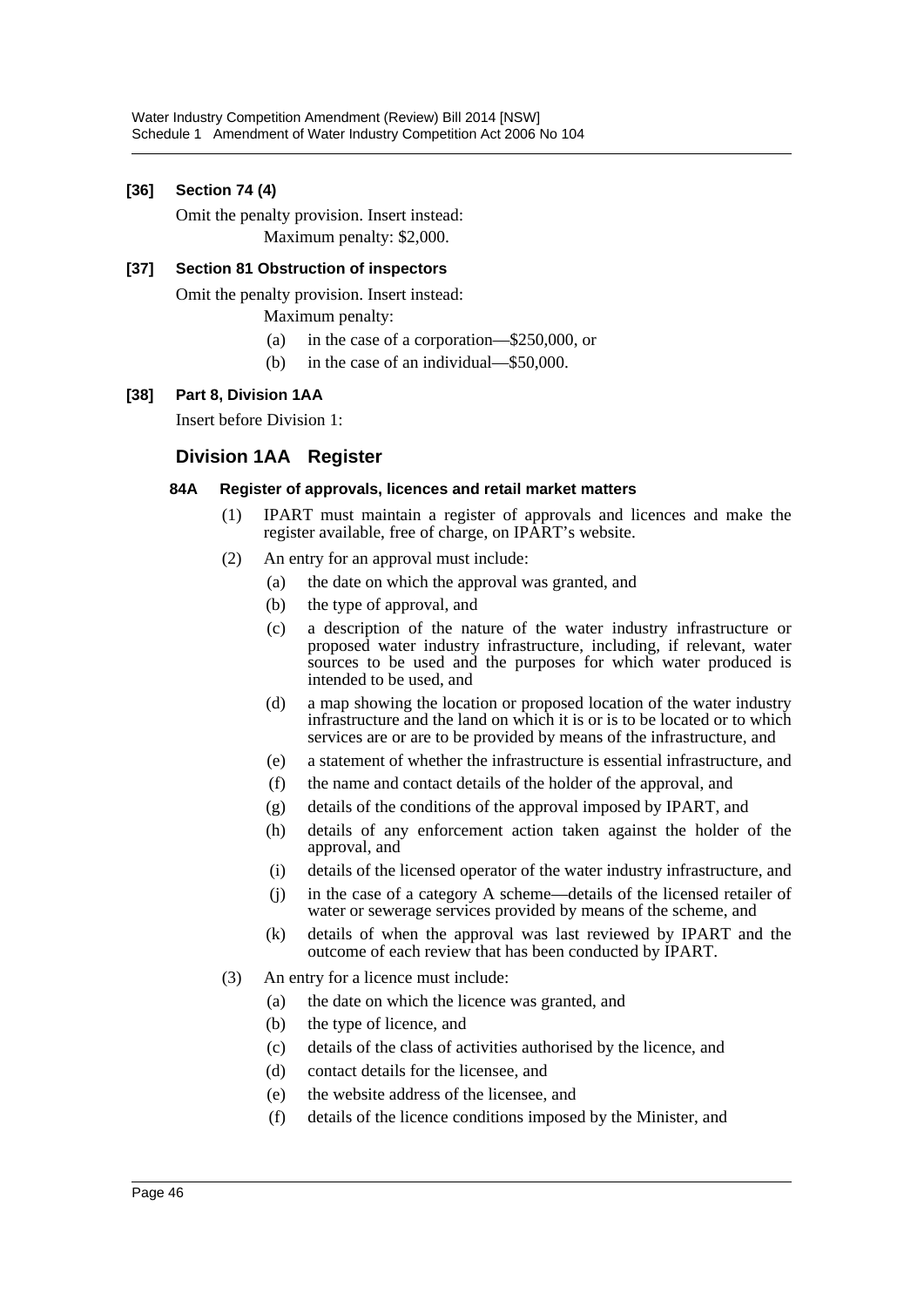### **[36] Section 74 (4)**

Omit the penalty provision. Insert instead: Maximum penalty: \$2,000.

#### **[37] Section 81 Obstruction of inspectors**

Omit the penalty provision. Insert instead:

Maximum penalty:

- (a) in the case of a corporation—\$250,000, or
- (b) in the case of an individual—\$50,000.

#### **[38] Part 8, Division 1AA**

Insert before Division 1:

### **Division 1AA Register**

#### **84A Register of approvals, licences and retail market matters**

- (1) IPART must maintain a register of approvals and licences and make the register available, free of charge, on IPART's website.
- (2) An entry for an approval must include:
	- (a) the date on which the approval was granted, and
	- (b) the type of approval, and
	- (c) a description of the nature of the water industry infrastructure or proposed water industry infrastructure, including, if relevant, water sources to be used and the purposes for which water produced is intended to be used, and
	- (d) a map showing the location or proposed location of the water industry infrastructure and the land on which it is or is to be located or to which services are or are to be provided by means of the infrastructure, and
	- (e) a statement of whether the infrastructure is essential infrastructure, and
	- (f) the name and contact details of the holder of the approval, and
	- (g) details of the conditions of the approval imposed by IPART, and
	- (h) details of any enforcement action taken against the holder of the approval, and
	- (i) details of the licensed operator of the water industry infrastructure, and
	- (j) in the case of a category A scheme—details of the licensed retailer of water or sewerage services provided by means of the scheme, and
	- (k) details of when the approval was last reviewed by IPART and the outcome of each review that has been conducted by IPART.
- (3) An entry for a licence must include:
	- (a) the date on which the licence was granted, and
	- (b) the type of licence, and
	- (c) details of the class of activities authorised by the licence, and
	- (d) contact details for the licensee, and
	- (e) the website address of the licensee, and
	- (f) details of the licence conditions imposed by the Minister, and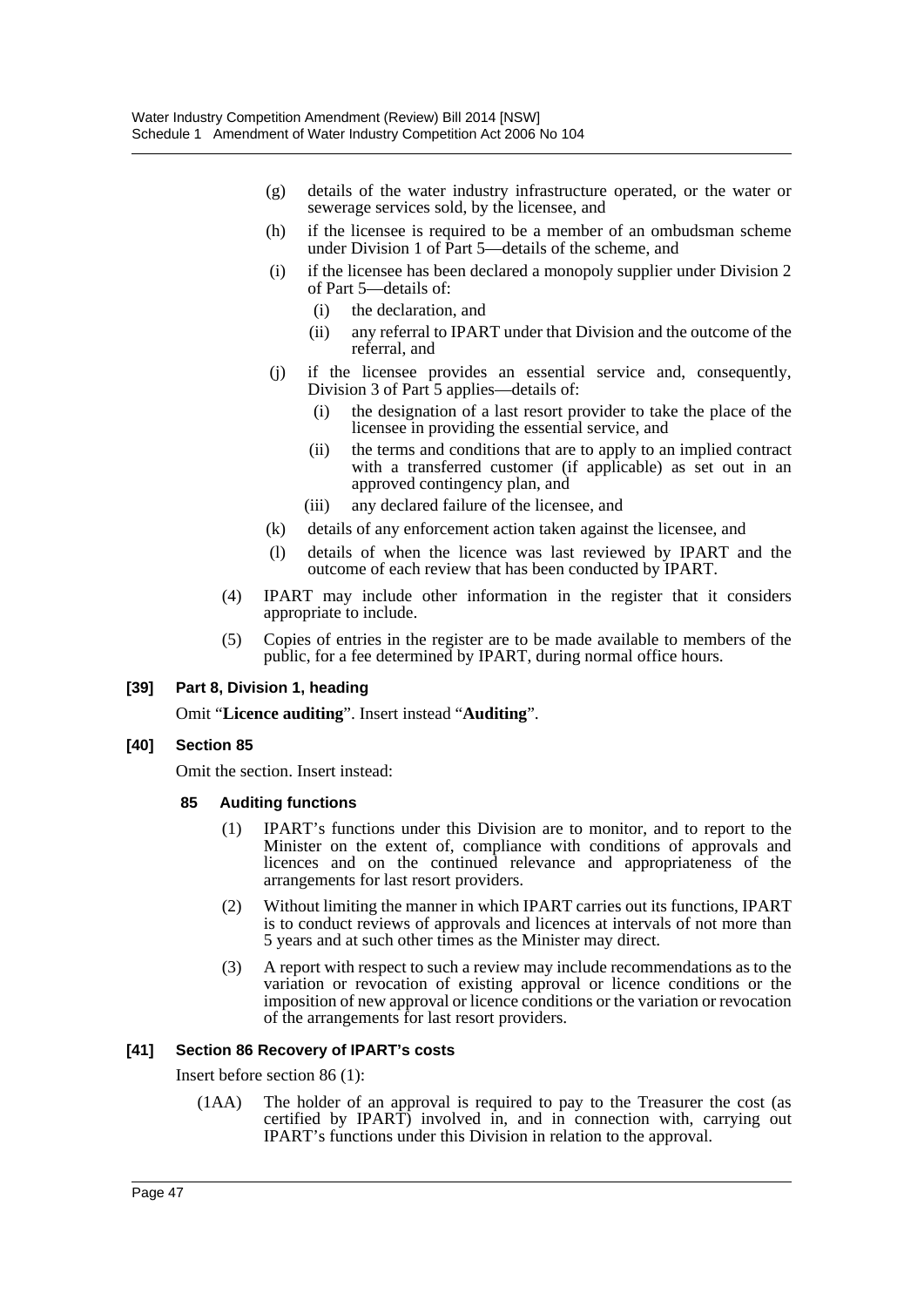- (g) details of the water industry infrastructure operated, or the water or sewerage services sold, by the licensee, and
- (h) if the licensee is required to be a member of an ombudsman scheme under Division 1 of Part 5—details of the scheme, and
- (i) if the licensee has been declared a monopoly supplier under Division 2 of Part 5—details of:
	- (i) the declaration, and
	- (ii) any referral to IPART under that Division and the outcome of the referral, and
- (j) if the licensee provides an essential service and, consequently, Division 3 of Part 5 applies—details of:
	- (i) the designation of a last resort provider to take the place of the licensee in providing the essential service, and
	- (ii) the terms and conditions that are to apply to an implied contract with a transferred customer (if applicable) as set out in an approved contingency plan, and
	- (iii) any declared failure of the licensee, and
- (k) details of any enforcement action taken against the licensee, and
- (l) details of when the licence was last reviewed by IPART and the outcome of each review that has been conducted by IPART.
- (4) IPART may include other information in the register that it considers appropriate to include.
- (5) Copies of entries in the register are to be made available to members of the public, for a fee determined by IPART, during normal office hours.

#### **[39] Part 8, Division 1, heading**

Omit "**Licence auditing**". Insert instead "**Auditing**".

#### **[40] Section 85**

Omit the section. Insert instead:

- **85 Auditing functions**
	- (1) IPART's functions under this Division are to monitor, and to report to the Minister on the extent of, compliance with conditions of approvals and licences and on the continued relevance and appropriateness of the arrangements for last resort providers.
	- (2) Without limiting the manner in which IPART carries out its functions, IPART is to conduct reviews of approvals and licences at intervals of not more than 5 years and at such other times as the Minister may direct.
	- (3) A report with respect to such a review may include recommendations as to the variation or revocation of existing approval or licence conditions or the imposition of new approval or licence conditions or the variation or revocation of the arrangements for last resort providers.

#### **[41] Section 86 Recovery of IPART's costs**

Insert before section 86 (1):

(1AA) The holder of an approval is required to pay to the Treasurer the cost (as certified by IPART) involved in, and in connection with, carrying out IPART's functions under this Division in relation to the approval.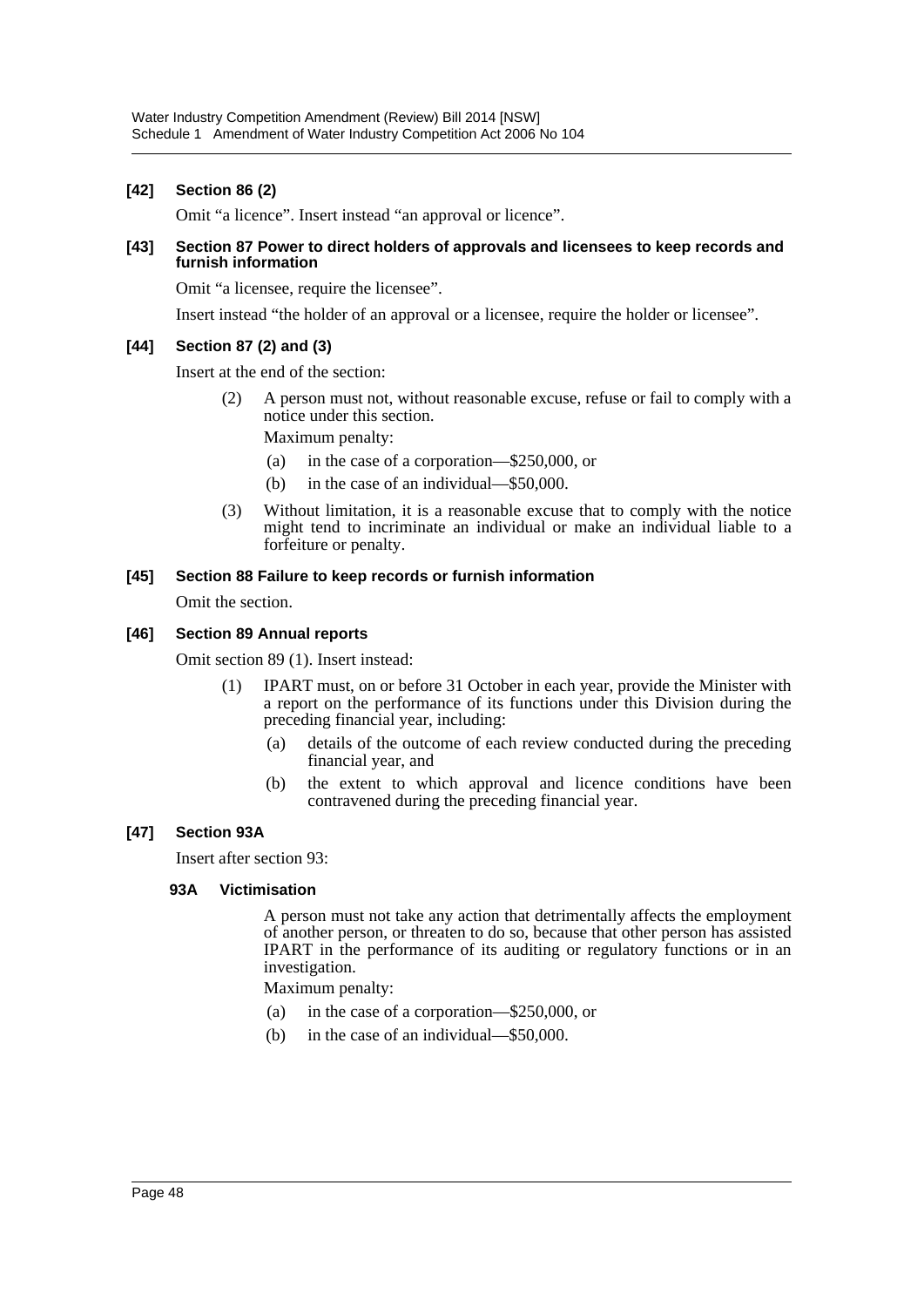#### **[42] Section 86 (2)**

Omit "a licence". Insert instead "an approval or licence".

#### **[43] Section 87 Power to direct holders of approvals and licensees to keep records and furnish information**

Omit "a licensee, require the licensee".

Insert instead "the holder of an approval or a licensee, require the holder or licensee".

#### **[44] Section 87 (2) and (3)**

Insert at the end of the section:

(2) A person must not, without reasonable excuse, refuse or fail to comply with a notice under this section.

Maximum penalty:

- (a) in the case of a corporation—\$250,000, or
- (b) in the case of an individual—\$50,000.
- (3) Without limitation, it is a reasonable excuse that to comply with the notice might tend to incriminate an individual or make an individual liable to a forfeiture or penalty.

#### **[45] Section 88 Failure to keep records or furnish information**

Omit the section.

#### **[46] Section 89 Annual reports**

Omit section 89 (1). Insert instead:

- (1) IPART must, on or before 31 October in each year, provide the Minister with a report on the performance of its functions under this Division during the preceding financial year, including:
	- (a) details of the outcome of each review conducted during the preceding financial year, and
	- (b) the extent to which approval and licence conditions have been contravened during the preceding financial year.

#### **[47] Section 93A**

Insert after section 93:

#### **93A Victimisation**

A person must not take any action that detrimentally affects the employment of another person, or threaten to do so, because that other person has assisted IPART in the performance of its auditing or regulatory functions or in an investigation.

Maximum penalty:

- (a) in the case of a corporation—\$250,000, or
- (b) in the case of an individual—\$50,000.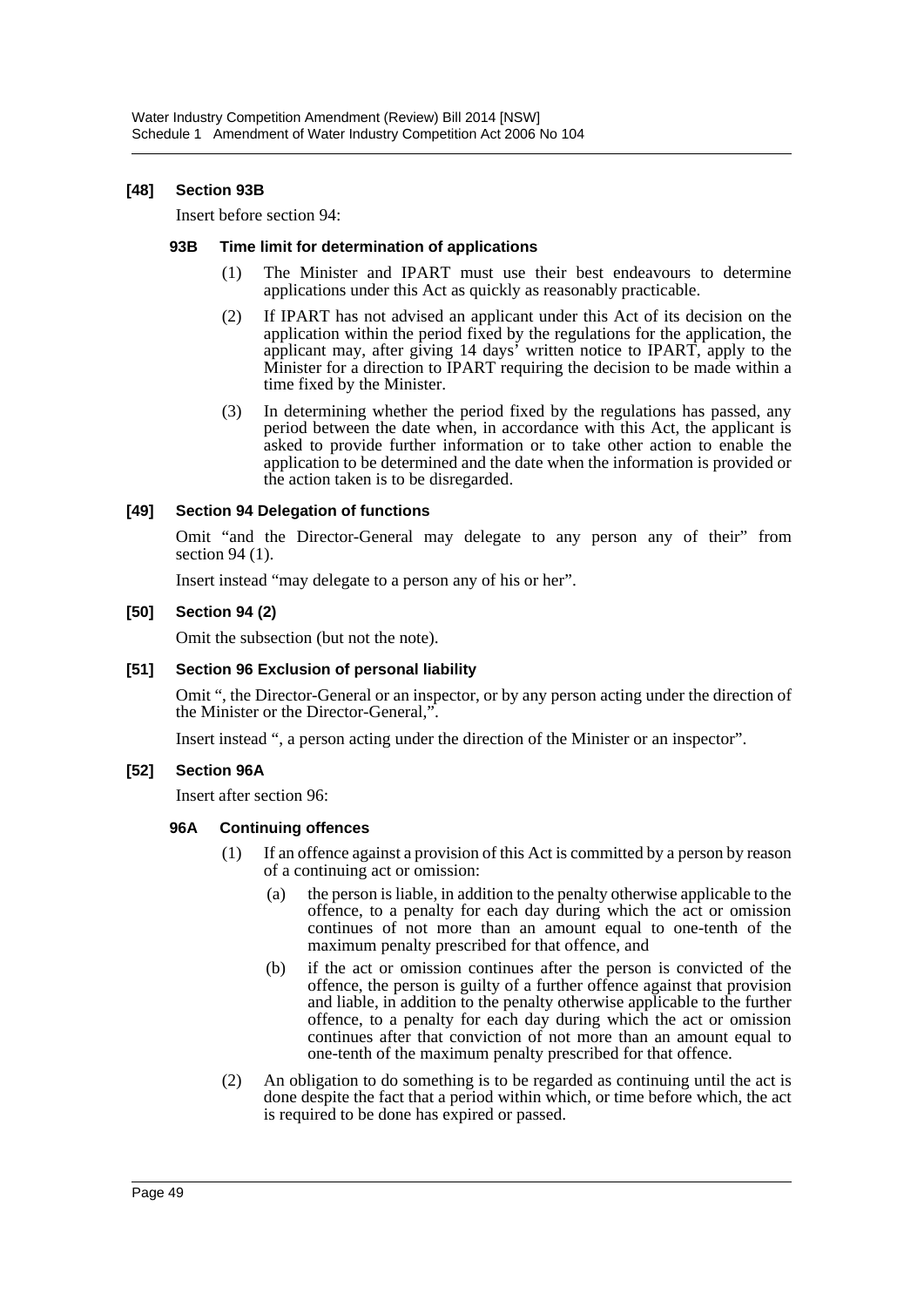#### **[48] Section 93B**

Insert before section 94:

#### **93B Time limit for determination of applications**

- (1) The Minister and IPART must use their best endeavours to determine applications under this Act as quickly as reasonably practicable.
- (2) If IPART has not advised an applicant under this Act of its decision on the application within the period fixed by the regulations for the application, the applicant may, after giving 14 days' written notice to IPART, apply to the Minister for a direction to IPART requiring the decision to be made within a time fixed by the Minister.
- (3) In determining whether the period fixed by the regulations has passed, any period between the date when, in accordance with this Act, the applicant is asked to provide further information or to take other action to enable the application to be determined and the date when the information is provided or the action taken is to be disregarded.

#### **[49] Section 94 Delegation of functions**

Omit "and the Director-General may delegate to any person any of their" from section 94 (1).

Insert instead "may delegate to a person any of his or her".

#### **[50] Section 94 (2)**

Omit the subsection (but not the note).

#### **[51] Section 96 Exclusion of personal liability**

Omit ", the Director-General or an inspector, or by any person acting under the direction of the Minister or the Director-General,".

Insert instead ", a person acting under the direction of the Minister or an inspector".

#### **[52] Section 96A**

Insert after section 96:

#### **96A Continuing offences**

- (1) If an offence against a provision of this Act is committed by a person by reason of a continuing act or omission:
	- (a) the person is liable, in addition to the penalty otherwise applicable to the offence, to a penalty for each day during which the act or omission continues of not more than an amount equal to one-tenth of the maximum penalty prescribed for that offence, and
	- (b) if the act or omission continues after the person is convicted of the offence, the person is guilty of a further offence against that provision and liable, in addition to the penalty otherwise applicable to the further offence, to a penalty for each day during which the act or omission continues after that conviction of not more than an amount equal to one-tenth of the maximum penalty prescribed for that offence.
- (2) An obligation to do something is to be regarded as continuing until the act is done despite the fact that a period within which, or time before which, the act is required to be done has expired or passed.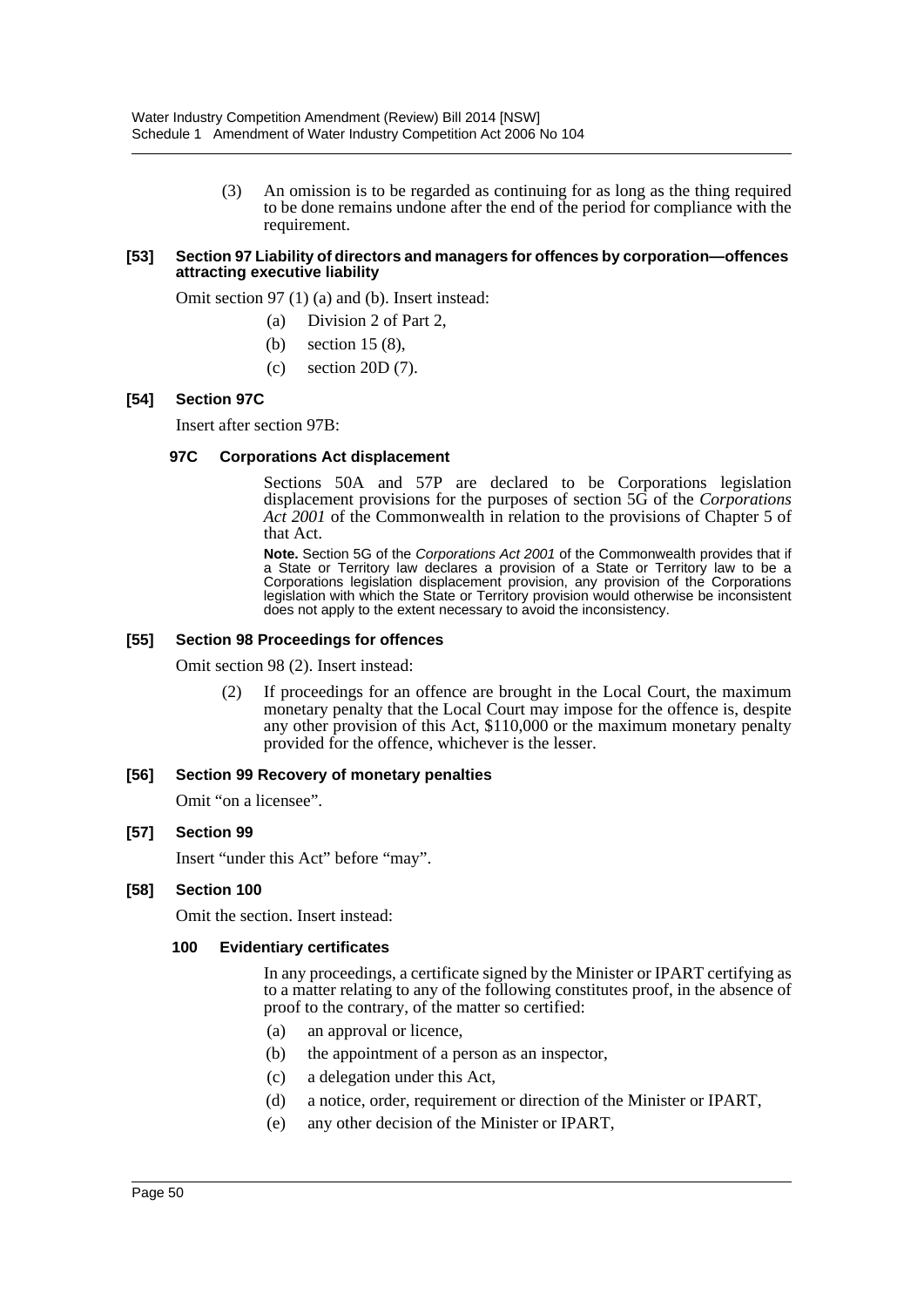(3) An omission is to be regarded as continuing for as long as the thing required to be done remains undone after the end of the period for compliance with the requirement.

#### **[53] Section 97 Liability of directors and managers for offences by corporation—offences attracting executive liability**

Omit section 97 (1) (a) and (b). Insert instead:

- (a) Division 2 of Part 2,
- (b) section 15 (8),
- (c) section 20D (7).

#### **[54] Section 97C**

Insert after section 97B:

#### **97C Corporations Act displacement**

Sections 50A and 57P are declared to be Corporations legislation displacement provisions for the purposes of section 5G of the *Corporations Act 2001* of the Commonwealth in relation to the provisions of Chapter 5 of that Act.

**Note.** Section 5G of the *Corporations Act 2001* of the Commonwealth provides that if a State or Territory law declares a provision of a State or Territory law to be a Corporations legislation displacement provision, any provision of the Corporations legislation with which the State or Territory provision would otherwise be inconsistent does not apply to the extent necessary to avoid the inconsistency.

#### **[55] Section 98 Proceedings for offences**

Omit section 98 (2). Insert instead:

(2) If proceedings for an offence are brought in the Local Court, the maximum monetary penalty that the Local Court may impose for the offence is, despite any other provision of this Act, \$110,000 or the maximum monetary penalty provided for the offence, whichever is the lesser.

#### **[56] Section 99 Recovery of monetary penalties**

Omit "on a licensee".

#### **[57] Section 99**

Insert "under this Act" before "may".

#### **[58] Section 100**

Omit the section. Insert instead:

#### **100 Evidentiary certificates**

In any proceedings, a certificate signed by the Minister or IPART certifying as to a matter relating to any of the following constitutes proof, in the absence of proof to the contrary, of the matter so certified:

- (a) an approval or licence,
- (b) the appointment of a person as an inspector,
- (c) a delegation under this Act,
- (d) a notice, order, requirement or direction of the Minister or IPART,
- (e) any other decision of the Minister or IPART,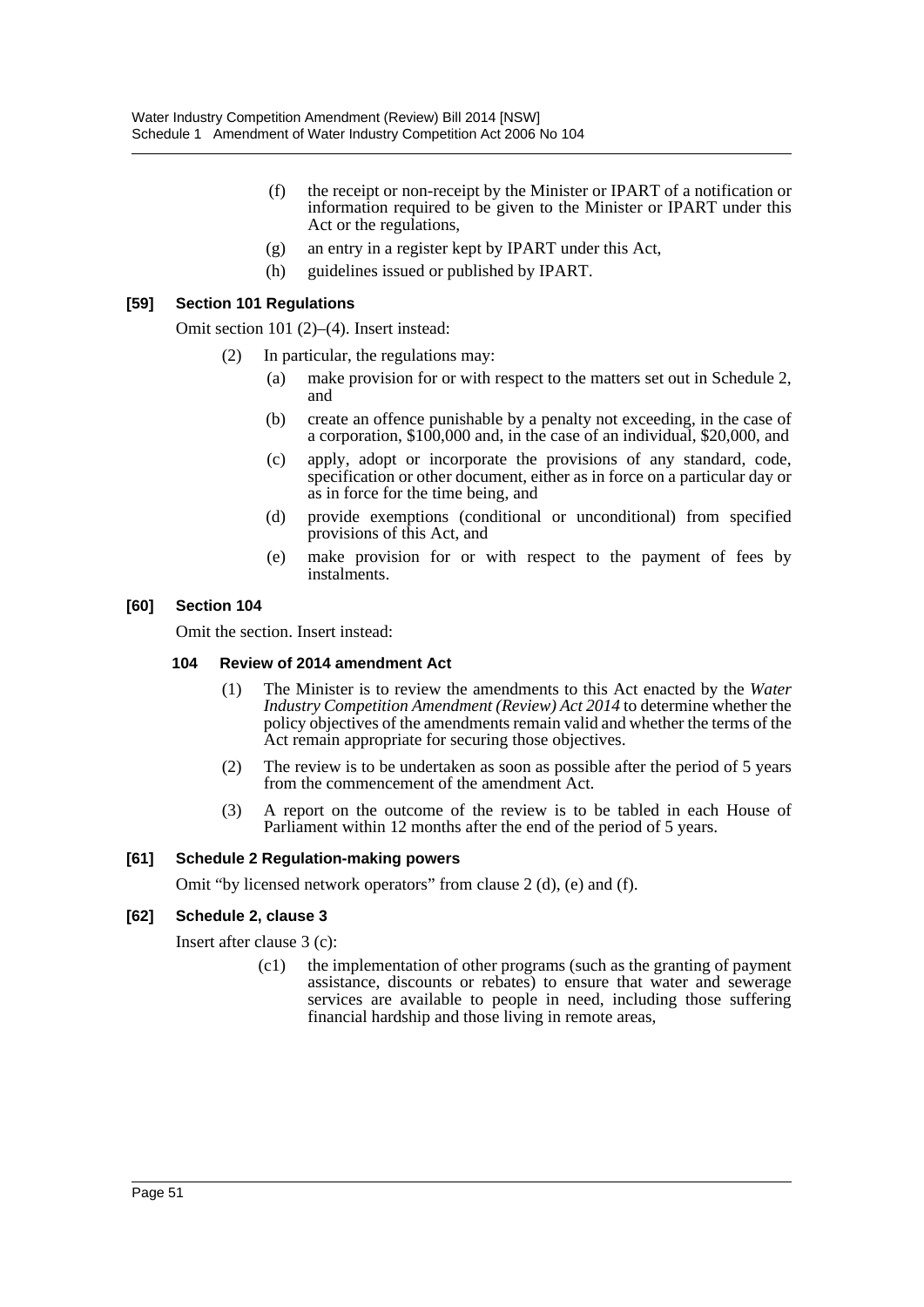- (f) the receipt or non-receipt by the Minister or IPART of a notification or information required to be given to the Minister or IPART under this Act or the regulations,
- (g) an entry in a register kept by IPART under this Act,
- (h) guidelines issued or published by IPART.

#### **[59] Section 101 Regulations**

Omit section 101 (2)–(4). Insert instead:

- (2) In particular, the regulations may:
	- (a) make provision for or with respect to the matters set out in Schedule 2, and
	- (b) create an offence punishable by a penalty not exceeding, in the case of a corporation, \$100,000 and, in the case of an individual, \$20,000, and
	- (c) apply, adopt or incorporate the provisions of any standard, code, specification or other document, either as in force on a particular day or as in force for the time being, and
	- (d) provide exemptions (conditional or unconditional) from specified provisions of this Act, and
	- (e) make provision for or with respect to the payment of fees by instalments.

#### **[60] Section 104**

Omit the section. Insert instead:

#### **104 Review of 2014 amendment Act**

- (1) The Minister is to review the amendments to this Act enacted by the *Water Industry Competition Amendment (Review) Act 2014* to determine whether the policy objectives of the amendments remain valid and whether the terms of the Act remain appropriate for securing those objectives.
- (2) The review is to be undertaken as soon as possible after the period of 5 years from the commencement of the amendment Act.
- (3) A report on the outcome of the review is to be tabled in each House of Parliament within 12 months after the end of the period of 5 years.

#### **[61] Schedule 2 Regulation-making powers**

Omit "by licensed network operators" from clause 2 (d), (e) and (f).

#### **[62] Schedule 2, clause 3**

Insert after clause 3 (c):

(c1) the implementation of other programs (such as the granting of payment assistance, discounts or rebates) to ensure that water and sewerage services are available to people in need, including those suffering financial hardship and those living in remote areas,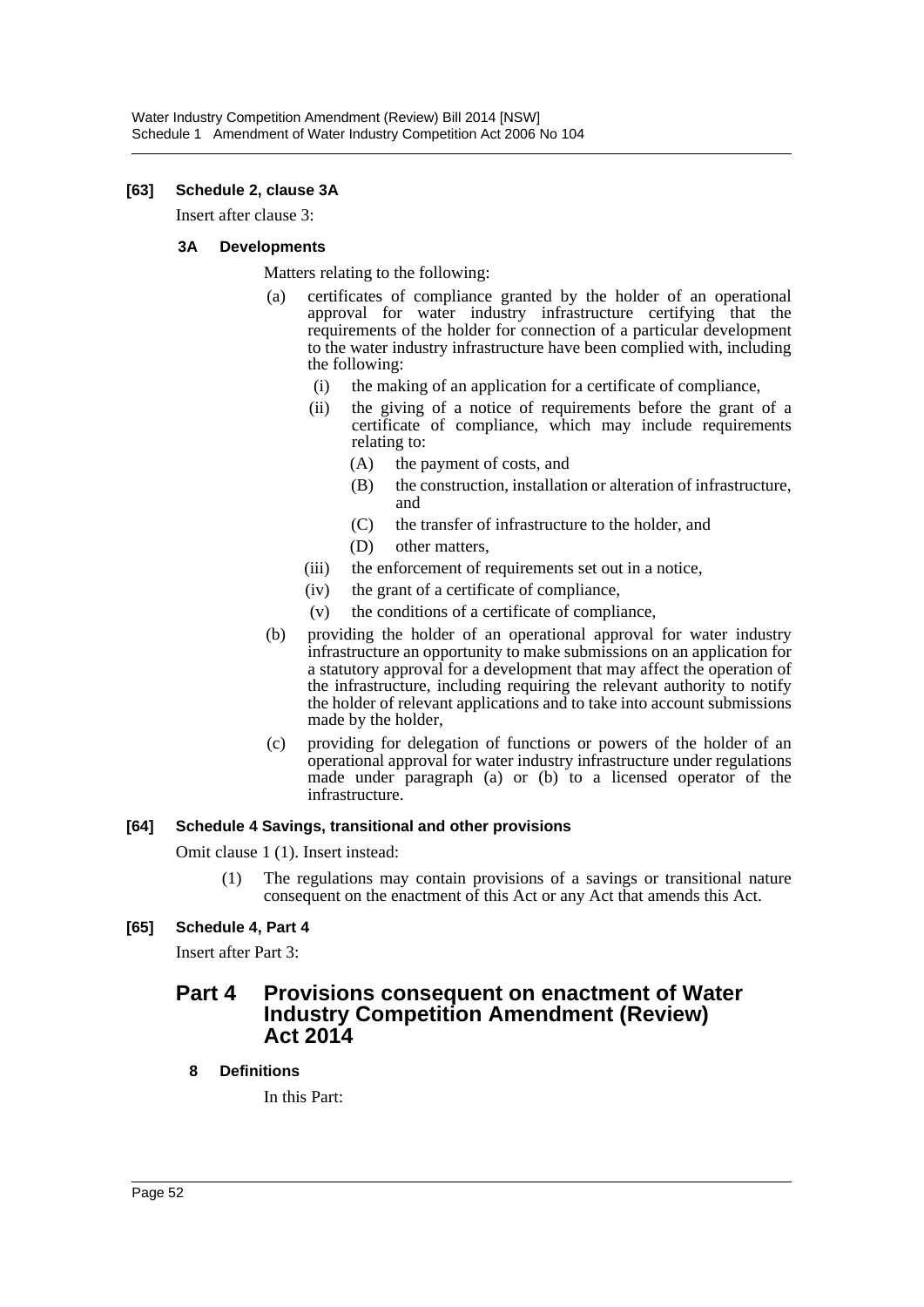#### **[63] Schedule 2, clause 3A**

Insert after clause 3:

#### **3A Developments**

Matters relating to the following:

- (a) certificates of compliance granted by the holder of an operational approval for water industry infrastructure certifying that the requirements of the holder for connection of a particular development to the water industry infrastructure have been complied with, including the following:
	- (i) the making of an application for a certificate of compliance,
	- (ii) the giving of a notice of requirements before the grant of a certificate of compliance, which may include requirements relating to:
		- (A) the payment of costs, and
		- (B) the construction, installation or alteration of infrastructure, and
		- (C) the transfer of infrastructure to the holder, and
		- (D) other matters,
	- (iii) the enforcement of requirements set out in a notice,
	- (iv) the grant of a certificate of compliance,
	- (v) the conditions of a certificate of compliance,
- (b) providing the holder of an operational approval for water industry infrastructure an opportunity to make submissions on an application for a statutory approval for a development that may affect the operation of the infrastructure, including requiring the relevant authority to notify the holder of relevant applications and to take into account submissions made by the holder,
- (c) providing for delegation of functions or powers of the holder of an operational approval for water industry infrastructure under regulations made under paragraph (a) or (b) to a licensed operator of the infrastructure.

#### **[64] Schedule 4 Savings, transitional and other provisions**

Omit clause 1 (1). Insert instead:

(1) The regulations may contain provisions of a savings or transitional nature consequent on the enactment of this Act or any Act that amends this Act.

### **[65] Schedule 4, Part 4**

Insert after Part 3:

# **Part 4 Provisions consequent on enactment of Water Industry Competition Amendment (Review) Act 2014**

### **8 Definitions**

In this Part: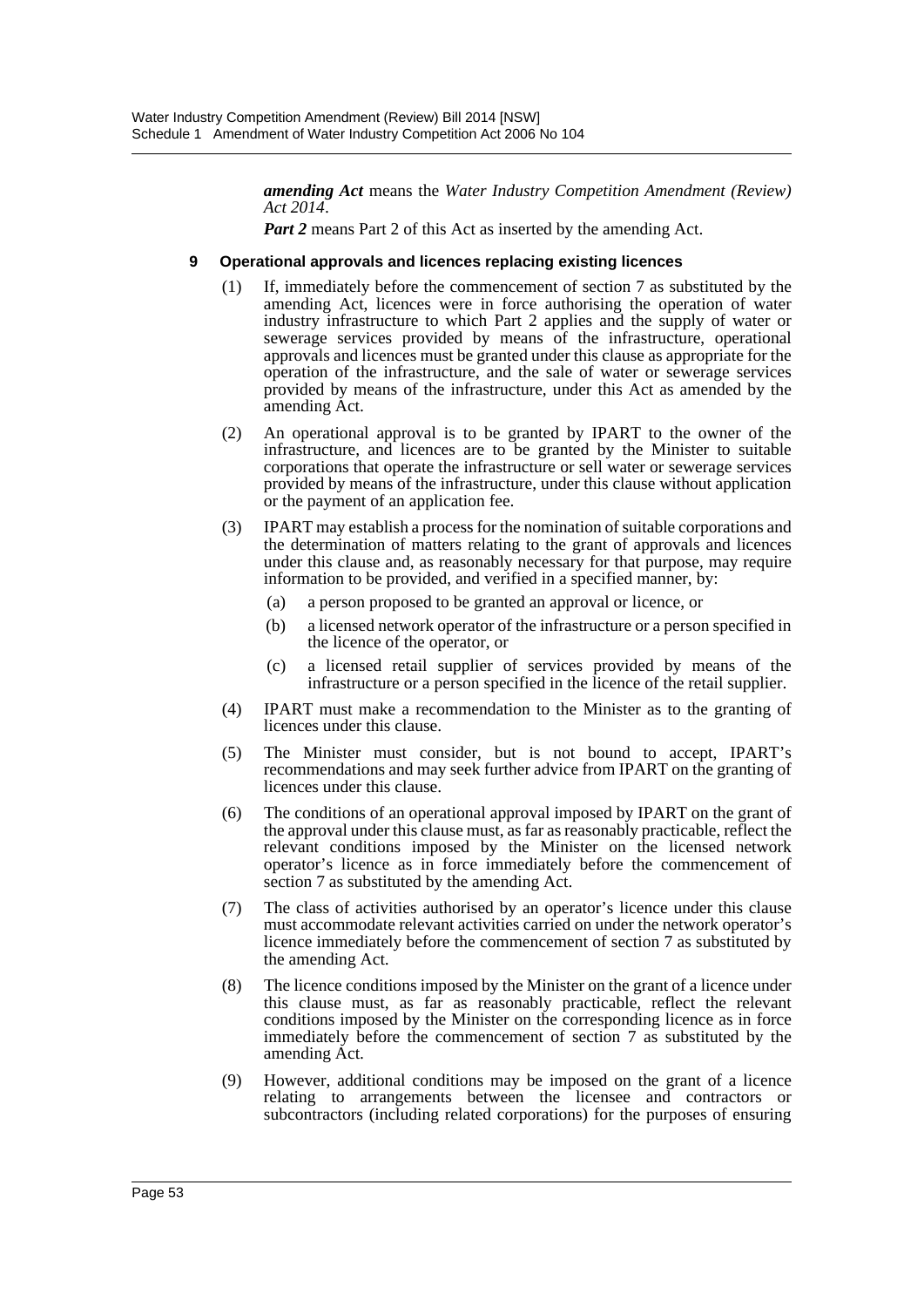*amending Act* means the *Water Industry Competition Amendment (Review) Act 2014*.

*Part 2* means Part 2 of this Act as inserted by the amending Act.

#### **9 Operational approvals and licences replacing existing licences**

- (1) If, immediately before the commencement of section 7 as substituted by the amending Act, licences were in force authorising the operation of water industry infrastructure to which Part 2 applies and the supply of water or sewerage services provided by means of the infrastructure, operational approvals and licences must be granted under this clause as appropriate for the operation of the infrastructure, and the sale of water or sewerage services provided by means of the infrastructure, under this Act as amended by the amending Act.
- (2) An operational approval is to be granted by IPART to the owner of the infrastructure, and licences are to be granted by the Minister to suitable corporations that operate the infrastructure or sell water or sewerage services provided by means of the infrastructure, under this clause without application or the payment of an application fee.
- (3) IPART may establish a process for the nomination of suitable corporations and the determination of matters relating to the grant of approvals and licences under this clause and, as reasonably necessary for that purpose, may require information to be provided, and verified in a specified manner, by:
	- (a) a person proposed to be granted an approval or licence, or
	- (b) a licensed network operator of the infrastructure or a person specified in the licence of the operator, or
	- (c) a licensed retail supplier of services provided by means of the infrastructure or a person specified in the licence of the retail supplier.
- (4) IPART must make a recommendation to the Minister as to the granting of licences under this clause.
- (5) The Minister must consider, but is not bound to accept, IPART's recommendations and may seek further advice from IPART on the granting of licences under this clause.
- (6) The conditions of an operational approval imposed by IPART on the grant of the approval under this clause must, as far as reasonably practicable, reflect the relevant conditions imposed by the Minister on the licensed network operator's licence as in force immediately before the commencement of section 7 as substituted by the amending Act.
- (7) The class of activities authorised by an operator's licence under this clause must accommodate relevant activities carried on under the network operator's licence immediately before the commencement of section 7 as substituted by the amending Act.
- (8) The licence conditions imposed by the Minister on the grant of a licence under this clause must, as far as reasonably practicable, reflect the relevant conditions imposed by the Minister on the corresponding licence as in force immediately before the commencement of section 7 as substituted by the amending Act.
- (9) However, additional conditions may be imposed on the grant of a licence relating to arrangements between the licensee and contractors or subcontractors (including related corporations) for the purposes of ensuring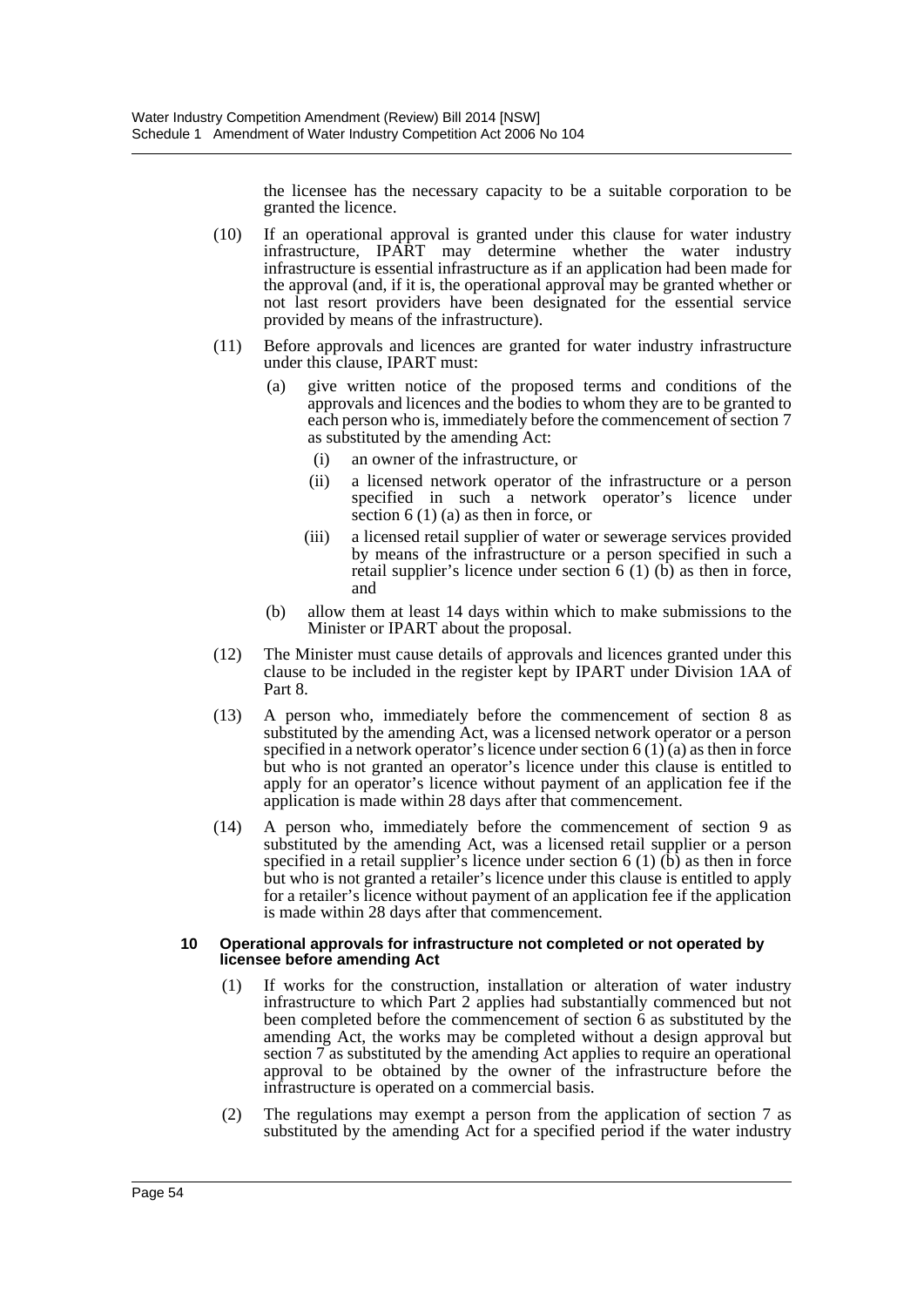the licensee has the necessary capacity to be a suitable corporation to be granted the licence.

- (10) If an operational approval is granted under this clause for water industry infrastructure, IPART may determine whether the water industry infrastructure is essential infrastructure as if an application had been made for the approval (and, if it is, the operational approval may be granted whether or not last resort providers have been designated for the essential service provided by means of the infrastructure).
- (11) Before approvals and licences are granted for water industry infrastructure under this clause, IPART must:
	- (a) give written notice of the proposed terms and conditions of the approvals and licences and the bodies to whom they are to be granted to each person who is, immediately before the commencement of section 7 as substituted by the amending Act:
		- (i) an owner of the infrastructure, or
		- (ii) a licensed network operator of the infrastructure or a person specified in such a network operator's licence under section 6 (1) (a) as then in force, or
		- (iii) a licensed retail supplier of water or sewerage services provided by means of the infrastructure or a person specified in such a retail supplier's licence under section  $6(1)(b)$  as then in force, and
	- (b) allow them at least 14 days within which to make submissions to the Minister or IPART about the proposal.
- (12) The Minister must cause details of approvals and licences granted under this clause to be included in the register kept by IPART under Division 1AA of Part 8.
- (13) A person who, immediately before the commencement of section 8 as substituted by the amending Act, was a licensed network operator or a person specified in a network operator's licence under section  $6(1)(a)$  as then in force but who is not granted an operator's licence under this clause is entitled to apply for an operator's licence without payment of an application fee if the application is made within 28 days after that commencement.
- (14) A person who, immediately before the commencement of section 9 as substituted by the amending Act, was a licensed retail supplier or a person specified in a retail supplier's licence under section 6 (1)  $(b)$  as then in force but who is not granted a retailer's licence under this clause is entitled to apply for a retailer's licence without payment of an application fee if the application is made within 28 days after that commencement.

#### **10 Operational approvals for infrastructure not completed or not operated by licensee before amending Act**

- (1) If works for the construction, installation or alteration of water industry infrastructure to which Part 2 applies had substantially commenced but not been completed before the commencement of section 6 as substituted by the amending Act, the works may be completed without a design approval but section 7 as substituted by the amending Act applies to require an operational approval to be obtained by the owner of the infrastructure before the infrastructure is operated on a commercial basis.
- (2) The regulations may exempt a person from the application of section 7 as substituted by the amending Act for a specified period if the water industry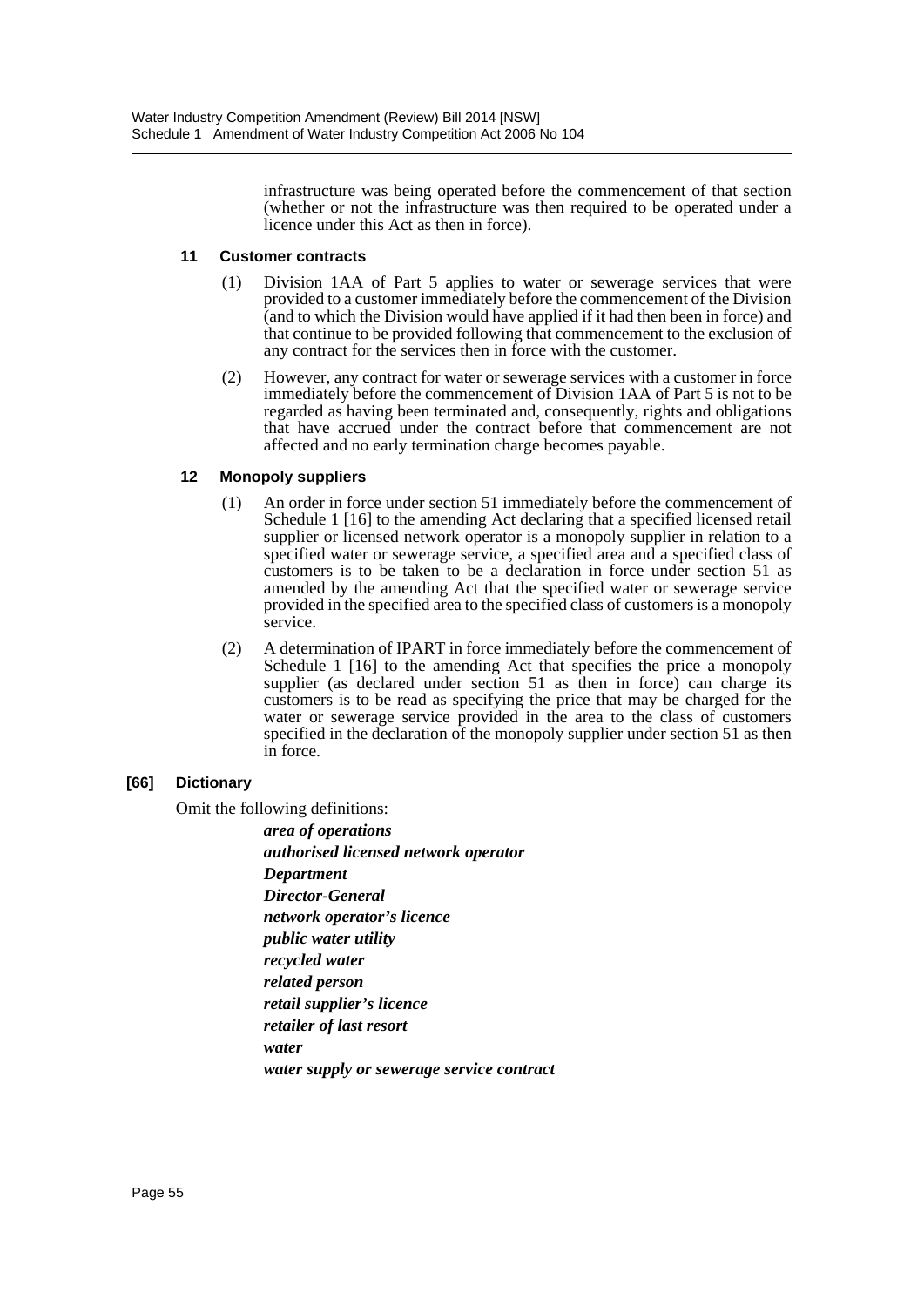infrastructure was being operated before the commencement of that section (whether or not the infrastructure was then required to be operated under a licence under this Act as then in force).

#### **11 Customer contracts**

- (1) Division 1AA of Part 5 applies to water or sewerage services that were provided to a customer immediately before the commencement of the Division (and to which the Division would have applied if it had then been in force) and that continue to be provided following that commencement to the exclusion of any contract for the services then in force with the customer.
- (2) However, any contract for water or sewerage services with a customer in force immediately before the commencement of Division 1AA of Part 5 is not to be regarded as having been terminated and, consequently, rights and obligations that have accrued under the contract before that commencement are not affected and no early termination charge becomes payable.

### **12 Monopoly suppliers**

- (1) An order in force under section 51 immediately before the commencement of Schedule 1 [16] to the amending Act declaring that a specified licensed retail supplier or licensed network operator is a monopoly supplier in relation to a specified water or sewerage service, a specified area and a specified class of customers is to be taken to be a declaration in force under section 51 as amended by the amending Act that the specified water or sewerage service provided in the specified area to the specified class of customers is a monopoly service.
- (2) A determination of IPART in force immediately before the commencement of Schedule 1 [16] to the amending Act that specifies the price a monopoly supplier (as declared under section 51 as then in force) can charge its customers is to be read as specifying the price that may be charged for the water or sewerage service provided in the area to the class of customers specified in the declaration of the monopoly supplier under section 51 as then in force.

### **[66] Dictionary**

Omit the following definitions:

*area of operations authorised licensed network operator Department Director-General network operator's licence public water utility recycled water related person retail supplier's licence retailer of last resort water water supply or sewerage service contract*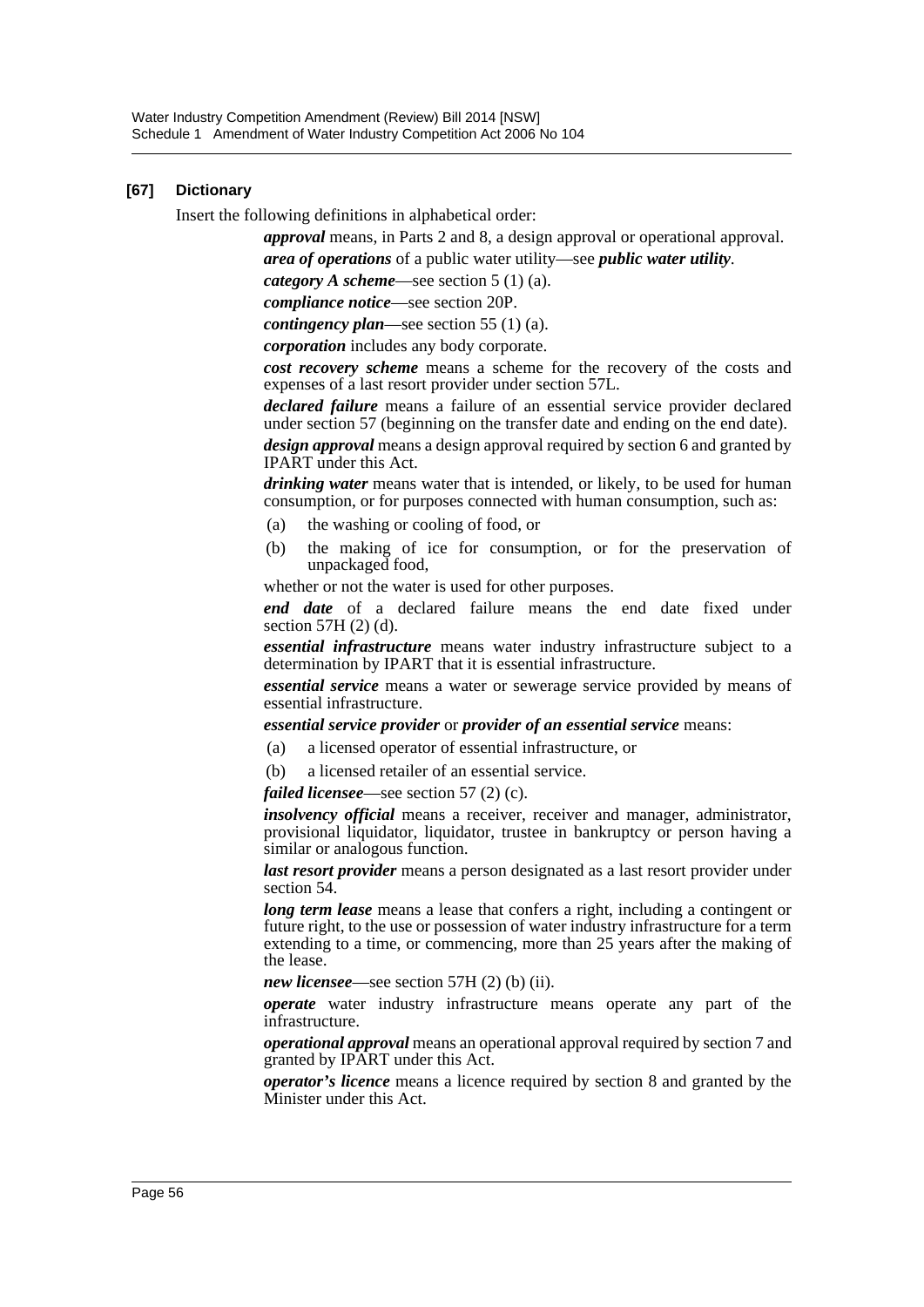#### **[67] Dictionary**

Insert the following definitions in alphabetical order:

*approval* means, in Parts 2 and 8, a design approval or operational approval. *area of operations* of a public water utility—see *public water utility*.

*category A scheme*—see section 5 (1) (a).

*compliance notice*—see section 20P.

*contingency plan*—see section 55 (1) (a).

*corporation* includes any body corporate.

*cost recovery scheme* means a scheme for the recovery of the costs and expenses of a last resort provider under section 57L.

*declared failure* means a failure of an essential service provider declared under section 57 (beginning on the transfer date and ending on the end date). *design approval* means a design approval required by section 6 and granted by

IPART under this Act.

*drinking water* means water that is intended, or likely, to be used for human consumption, or for purposes connected with human consumption, such as:

- (a) the washing or cooling of food, or
- (b) the making of ice for consumption, or for the preservation of unpackaged food,

whether or not the water is used for other purposes.

*end date* of a declared failure means the end date fixed under section 57H (2) (d).

*essential infrastructure* means water industry infrastructure subject to a determination by IPART that it is essential infrastructure.

*essential service* means a water or sewerage service provided by means of essential infrastructure.

#### *essential service provider* or *provider of an essential service* means:

- (a) a licensed operator of essential infrastructure, or
- (b) a licensed retailer of an essential service.

*failed licensee*—see section 57 (2) (c).

*insolvency official* means a receiver, receiver and manager, administrator, provisional liquidator, liquidator, trustee in bankruptcy or person having a similar or analogous function.

*last resort provider* means a person designated as a last resort provider under section 54.

*long term lease* means a lease that confers a right, including a contingent or future right, to the use or possession of water industry infrastructure for a term extending to a time, or commencing, more than 25 years after the making of the lease.

*new licensee*—see section 57H (2) (b) (ii).

*operate* water industry infrastructure means operate any part of the infrastructure.

*operational approval* means an operational approval required by section 7 and granted by IPART under this Act.

*operator's licence* means a licence required by section 8 and granted by the Minister under this Act.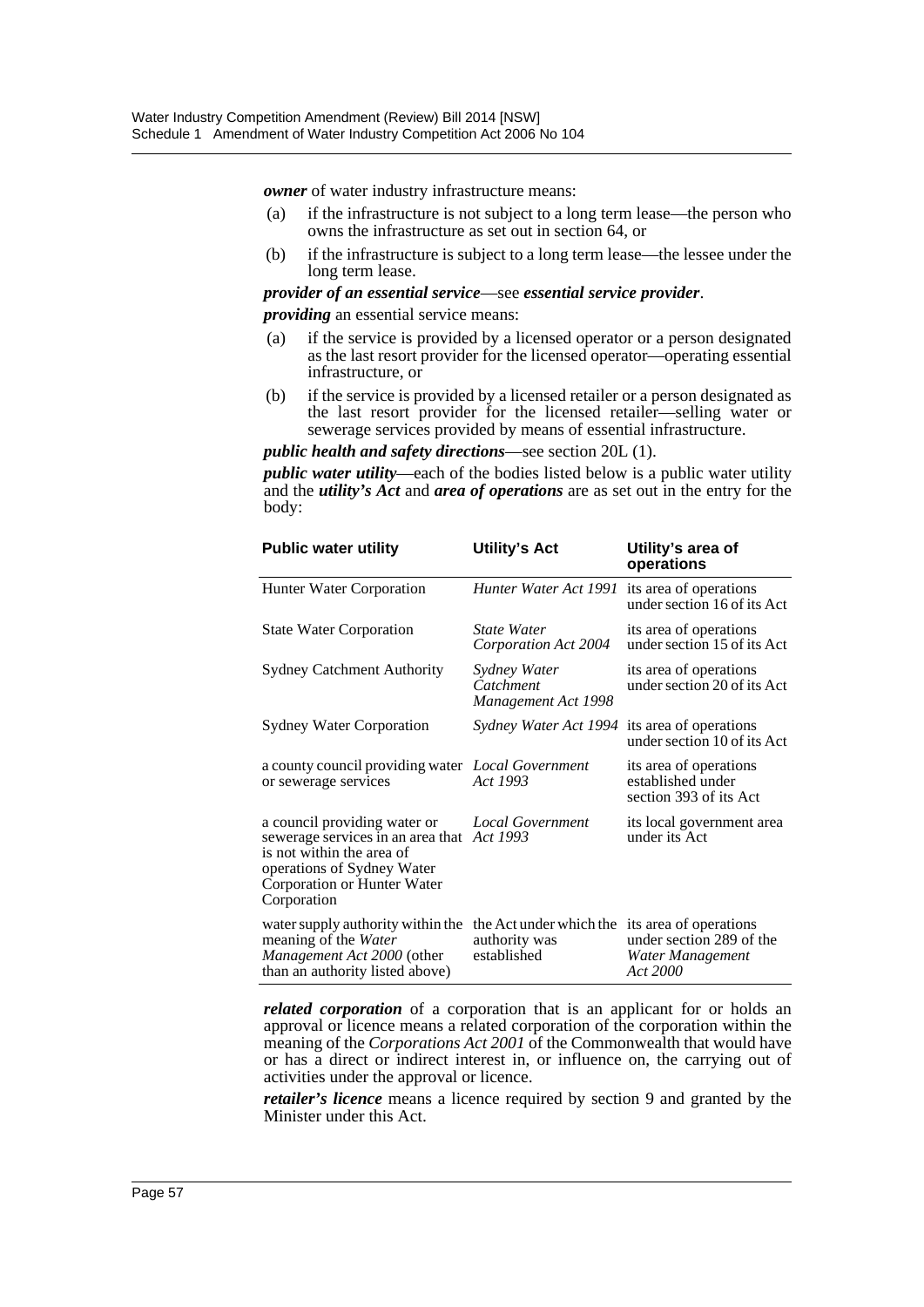*owner* of water industry infrastructure means:

- (a) if the infrastructure is not subject to a long term lease—the person who owns the infrastructure as set out in section 64, or
- (b) if the infrastructure is subject to a long term lease—the lessee under the long term lease.

*provider of an essential service*—see *essential service provider*.

*providing* an essential service means:

- (a) if the service is provided by a licensed operator or a person designated as the last resort provider for the licensed operator—operating essential infrastructure, or
- (b) if the service is provided by a licensed retailer or a person designated as the last resort provider for the licensed retailer—selling water or sewerage services provided by means of essential infrastructure.

#### *public health and safety directions*—see section 20L (1).

*public water utility*—each of the bodies listed below is a public water utility and the *utility's Act* and *area of operations* are as set out in the entry for the body:

| <b>Public water utility</b>                                                                                                                                                         | <b>Utility's Act</b>                                    | Utility's area of<br>operations                                                    |
|-------------------------------------------------------------------------------------------------------------------------------------------------------------------------------------|---------------------------------------------------------|------------------------------------------------------------------------------------|
| Hunter Water Corporation                                                                                                                                                            | Hunter Water Act 1991                                   | its area of operations<br>under section 16 of its Act                              |
| <b>State Water Corporation</b>                                                                                                                                                      | <b>State Water</b><br>Corporation Act 2004              | its area of operations<br>under section 15 of its Act                              |
| <b>Sydney Catchment Authority</b>                                                                                                                                                   | Sydney Water<br>Catchment<br>Management Act 1998        | its area of operations<br>under section 20 of its Act                              |
| <b>Sydney Water Corporation</b>                                                                                                                                                     | Sydney Water Act 1994                                   | its area of operations<br>under section 10 of its Act                              |
| a county council providing water <i>Local Government</i><br>or sewerage services                                                                                                    | Act 1993                                                | its area of operations<br>established under<br>section 393 of its Act              |
| a council providing water or<br>sewerage services in an area that Act 1993<br>is not within the area of<br>operations of Sydney Water<br>Corporation or Hunter Water<br>Corporation | <b>Local Government</b>                                 | its local government area<br>under its Act                                         |
| water supply authority within the<br>meaning of the Water<br>Management Act 2000 (other<br>than an authority listed above)                                                          | the Act under which the<br>authority was<br>established | its area of operations<br>under section 289 of the<br>Water Management<br>Act 2000 |

*related corporation* of a corporation that is an applicant for or holds an approval or licence means a related corporation of the corporation within the meaning of the *Corporations Act 2001* of the Commonwealth that would have or has a direct or indirect interest in, or influence on, the carrying out of activities under the approval or licence.

*retailer's licence* means a licence required by section 9 and granted by the Minister under this Act.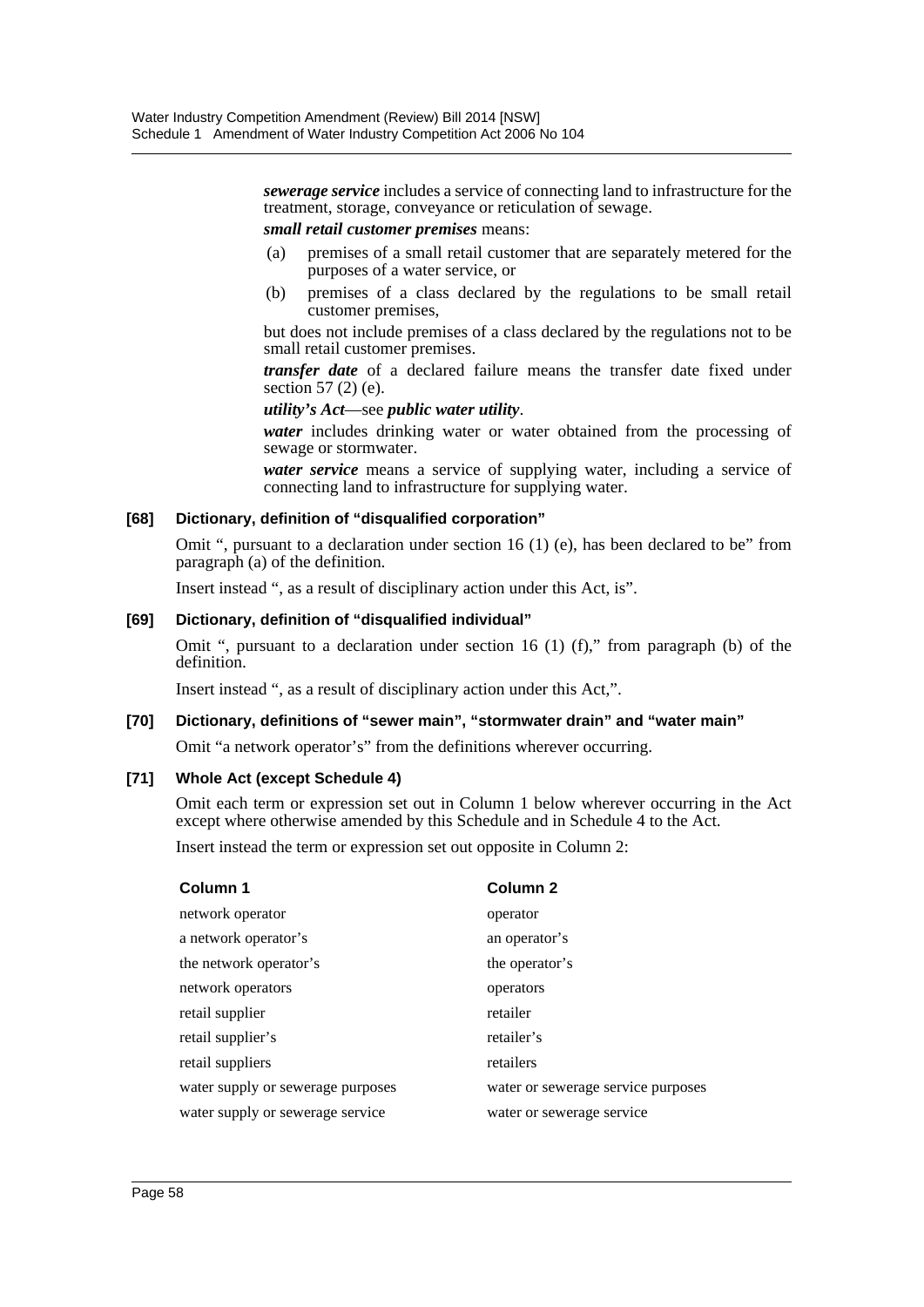*sewerage service* includes a service of connecting land to infrastructure for the treatment, storage, conveyance or reticulation of sewage.

#### *small retail customer premises* means:

- (a) premises of a small retail customer that are separately metered for the purposes of a water service, or
- (b) premises of a class declared by the regulations to be small retail customer premises,

but does not include premises of a class declared by the regulations not to be small retail customer premises.

*transfer date* of a declared failure means the transfer date fixed under section 57 (2) (e).

*utility's Act*—see *public water utility*.

*water* includes drinking water or water obtained from the processing of sewage or stormwater.

*water service* means a service of supplying water, including a service of connecting land to infrastructure for supplying water.

#### **[68] Dictionary, definition of "disqualified corporation"**

Omit ", pursuant to a declaration under section 16 (1) (e), has been declared to be" from paragraph (a) of the definition.

Insert instead ", as a result of disciplinary action under this Act, is".

#### **[69] Dictionary, definition of "disqualified individual"**

Omit ", pursuant to a declaration under section 16  $(1)$  (f)," from paragraph (b) of the definition.

Insert instead ", as a result of disciplinary action under this Act,".

#### **[70] Dictionary, definitions of "sewer main", "stormwater drain" and "water main"**

Omit "a network operator's" from the definitions wherever occurring.

#### **[71] Whole Act (except Schedule 4)**

Omit each term or expression set out in Column 1 below wherever occurring in the Act except where otherwise amended by this Schedule and in Schedule 4 to the Act.

Insert instead the term or expression set out opposite in Column 2:

| Column 1                          | <b>Column 2</b>                    |
|-----------------------------------|------------------------------------|
| network operator                  | operator                           |
| a network operator's              | an operator's                      |
| the network operator's            | the operator's                     |
| network operators                 | operators                          |
| retail supplier                   | retailer                           |
| retail supplier's                 | retailer's                         |
| retail suppliers                  | retailers                          |
| water supply or sewerage purposes | water or sewerage service purposes |
| water supply or sewerage service  | water or sewerage service          |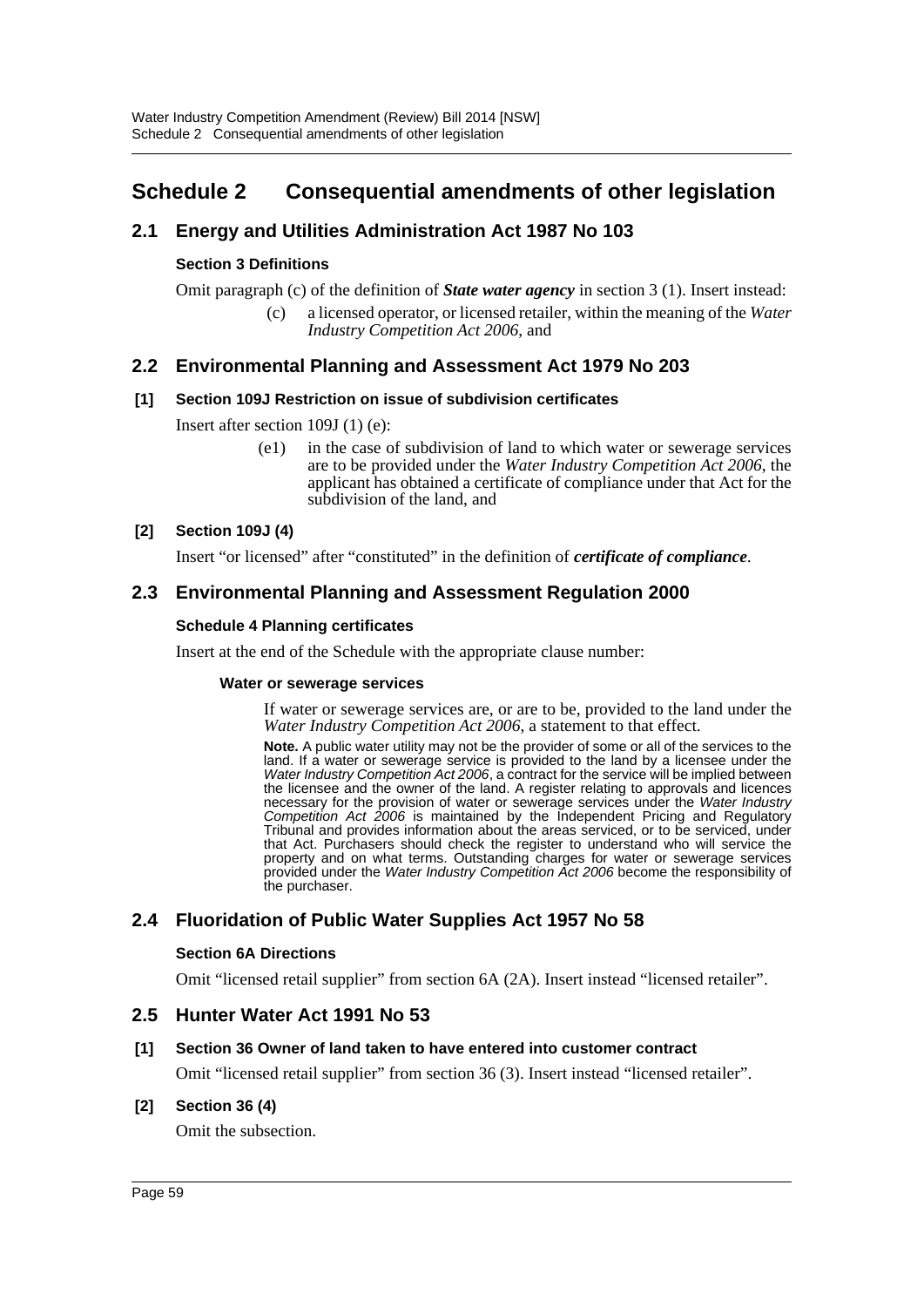# <span id="page-59-0"></span>**Schedule 2 Consequential amendments of other legislation**

# **2.1 Energy and Utilities Administration Act 1987 No 103**

### **Section 3 Definitions**

Omit paragraph (c) of the definition of *State water agency* in section 3 (1). Insert instead:

(c) a licensed operator, or licensed retailer, within the meaning of the *Water Industry Competition Act 2006*, and

# **2.2 Environmental Planning and Assessment Act 1979 No 203**

#### **[1] Section 109J Restriction on issue of subdivision certificates**

Insert after section 109J (1) (e):

(e1) in the case of subdivision of land to which water or sewerage services are to be provided under the *Water Industry Competition Act 2006*, the applicant has obtained a certificate of compliance under that Act for the subdivision of the land, and

#### **[2] Section 109J (4)**

Insert "or licensed" after "constituted" in the definition of *certificate of compliance*.

# **2.3 Environmental Planning and Assessment Regulation 2000**

#### **Schedule 4 Planning certificates**

Insert at the end of the Schedule with the appropriate clause number:

#### **Water or sewerage services**

If water or sewerage services are, or are to be, provided to the land under the *Water Industry Competition Act 2006*, a statement to that effect.

**Note.** A public water utility may not be the provider of some or all of the services to the land. If a water or sewerage service is provided to the land by a licensee under the *Water Industry Competition Act 2006*, a contract for the service will be implied between the licensee and the owner of the land. A register relating to approvals and licences necessary for the provision of water or sewerage services under the *Water Industry Competition Act 2006* is maintained by the Independent Pricing and Regulatory Tribunal and provides information about the areas serviced, or to be serviced, under that Act. Purchasers should check the register to understand who will service the property and on what terms. Outstanding charges for water or sewerage services provided under the *Water Industry Competition Act 2006* become the responsibility of the purchaser.

# **2.4 Fluoridation of Public Water Supplies Act 1957 No 58**

#### **Section 6A Directions**

Omit "licensed retail supplier" from section 6A (2A). Insert instead "licensed retailer".

### **2.5 Hunter Water Act 1991 No 53**

#### **[1] Section 36 Owner of land taken to have entered into customer contract**

Omit "licensed retail supplier" from section 36 (3). Insert instead "licensed retailer".

#### **[2] Section 36 (4)**

Omit the subsection.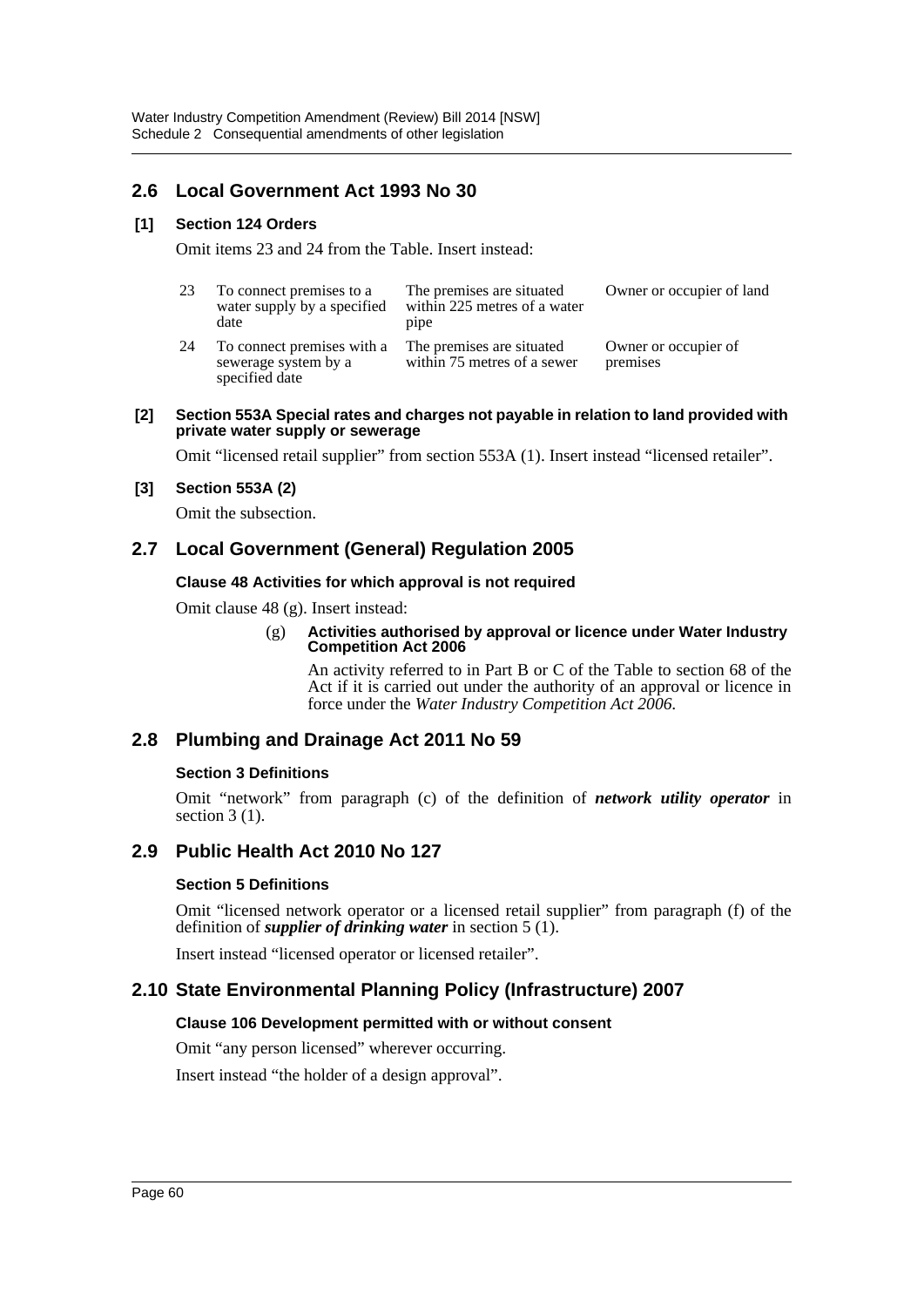# **2.6 Local Government Act 1993 No 30**

#### **[1] Section 124 Orders**

Omit items 23 and 24 from the Table. Insert instead:

| 23 | To connect premises to a<br>water supply by a specified<br>date      | The premises are situated<br>within 225 metres of a water<br>pipe | Owner or occupier of land        |
|----|----------------------------------------------------------------------|-------------------------------------------------------------------|----------------------------------|
| 24 | To connect premises with a<br>sewerage system by a<br>specified date | The premises are situated<br>within 75 metres of a sewer          | Owner or occupier of<br>premises |

#### **[2] Section 553A Special rates and charges not payable in relation to land provided with private water supply or sewerage**

Omit "licensed retail supplier" from section 553A (1). Insert instead "licensed retailer".

#### **[3] Section 553A (2)**

Omit the subsection.

# **2.7 Local Government (General) Regulation 2005**

#### **Clause 48 Activities for which approval is not required**

Omit clause 48 (g). Insert instead:

#### (g) **Activities authorised by approval or licence under Water Industry Competition Act 2006**

An activity referred to in Part B or C of the Table to section 68 of the Act if it is carried out under the authority of an approval or licence in force under the *Water Industry Competition Act 2006*.

# **2.8 Plumbing and Drainage Act 2011 No 59**

#### **Section 3 Definitions**

Omit "network" from paragraph (c) of the definition of *network utility operator* in section  $3(1)$ .

### **2.9 Public Health Act 2010 No 127**

#### **Section 5 Definitions**

Omit "licensed network operator or a licensed retail supplier" from paragraph (f) of the definition of *supplier of drinking water* in section 5 (1).

Insert instead "licensed operator or licensed retailer".

# **2.10 State Environmental Planning Policy (Infrastructure) 2007**

#### **Clause 106 Development permitted with or without consent**

Omit "any person licensed" wherever occurring.

Insert instead "the holder of a design approval".